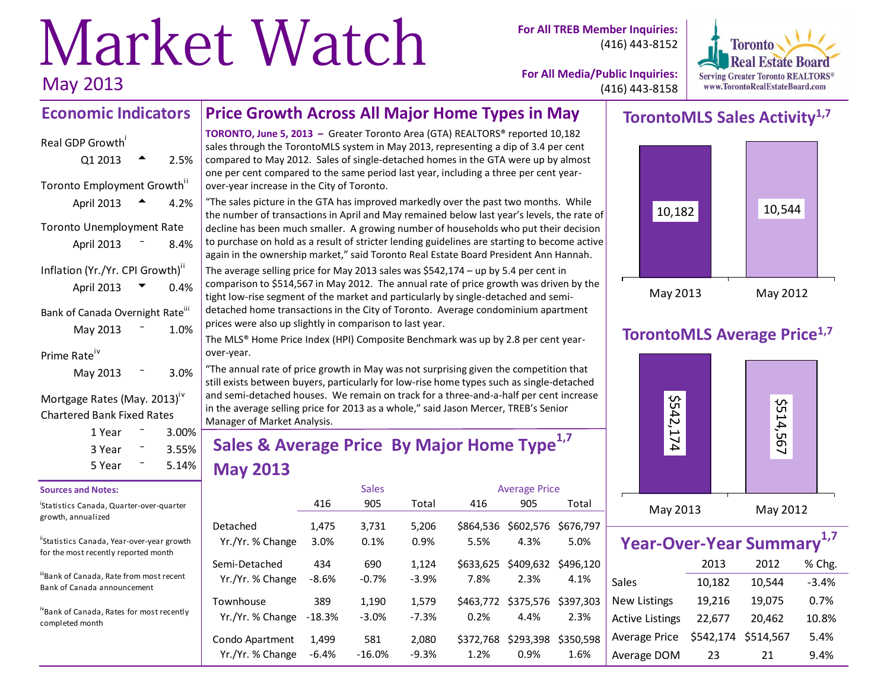# Market Watch May 2013

**For All TREB Member Inquiries:** (416) 443-8152



**For All Media/Public Inquiries:** (416) 443-8158

#### **Economic Indicators Price Growth Across All Major Home Types in May**

| Real GDP Growth                              |        |  |
|----------------------------------------------|--------|--|
| Q1 2013                                      | 2.5%   |  |
| Toronto Employment Growth"                   |        |  |
| April 2013                                   | 4.2%   |  |
| <b>Toronto Unemployment Rate</b>             |        |  |
| April 2013                                   | 8.4%   |  |
| Inflation (Yr./Yr. CPI Growth) <sup>ii</sup> |        |  |
| April 2013                                   | 0.4%   |  |
| Bank of Canada Overnight Rate <sup>iii</sup> |        |  |
| May 2013                                     | 1.0%   |  |
| Prime Rate                                   |        |  |
| May 2013                                     | 3.0%   |  |
|                                              | $.$ iv |  |

#### Mortgage Rates (May. 2013)<sup>1</sup> Chartered Bank Fixed Rates

| 1 Year | $3.00\%$          |  |
|--------|-------------------|--|
| 3 Year | $3.55\%$<br>5.14% |  |
| 5 Year |                   |  |

#### **Sources and Notes:**

i Statistics Canada, Quarter-over-quarter growth, annualized

"Statistics Canada, Year-over-year growth for the most recently reported month

iiBank of Canada, Rate from most recent Bank of Canada announcement

ivBank of Canada, Rates for most recently completed month

**TORONTO, June 5, 2013 –** Greater Toronto Area (GTA) REALTORS® reported 10,182 sales through the TorontoMLS system in May 2013, representing a dip of 3.4 per cent compared to May 2012. Sales of single-detached homes in the GTA were up by almost one per cent compared to the same period last year, including a three per cent yearover-year increase in the City of Toronto.

"The sales picture in the GTA has improved markedly over the past two months. While the number of transactions in April and May remained below last year's levels, the rate of decline has been much smaller. A growing number of households who put their decision to purchase on hold as a result of stricter lending guidelines are starting to become active again in the ownership market," said Toronto Real Estate Board President Ann Hannah.

The average selling price for May 2013 sales was \$542,174 – up by 5.4 per cent in comparison to \$514,567 in May 2012. The annual rate of price growth was driven by the tight low-rise segment of the market and particularly by single-detached and semidetached home transactions in the City of Toronto. Average condominium apartment prices were also up slightly in comparison to last year.

The MLS® Home Price Index (HPI) Composite Benchmark was up by 2.8 per cent yearover-year.

"The annual rate of price growth in May was not surprising given the competition that still exists between buyers, particularly for low-rise home types such as single-detached and semi-detached houses. We remain on track for a three-and-a-half per cent increase in the average selling price for 2013 as a whole," said Jason Mercer, TREB's Senior Manager of Market Analysis.

# **Sales & Average Price By Major Home Type1,7 May 2013**

|                                   |                | <b>Sales</b>   |                  |                   | <b>Average Price</b>        |           |
|-----------------------------------|----------------|----------------|------------------|-------------------|-----------------------------|-----------|
|                                   | 416            | 905            | Total            | 416               | 905                         | Total     |
| Detached                          | 1,475          | 3,731          | 5,206            | \$864.536         | \$602,576                   | \$676,797 |
| Yr./Yr. % Change                  | 3.0%           | 0.1%           | 0.9%             | 5.5%              | 4.3%                        | 5.0%      |
| Semi-Detached<br>Yr./Yr. % Change | 434<br>$-8.6%$ | 690<br>$-0.7%$ | 1,124<br>$-3.9%$ | \$633.625<br>7.8% | \$409,632 \$496,120<br>2.3% | 4.1%      |
| Townhouse                         | 389            | 1,190          | 1,579            | \$463,772         | \$375,576                   | \$397.303 |
| Yr./Yr. % Change                  | $-18.3%$       | $-3.0\%$       | $-7.3%$          | 0.2%              | 4.4%                        | 2.3%      |
| Condo Apartment                   | 1,499          | 581            | 2,080            | \$372.768         | \$293,398                   | \$350.598 |
| Yr./Yr. % Change                  | $-6.4%$        | $-16.0%$       | $-9.3%$          | 1.2%              | 0.9%                        | 1.6%      |

### **TorontoMLS Sales Activity1,7**



# **TorontoMLS Average Price1,7**



| Year-Over-Year Summary <sup>1,7</sup> |           |           |         |  |  |  |  |  |  |  |
|---------------------------------------|-----------|-----------|---------|--|--|--|--|--|--|--|
| % Chg.<br>2013<br>2012                |           |           |         |  |  |  |  |  |  |  |
| Sales                                 | 10,182    | 10,544    | $-3.4%$ |  |  |  |  |  |  |  |
| <b>New Listings</b>                   | 19,216    | 19,075    | 0.7%    |  |  |  |  |  |  |  |
| <b>Active Listings</b>                | 22,677    | 20,462    | 10.8%   |  |  |  |  |  |  |  |
| <b>Average Price</b>                  | \$542,174 | \$514,567 | 5.4%    |  |  |  |  |  |  |  |
| Average DOM                           | 23        | 21        | 9.4%    |  |  |  |  |  |  |  |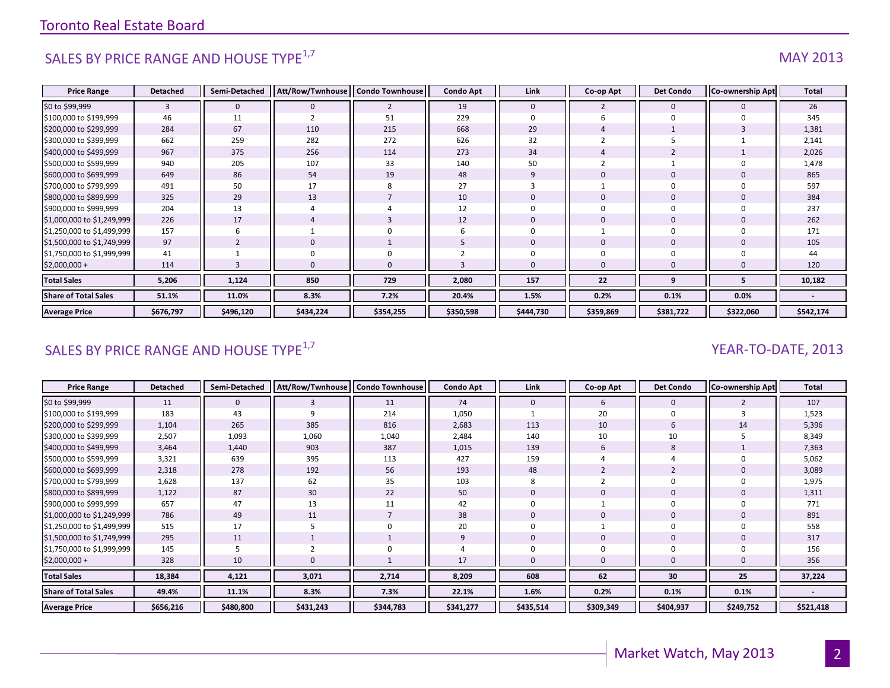# SALES BY PRICE RANGE AND HOUSE TYPE $^{1,7}$  MAY 2013

| <b>Price Range</b>          | <b>Detached</b> | Semi-Detached  | Att/Row/Twnhouse | <b>Condo Townhouse</b> | <b>Condo Apt</b> | Link         | Co-op Apt      | <b>Det Condo</b> | Co-ownership Apt | <b>Total</b> |
|-----------------------------|-----------------|----------------|------------------|------------------------|------------------|--------------|----------------|------------------|------------------|--------------|
| \$0 to \$99,999             | 3               | $\mathbf{0}$   | $\mathbf{0}$     | $\overline{2}$         | 19               | $\mathbf{0}$ | $\overline{2}$ | $\mathbf{0}$     |                  | 26           |
| \$100,000 to \$199,999      | 46              | 11             |                  | 51                     | 229              | $\Omega$     |                | $\Omega$         |                  | 345          |
| \$200,000 to \$299,999      | 284             | 67             | 110              | 215                    | 668              | 29           |                |                  |                  | 1,381        |
| \$300,000 to \$399,999      | 662             | 259            | 282              | 272                    | 626              | 32           |                |                  |                  | 2,141        |
| \$400,000 to \$499,999      | 967             | 375            | 256              | 114                    | 273              | 34           |                |                  |                  | 2,026        |
| \$500,000 to \$599,999      | 940             | 205            | 107              | 33                     | 140              | 50           |                |                  |                  | 1,478        |
| \$600,000 to \$699,999      | 649             | 86             | 54               | 19                     | 48               | 9            | $\Omega$       | $\mathbf{0}$     |                  | 865          |
| \$700,000 to \$799,999      | 491             | 50             | 17               | 8                      | 27               |              |                | $\Omega$         |                  | 597          |
| \$800,000 to \$899,999      | 325             | 29             | 13               |                        | 10               | $\Omega$     | $\mathbf 0$    | $\mathbf{0}$     |                  | 384          |
| \$900,000 to \$999,999      | 204             | 13             |                  |                        | 12               |              |                |                  |                  | 237          |
| \$1,000,000 to \$1,249,999  | 226             | 17             |                  | 3                      | 12               | $\Omega$     | $\mathbf 0$    | $\mathbf{0}$     |                  | 262          |
| \$1,250,000 to \$1,499,999  | 157             | 6              |                  | $\Omega$               |                  | $\Omega$     |                | $\Omega$         |                  | 171          |
| \$1,500,000 to \$1,749,999  | 97              | $\overline{2}$ | $\mathbf 0$      |                        |                  | $\mathbf{0}$ | $\mathbf{0}$   | $\mathbf{0}$     | $\Omega$         | 105          |
| \$1,750,000 to \$1,999,999  | 41              |                | 0                | $\Omega$               |                  |              | $\Omega$       |                  |                  | 44           |
| $$2,000,000+$               | 114             |                | $\Omega$         |                        |                  |              | $\Omega$       |                  |                  | 120          |
| <b>Total Sales</b>          | 5,206           | 1,124          | 850              | 729                    | 2,080            | 157          | 22             | q                |                  | 10,182       |
| <b>Share of Total Sales</b> | 51.1%           | 11.0%          | 8.3%             | 7.2%                   | 20.4%            | 1.5%         | 0.2%           | 0.1%             | 0.0%             |              |
| <b>Average Price</b>        | \$676,797       | \$496,120      | \$434,224        | \$354,255              | \$350,598        | \$444,730    | \$359,869      | \$381,722        | \$322,060        | \$542,174    |

### SALES BY PRICE RANGE AND HOUSE TYPE<sup>1,7</sup> And the set of the set of the set of the set of the set of the set of the set of the set of the set of the set of the set of the set of the set of the set of the set of the set of t

| <b>Price Range</b>          | <b>Detached</b> | Semi-Detached | Att/Row/Twnhouse   Condo Townhouse |                | <b>Condo Apt</b> | Link        | Co-op Apt | <b>Det Condo</b> | <b>Co-ownership Apt</b> | <b>Total</b> |
|-----------------------------|-----------------|---------------|------------------------------------|----------------|------------------|-------------|-----------|------------------|-------------------------|--------------|
| \$0 to \$99,999             | 11              | $\mathbf{0}$  |                                    | 11             | 74               | $\mathbf 0$ | 6         | 0                |                         | 107          |
| \$100,000 to \$199,999      | 183             | 43            |                                    | 214            | 1,050            |             | 20        |                  |                         | 1,523        |
| \$200,000 to \$299,999      | 1,104           | 265           | 385                                | 816            | 2,683            | 113         | 10        | 6                | 14                      | 5,396        |
| \$300,000 to \$399,999      | 2,507           | 1,093         | 1,060                              | 1,040          | 2,484            | 140         | 10        | 10               |                         | 8,349        |
| \$400,000 to \$499,999      | 3,464           | 1,440         | 903                                | 387            | 1,015            | 139         | 6         | 8                |                         | 7,363        |
| \$500,000 to \$599,999      | 3,321           | 639           | 395                                | 113            | 427              | 159         |           |                  |                         | 5,062        |
| \$600,000 to \$699,999      | 2,318           | 278           | 192                                | 56             | 193              | 48          |           | $\overline{2}$   |                         | 3,089        |
| \$700,000 to \$799,999      | 1,628           | 137           | 62                                 | 35             | 103              | 8           |           |                  |                         | 1,975        |
| \$800,000 to \$899,999      | 1,122           | 87            | 30                                 | 22             | 50               | $\Omega$    |           |                  |                         | 1,311        |
| \$900,000 to \$999,999      | 657             | 47            | 13                                 | 11             | 42               |             |           |                  |                         | 771          |
| \$1,000,000 to \$1,249,999  | 786             | 49            | 11                                 | $\overline{7}$ | 38               | $\Omega$    | 0         | 0                |                         | 891          |
| \$1,250,000 to \$1,499,999  | 515             | 17            |                                    | 0              | 20               |             |           |                  |                         | 558          |
| \$1,500,000 to \$1,749,999  | 295             | 11            |                                    |                | 9                | $\mathbf 0$ | 0         | 0                |                         | 317          |
| \$1,750,000 to \$1,999,999  | 145             | 5             |                                    | 0              |                  |             | 0         |                  |                         | 156          |
| $$2,000,000+$               | 328             | 10            | $\Omega$                           |                | 17               | $\Omega$    | 0         |                  |                         | 356          |
| <b>Total Sales</b>          | 18,384          | 4,121         | 3,071                              | 2,714          | 8,209            | 608         | 62        | 30               | 25                      | 37,224       |
| <b>Share of Total Sales</b> | 49.4%           | 11.1%         | 8.3%                               | 7.3%           | 22.1%            | 1.6%        | 0.2%      | 0.1%             | 0.1%                    |              |
| <b>Average Price</b>        | \$656,216       | \$480,800     | \$431,243                          | \$344,783      | \$341,277        | \$435,514   | \$309,349 | \$404,937        | \$249,752               | \$521,418    |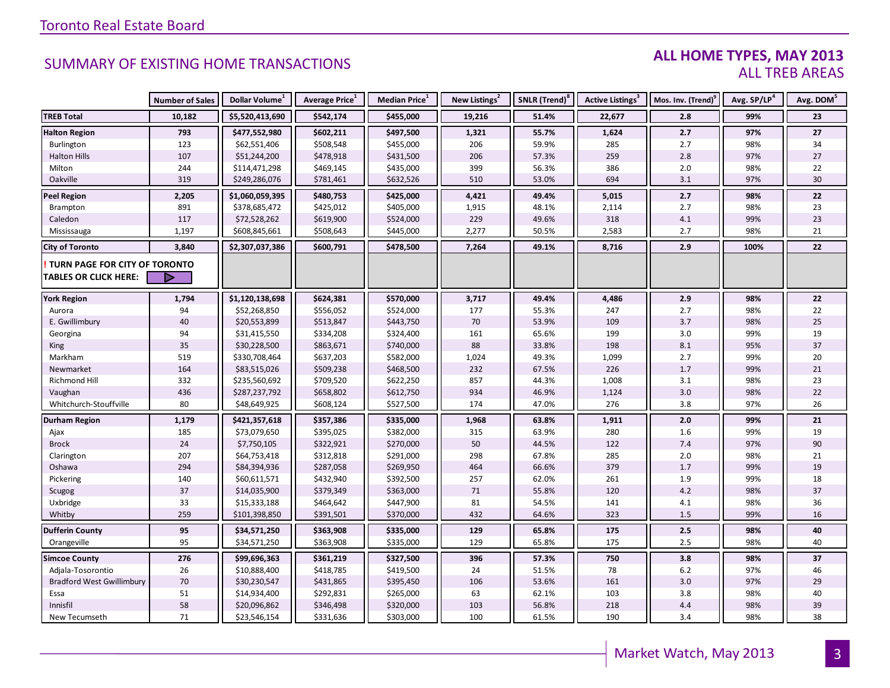#### **ALL HOME TYPES, MAY 2013** ALL TREB AREAS

|                                  | <b>Number of Sales</b> | Dollar Volume <sup>1</sup> | Average Price <sup>1</sup> | Median Price <sup>1</sup> | New Listings <sup>2</sup> | SNLR (Trend) <sup>8</sup> | <b>Active Listings<sup>3</sup></b> | Mos. Inv. (Trend) <sup>9</sup> | Avg. SP/LP <sup>4</sup> | Avg. DOM <sup>5</sup> |
|----------------------------------|------------------------|----------------------------|----------------------------|---------------------------|---------------------------|---------------------------|------------------------------------|--------------------------------|-------------------------|-----------------------|
| <b>TREB Total</b>                | 10,182                 | \$5,520,413,690            | \$542,174                  | \$455,000                 | 19,216                    | 51.4%                     | 22,677                             | 2.8                            | 99%                     | 23                    |
| <b>Halton Region</b>             | 793                    | \$477,552,980              | \$602,211                  | \$497,500                 | 1,321                     | 55.7%                     | 1,624                              | 2.7                            | 97%                     | 27                    |
| Burlington                       | 123                    | \$62,551,406               | \$508,548                  | \$455,000                 | 206                       | 59.9%                     | 285                                | 2.7                            | 98%                     | 34                    |
| <b>Halton Hills</b>              | 107                    | \$51,244,200               | \$478,918                  | \$431,500                 | 206                       | 57.3%                     | 259                                | $2.8$                          | 97%                     | 27                    |
| Milton                           | 244                    | \$114,471,298              | \$469,145                  | \$435,000                 | 399                       | 56.3%                     | 386                                | $2.0\,$                        | 98%                     | 22                    |
| Oakville                         | 319                    | \$249,286,076              | \$781,461                  | \$632,526                 | 510                       | 53.0%                     | 694                                | 3.1                            | 97%                     | $30\,$                |
| <b>Peel Region</b>               | 2,205                  | \$1,060,059,395            | \$480,753                  | \$425,000                 | 4,421                     | 49.4%                     | 5,015                              | 2.7                            | 98%                     | 22                    |
| Brampton                         | 891                    | \$378,685,472              | \$425,012                  | \$405,000                 | 1,915                     | 48.1%                     | 2,114                              | 2.7                            | 98%                     | 23                    |
| Caledon                          | 117                    | \$72,528,262               | \$619,900                  | \$524,000                 | 229                       | 49.6%                     | 318                                | 4.1                            | 99%                     | 23                    |
| Mississauga                      | 1,197                  | \$608,845,661              | \$508,643                  | \$445,000                 | 2,277                     | 50.5%                     | 2,583                              | 2.7                            | 98%                     | 21                    |
| <b>City of Toronto</b>           | 3,840                  | \$2,307,037,386            | \$600,791                  | \$478,500                 | 7,264                     | 49.1%                     | 8,716                              | 2.9                            | 100%                    | 22                    |
| TURN PAGE FOR CITY OF TORONTO    |                        |                            |                            |                           |                           |                           |                                    |                                |                         |                       |
| <b>TABLES OR CLICK HERE:</b>     |                        |                            |                            |                           |                           |                           |                                    |                                |                         |                       |
|                                  | 1,794                  | \$1,120,138,698            | \$624,381                  | \$570,000                 | 3,717                     | 49.4%                     | 4,486                              | 2.9                            | 98%                     | 22                    |
| <b>York Region</b><br>Aurora     | 94                     | \$52,268,850               | \$556,052                  | \$524,000                 | 177                       | 55.3%                     | 247                                | 2.7                            | 98%                     | 22                    |
| E. Gwillimbury                   | 40                     | \$20,553,899               | \$513,847                  | \$443,750                 | 70                        | 53.9%                     | 109                                | 3.7                            | 98%                     | 25                    |
| Georgina                         | 94                     | \$31,415,550               | \$334,208                  | \$324,400                 | 161                       | 65.6%                     | 199                                | 3.0                            | 99%                     | 19                    |
| King                             | 35                     | \$30,228,500               | \$863,671                  | \$740,000                 | 88                        | 33.8%                     | 198                                | 8.1                            | 95%                     | 37                    |
| Markham                          | 519                    | \$330,708,464              | \$637,203                  | \$582,000                 | 1,024                     | 49.3%                     | 1,099                              | 2.7                            | 99%                     | 20                    |
| Newmarket                        | 164                    | \$83,515,026               | \$509,238                  | \$468,500                 | 232                       | 67.5%                     | 226                                | $1.7$                          | 99%                     | 21                    |
| <b>Richmond Hill</b>             | 332                    | \$235,560,692              | \$709,520                  | \$622,250                 | 857                       | 44.3%                     | 1,008                              | 3.1                            | 98%                     | 23                    |
| Vaughan                          | 436                    | \$287,237,792              | \$658,802                  | \$612,750                 | 934                       | 46.9%                     | 1,124                              | 3.0                            | 98%                     | 22                    |
| Whitchurch-Stouffville           | 80                     | \$48,649,925               | \$608,124                  | \$527,500                 | 174                       | 47.0%                     | 276                                | 3.8                            | 97%                     | 26                    |
| <b>Durham Region</b>             | 1,179                  | \$421,357,618              | \$357,386                  | \$335,000                 | 1,968                     | 63.8%                     | 1,911                              | 2.0                            | 99%                     | 21                    |
| Ajax                             | 185                    | \$73,079,650               | \$395,025                  | \$382,000                 | 315                       | 63.9%                     | 280                                | 1.6                            | 99%                     | 19                    |
| <b>Brock</b>                     | 24                     | \$7,750,105                | \$322,921                  | \$270,000                 | 50                        | 44.5%                     | 122                                | 7.4                            | 97%                     | $90\,$                |
| Clarington                       | 207                    | \$64,753,418               | \$312,818                  | \$291,000                 | 298                       | 67.8%                     | 285                                | 2.0                            | 98%                     | 21                    |
| Oshawa                           | 294                    | \$84,394,936               | \$287,058                  | \$269,950                 | 464                       | 66.6%                     | 379                                | $1.7$                          | 99%                     | 19                    |
| Pickering                        | 140                    | \$60,611,571               | \$432,940                  | \$392,500                 | 257                       | 62.0%                     | 261                                | $1.9\,$                        | 99%                     | 18                    |
| Scugog                           | 37                     | \$14,035,900               | \$379,349                  | \$363,000                 | 71                        | 55.8%                     | 120                                | 4.2                            | 98%                     | 37                    |
| Uxbridge                         | 33                     | \$15,333,188               | \$464,642                  | \$447,900                 | 81                        | 54.5%                     | 141                                | 4.1                            | 98%                     | 36                    |
| Whitby                           | 259                    | \$101,398,850              | \$391,501                  | \$370,000                 | 432                       | 64.6%                     | 323                                | 1.5                            | 99%                     | 16                    |
| <b>Dufferin County</b>           | 95                     | \$34,571,250               | \$363,908                  | \$335,000                 | 129                       | 65.8%                     | 175                                | 2.5                            | 98%                     | 40                    |
| Orangeville                      | 95                     | \$34,571,250               | \$363,908                  | \$335,000                 | 129                       | 65.8%                     | 175                                | 2.5                            | 98%                     | 40                    |
| <b>Simcoe County</b>             | 276                    | \$99,696,363               | \$361,219                  | \$327,500                 | 396                       | 57.3%                     | 750                                | 3.8                            | 98%                     | 37                    |
| Adjala-Tosorontio                | 26                     | \$10,888,400               | \$418,785                  | \$419,500                 | 24                        | 51.5%                     | 78                                 | $6.2$                          | 97%                     | 46                    |
| <b>Bradford West Gwillimbury</b> | 70                     | \$30,230,547               | \$431,865                  | \$395,450                 | 106                       | 53.6%                     | 161                                | 3.0                            | 97%                     | 29                    |
| Essa                             | 51                     | \$14,934,400               | \$292,831                  | \$265,000                 | 63                        | 62.1%                     | 103                                | 3.8                            | 98%                     | 40                    |
| Innisfil                         | 58                     | \$20,096,862               | \$346,498                  | \$320,000                 | 103                       | 56.8%                     | 218                                | 4.4                            | 98%                     | 39                    |
| New Tecumseth                    | 71                     | \$23,546,154               | \$331,636                  | \$303,000                 | 100                       | 61.5%                     | 190                                | 3.4                            | 98%                     | 38                    |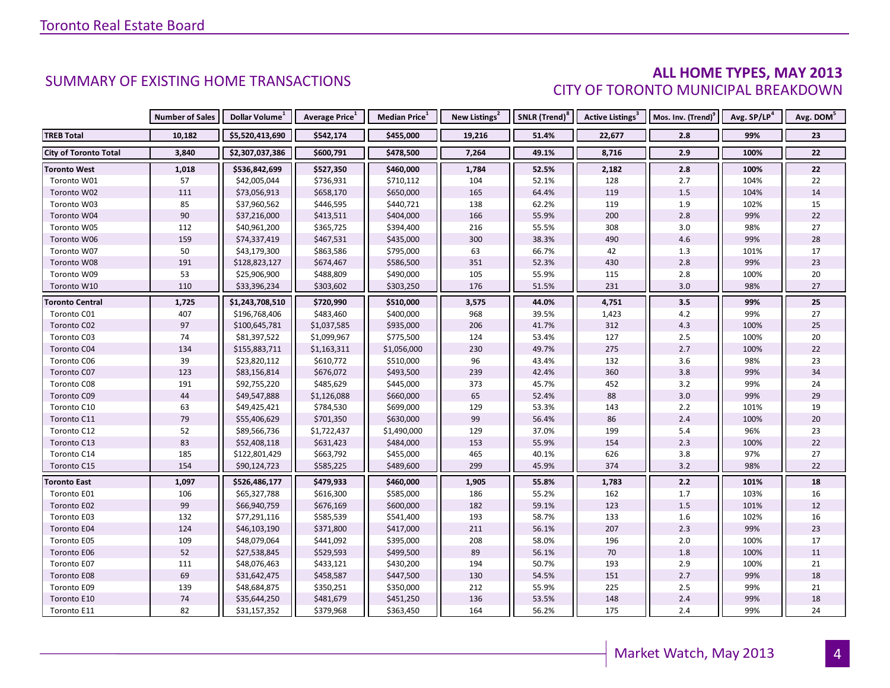#### **ALL HOME TYPES, MAY 2013** CITY OF TORONTO MUNICIPAL BREAKDOWN

|                              | <b>Number of Sales</b> | Dollar Volume <sup>1</sup> | <b>Average Price</b> <sup>1</sup> | Median Price <sup>1</sup> | New Listings <sup>2</sup> | SNLR (Trend) <sup>8</sup> | Active Listings <sup>3</sup> | Mos. Inv. (Trend) <sup>9</sup> | Avg. SP/LP <sup>4</sup> | Avg. DOM <sup>5</sup> |
|------------------------------|------------------------|----------------------------|-----------------------------------|---------------------------|---------------------------|---------------------------|------------------------------|--------------------------------|-------------------------|-----------------------|
| <b>TREB Total</b>            | 10,182                 | \$5,520,413,690            | \$542,174                         | \$455,000                 | 19,216                    | 51.4%                     | 22,677                       | 2.8                            | 99%                     | 23                    |
| <b>City of Toronto Total</b> | 3,840                  | \$2,307,037,386            | \$600,791                         | \$478,500                 | 7,264                     | 49.1%                     | 8,716                        | 2.9                            | 100%                    | 22                    |
| <b>Toronto West</b>          | 1,018                  | \$536,842,699              | \$527,350                         | \$460,000                 | 1,784                     | 52.5%                     | 2,182                        | $2.8\,$                        | 100%                    | 22                    |
| Toronto W01                  | 57                     | \$42,005,044               | \$736,931                         | \$710,112                 | 104                       | 52.1%                     | 128                          | 2.7                            | 104%                    | 22                    |
| Toronto W02                  | 111                    | \$73,056,913               | \$658,170                         | \$650,000                 | 165                       | 64.4%                     | 119                          | 1.5                            | 104%                    | 14                    |
| Toronto W03                  | 85                     | \$37,960,562               | \$446,595                         | \$440,721                 | 138                       | 62.2%                     | 119                          | 1.9                            | 102%                    | 15                    |
| Toronto W04                  | $90\,$                 | \$37,216,000               | \$413,511                         | \$404,000                 | 166                       | 55.9%                     | 200                          | 2.8                            | 99%                     | 22                    |
| Toronto W05                  | 112                    | \$40,961,200               | \$365,725                         | \$394,400                 | 216                       | 55.5%                     | 308                          | 3.0                            | 98%                     | 27                    |
| Toronto W06                  | 159                    | \$74,337,419               | \$467,531                         | \$435,000                 | 300                       | 38.3%                     | 490                          | 4.6                            | 99%                     | 28                    |
| Toronto W07                  | 50                     | \$43,179,300               | \$863,586                         | \$795,000                 | 63                        | 66.7%                     | 42                           | 1.3                            | 101%                    | 17                    |
| Toronto W08                  | 191                    | \$128,823,127              | \$674,467                         | \$586,500                 | 351                       | 52.3%                     | 430                          | 2.8                            | 99%                     | 23                    |
| Toronto W09                  | 53                     | \$25,906,900               | \$488,809                         | \$490,000                 | 105                       | 55.9%                     | 115                          | 2.8                            | 100%                    | 20                    |
| Toronto W10                  | 110                    | \$33,396,234               | \$303,602                         | \$303,250                 | 176                       | 51.5%                     | 231                          | 3.0                            | 98%                     | 27                    |
| <b>Toronto Central</b>       | 1,725                  | \$1,243,708,510            | \$720,990                         | \$510,000                 | 3,575                     | 44.0%                     | 4,751                        | 3.5                            | 99%                     | 25                    |
| Toronto C01                  | 407                    | \$196,768,406              | \$483,460                         | \$400,000                 | 968                       | 39.5%                     | 1,423                        | $4.2\,$                        | 99%                     | 27                    |
| Toronto C02                  | 97                     | \$100,645,781              | \$1,037,585                       | \$935,000                 | 206                       | 41.7%                     | 312                          | 4.3                            | 100%                    | 25                    |
| Toronto C03                  | 74                     | \$81,397,522               | \$1,099,967                       | \$775,500                 | 124                       | 53.4%                     | 127                          | 2.5                            | 100%                    | 20                    |
| Toronto C04                  | 134                    | \$155,883,711              | \$1,163,311                       | \$1,056,000               | 230                       | 49.7%                     | 275                          | 2.7                            | 100%                    | 22                    |
| Toronto C06                  | 39                     | \$23,820,112               | \$610,772                         | \$510,000                 | 96                        | 43.4%                     | 132                          | 3.6                            | 98%                     | 23                    |
| Toronto C07                  | 123                    | \$83,156,814               | \$676,072                         | \$493,500                 | 239                       | 42.4%                     | 360                          | 3.8                            | 99%                     | 34                    |
| Toronto C08                  | 191                    | \$92,755,220               | \$485,629                         | \$445,000                 | 373                       | 45.7%                     | 452                          | $3.2$                          | 99%                     | 24                    |
| Toronto C09                  | $44\,$                 | \$49,547,888               | \$1,126,088                       | \$660,000                 | 65                        | 52.4%                     | 88                           | 3.0                            | 99%                     | 29                    |
| Toronto C10                  | 63                     | \$49,425,421               | \$784,530                         | \$699,000                 | 129                       | 53.3%                     | 143                          | $2.2$                          | 101%                    | 19                    |
| Toronto C11                  | 79                     | \$55,406,629               | \$701,350                         | \$630,000                 | 99                        | 56.4%                     | 86                           | 2.4                            | 100%                    | 20                    |
| Toronto C12                  | 52                     | \$89,566,736               | \$1,722,437                       | \$1,490,000               | 129                       | 37.0%                     | 199                          | 5.4                            | 96%                     | 23                    |
| Toronto C13                  | 83                     | \$52,408,118               | \$631,423                         | \$484,000                 | 153                       | 55.9%                     | 154                          | 2.3                            | 100%                    | 22                    |
| Toronto C14                  | 185                    | \$122,801,429              | \$663,792                         | \$455,000                 | 465                       | 40.1%                     | 626                          | 3.8                            | 97%                     | 27                    |
| Toronto C15                  | 154                    | \$90,124,723               | \$585,225                         | \$489,600                 | 299                       | 45.9%                     | 374                          | 3.2                            | 98%                     | 22                    |
| Toronto East                 | 1,097                  | \$526,486,177              | \$479,933                         | \$460,000                 | 1,905                     | 55.8%                     | 1,783                        | $2.2$                          | 101%                    | 18                    |
| Toronto E01                  | 106                    | \$65,327,788               | \$616,300                         | \$585,000                 | 186                       | 55.2%                     | 162                          | 1.7                            | 103%                    | 16                    |
| Toronto E02                  | 99                     | \$66,940,759               | \$676,169                         | \$600,000                 | 182                       | 59.1%                     | 123                          | $1.5$                          | 101%                    | 12                    |
| Toronto E03                  | 132                    | \$77,291,116               | \$585,539                         | \$541,400                 | 193                       | 58.7%                     | 133                          | 1.6                            | 102%                    | 16                    |
| Toronto E04                  | 124                    | \$46,103,190               | \$371,800                         | \$417,000                 | 211                       | 56.1%                     | 207                          | 2.3                            | 99%                     | 23                    |
| Toronto E05                  | 109                    | \$48,079,064               | \$441,092                         | \$395,000                 | 208                       | 58.0%                     | 196                          | $2.0$                          | 100%                    | 17                    |
| Toronto E06                  | 52                     | \$27,538,845               | \$529,593                         | \$499,500                 | 89                        | 56.1%                     | 70                           | 1.8                            | 100%                    | 11                    |
| Toronto E07                  | 111                    | \$48,076,463               | \$433,121                         | \$430,200                 | 194                       | 50.7%                     | 193                          | 2.9                            | 100%                    | 21                    |
| Toronto E08                  | 69                     | \$31,642,475               | \$458,587                         | \$447,500                 | 130                       | 54.5%                     | 151                          | 2.7                            | 99%                     | 18                    |
| Toronto E09                  | 139                    | \$48,684,875               | \$350,251                         | \$350,000                 | 212                       | 55.9%                     | 225                          | $2.5$                          | 99%                     | 21                    |
| Toronto E10                  | $74$                   | \$35,644,250               | \$481,679                         | \$451,250                 | 136                       | 53.5%                     | 148                          | $2.4$                          | 99%                     | 18                    |
| Toronto E11                  | 82                     | \$31,157,352               | \$379,968                         | \$363,450                 | 164                       | 56.2%                     | 175                          | 2.4                            | 99%                     | 24                    |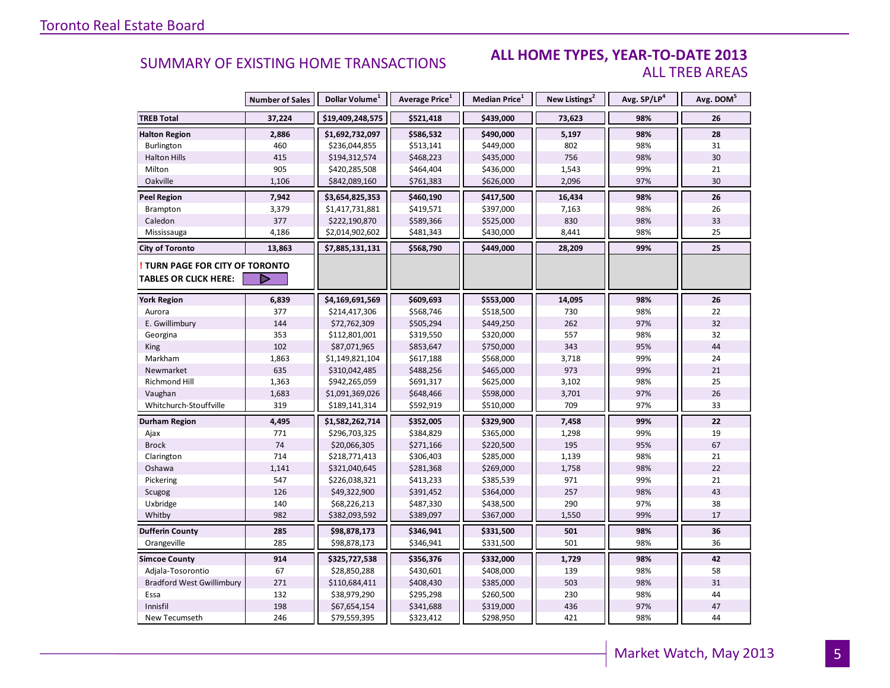#### **ALL HOME TYPES, YEAR-TO-DATE 2013** ALL TREB AREAS

|                                  | <b>Number of Sales</b> | Dollar Volume <sup>1</sup> | Average Price <sup>1</sup> | <b>Median Price</b> <sup>1</sup> | New Listings <sup>2</sup> | Avg. SP/LP <sup>4</sup> | Avg. DOM <sup>5</sup> |
|----------------------------------|------------------------|----------------------------|----------------------------|----------------------------------|---------------------------|-------------------------|-----------------------|
| <b>TREB Total</b>                | 37,224                 | \$19,409,248,575           | \$521,418                  | \$439,000                        | 73,623                    | 98%                     | 26                    |
| <b>Halton Region</b>             | 2,886                  | \$1,692,732,097            | \$586,532                  | \$490,000                        | 5,197                     | 98%                     | 28                    |
| Burlington                       | 460                    | \$236,044,855              | \$513,141                  | \$449,000                        | 802                       | 98%                     | 31                    |
| <b>Halton Hills</b>              | 415                    | \$194,312,574              | \$468,223                  | \$435,000                        | 756                       | 98%                     | 30                    |
| Milton                           | 905                    | \$420,285,508              | \$464,404                  | \$436,000                        | 1,543                     | 99%                     | 21                    |
| Oakville                         | 1,106                  | \$842,089,160              | \$761,383                  | \$626,000                        | 2,096                     | 97%                     | 30                    |
| <b>Peel Region</b>               | 7,942                  | \$3,654,825,353            | \$460,190                  | \$417,500                        | 16,434                    | 98%                     | ${\bf 26}$            |
| Brampton                         | 3,379                  | \$1,417,731,881            | \$419,571                  | \$397,000                        | 7,163                     | 98%                     | 26                    |
| Caledon                          | 377                    | \$222,190,870              | \$589,366                  | \$525,000                        | 830                       | 98%                     | 33                    |
| Mississauga                      | 4,186                  | \$2,014,902,602            | \$481,343                  | \$430,000                        | 8,441                     | 98%                     | 25                    |
| <b>City of Toronto</b>           | 13,863                 | \$7,885,131,131            | \$568,790                  | \$449,000                        | 28,209                    | 99%                     | 25                    |
| TURN PAGE FOR CITY OF TORONTO    |                        |                            |                            |                                  |                           |                         |                       |
| <b>TABLES OR CLICK HERE:</b>     |                        |                            |                            |                                  |                           |                         |                       |
| <b>York Region</b>               | 6,839                  | \$4,169,691,569            | \$609,693                  | \$553,000                        | 14,095                    | 98%                     | 26                    |
| Aurora                           | 377                    | \$214,417,306              | \$568,746                  | \$518,500                        | 730                       | 98%                     | 22                    |
| E. Gwillimbury                   | 144                    | \$72,762,309               | \$505,294                  | \$449,250                        | 262                       | 97%                     | 32                    |
| Georgina                         | 353                    | \$112,801,001              | \$319,550                  | \$320,000                        | 557                       | 98%                     | 32                    |
| <b>King</b>                      | 102                    | \$87,071,965               | \$853,647                  | \$750,000                        | 343                       | 95%                     | 44                    |
| Markham                          | 1,863                  | \$1,149,821,104            | \$617,188                  | \$568,000                        | 3,718                     | 99%                     | 24                    |
| Newmarket                        | 635                    | \$310,042,485              | \$488,256                  | \$465,000                        | 973                       | 99%                     | 21                    |
| Richmond Hill                    | 1,363                  | \$942,265,059              | \$691,317                  | \$625,000                        | 3,102                     | 98%                     | 25                    |
| Vaughan                          | 1,683                  | \$1,091,369,026            | \$648,466                  | \$598,000                        | 3,701                     | 97%                     | 26                    |
| Whitchurch-Stouffville           | 319                    | \$189,141,314              | \$592,919                  | \$510,000                        | 709                       | 97%                     | 33                    |
| Durham Region                    | 4,495                  | \$1,582,262,714            | \$352,005                  | \$329,900                        | 7,458                     | 99%                     | 22                    |
| Ajax                             | 771                    | \$296,703,325              | \$384,829                  | \$365,000                        | 1,298                     | 99%                     | 19                    |
| <b>Brock</b>                     | 74                     | \$20,066,305               | \$271,166                  | \$220,500                        | 195                       | 95%                     | 67                    |
| Clarington                       | 714                    | \$218,771,413              | \$306,403                  | \$285,000                        | 1,139                     | 98%                     | 21                    |
| Oshawa                           | 1,141                  | \$321,040,645              | \$281,368                  | \$269,000                        | 1,758                     | 98%                     | 22                    |
| Pickering                        | 547                    | \$226,038,321              | \$413,233                  | \$385,539                        | 971                       | 99%                     | 21                    |
| Scugog                           | 126                    | \$49,322,900               | \$391,452                  | \$364,000                        | 257                       | 98%                     | 43                    |
| Uxbridge                         | 140                    | \$68,226,213               | \$487,330                  | \$438,500                        | 290                       | 97%                     | 38                    |
| Whitby                           | 982                    | \$382,093,592              | \$389,097                  | \$367,000                        | 1,550                     | 99%                     | 17                    |
| <b>Dufferin County</b>           | 285                    | \$98,878,173               | \$346,941                  | \$331,500                        | 501                       | 98%                     | 36                    |
| Orangeville                      | 285                    | \$98,878,173               | \$346,941                  | \$331,500                        | 501                       | 98%                     | 36                    |
| <b>Simcoe County</b>             | 914                    | \$325,727,538              | \$356,376                  | \$332,000                        | 1,729                     | 98%                     | 42                    |
| Adjala-Tosorontio                | 67                     | \$28,850,288               | \$430,601                  | \$408,000                        | 139                       | 98%                     | 58                    |
| <b>Bradford West Gwillimbury</b> | 271                    | \$110,684,411              | \$408,430                  | \$385,000                        | 503                       | 98%                     | 31                    |
| Essa                             | 132                    | \$38,979,290               | \$295,298                  | \$260,500                        | 230                       | 98%                     | 44                    |
| Innisfil                         | 198                    | \$67,654,154               | \$341,688                  | \$319,000                        | 436                       | 97%                     | 47                    |
| New Tecumseth                    | 246                    | \$79,559,395               | \$323,412                  | \$298,950                        | 421                       | 98%                     | 44                    |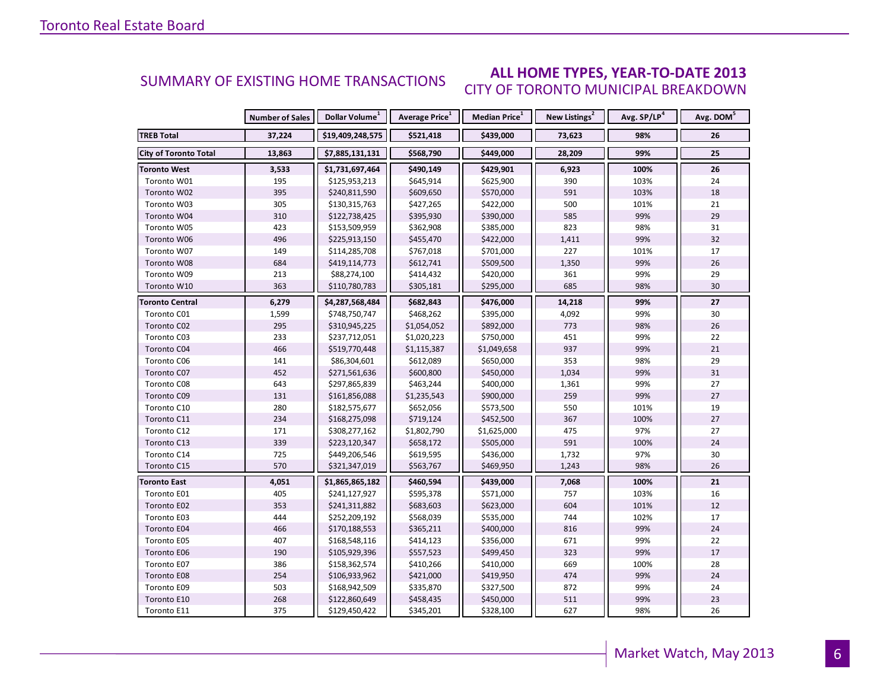#### **ALL HOME TYPES, YEAR-TO-DATE 2013** CITY OF TORONTO MUNICIPAL BREAKDOWN SUMMARY OF EXISTING HOME TRANSACTIONS

|                              | <b>Number of Sales</b> | Dollar Volume <sup>1</sup> | Average Price <sup>1</sup> | Median Price <sup>1</sup> | New Listings <sup>2</sup> | Avg. SP/LP <sup>4</sup> | Avg. DOM <sup>5</sup> |
|------------------------------|------------------------|----------------------------|----------------------------|---------------------------|---------------------------|-------------------------|-----------------------|
| <b>TREB Total</b>            | 37,224                 | \$19,409,248,575           | \$521,418                  | \$439,000                 | 73,623                    | 98%                     | 26                    |
| <b>City of Toronto Total</b> | 13,863                 | \$7,885,131,131            | \$568,790                  | \$449,000                 | 28,209                    | 99%                     | 25                    |
| <b>Toronto West</b>          | 3,533                  | \$1,731,697,464            | \$490,149                  | \$429,901                 | 6,923                     | 100%                    | 26                    |
| Toronto W01                  | 195                    | \$125,953,213              | \$645,914                  | \$625,900                 | 390                       | 103%                    | 24                    |
| Toronto W02                  | 395                    | \$240,811,590              | \$609,650                  | \$570,000                 | 591                       | 103%                    | 18                    |
| Toronto W03                  | 305                    | \$130,315,763              | \$427,265                  | \$422,000                 | 500                       | 101%                    | 21                    |
| Toronto W04                  | 310                    | \$122,738,425              | \$395,930                  | \$390,000                 | 585                       | 99%                     | 29                    |
| Toronto W05                  | 423                    | \$153,509,959              | \$362,908                  | \$385,000                 | 823                       | 98%                     | 31                    |
| Toronto W06                  | 496                    | \$225,913,150              | \$455,470                  | \$422,000                 | 1,411                     | 99%                     | 32                    |
| Toronto W07                  | 149                    | \$114,285,708              | \$767,018                  | \$701,000                 | 227                       | 101%                    | 17                    |
| Toronto W08                  | 684                    | \$419,114,773              | \$612,741                  | \$509,500                 | 1,350                     | 99%                     | 26                    |
| Toronto W09                  | 213                    | \$88,274,100               | \$414,432                  | \$420,000                 | 361                       | 99%                     | 29                    |
| Toronto W10                  | 363                    | \$110,780,783              | \$305,181                  | \$295,000                 | 685                       | 98%                     | 30                    |
| <b>Toronto Central</b>       | 6,279                  | \$4,287,568,484            | \$682,843                  | \$476,000                 | 14,218                    | 99%                     | 27                    |
| Toronto C01                  | 1,599                  | \$748,750,747              | \$468,262                  | \$395,000                 | 4,092                     | 99%                     | 30                    |
| Toronto C02                  | 295                    | \$310,945,225              | \$1,054,052                | \$892,000                 | 773                       | 98%                     | 26                    |
| Toronto C03                  | 233                    | \$237,712,051              | \$1,020,223                | \$750,000                 | 451                       | 99%                     | 22                    |
| Toronto C04                  | 466                    | \$519,770,448              | \$1,115,387                | \$1,049,658               | 937                       | 99%                     | 21                    |
| Toronto C06                  | 141                    | \$86,304,601               | \$612,089                  | \$650,000                 | 353                       | 98%                     | 29                    |
| Toronto C07                  | 452                    | \$271,561,636              | \$600,800                  | \$450,000                 | 1,034                     | 99%                     | 31                    |
| Toronto C08                  | 643                    | \$297,865,839              | \$463,244                  | \$400,000                 | 1,361                     | 99%                     | 27                    |
| Toronto C09                  | 131                    | \$161,856,088              | \$1,235,543                | \$900,000                 | 259                       | 99%                     | 27                    |
| Toronto C10                  | 280                    | \$182,575,677              | \$652,056                  | \$573,500                 | 550                       | 101%                    | 19                    |
| Toronto C11                  | 234                    | \$168,275,098              | \$719,124                  | \$452,500                 | 367                       | 100%                    | 27                    |
| Toronto C12                  | 171                    | \$308,277,162              | \$1,802,790                | \$1,625,000               | 475                       | 97%                     | 27                    |
| Toronto C13                  | 339                    | \$223,120,347              | \$658,172                  | \$505,000                 | 591                       | 100%                    | 24                    |
| Toronto C14                  | 725                    | \$449,206,546              | \$619,595                  | \$436,000                 | 1,732                     | 97%                     | 30                    |
| Toronto C15                  | 570                    | \$321,347,019              | \$563,767                  | \$469,950                 | 1,243                     | 98%                     | 26                    |
| Toronto East                 | 4,051                  | \$1,865,865,182            | \$460,594                  | \$439,000                 | 7,068                     | 100%                    | 21                    |
| Toronto E01                  | 405                    | \$241,127,927              | \$595,378                  | \$571,000                 | 757                       | 103%                    | 16                    |
| Toronto E02                  | 353                    | \$241,311,882              | \$683,603                  | \$623,000                 | 604                       | 101%                    | 12                    |
| Toronto E03                  | 444                    | \$252,209,192              | \$568,039                  | \$535,000                 | 744                       | 102%                    | 17                    |
| Toronto E04                  | 466                    | \$170,188,553              | \$365,211                  | \$400,000                 | 816                       | 99%                     | 24                    |
| Toronto E05                  | 407                    | \$168,548,116              | \$414,123                  | \$356,000                 | 671                       | 99%                     | 22                    |
| Toronto E06                  | 190                    | \$105,929,396              | \$557,523                  | \$499,450                 | 323                       | 99%                     | 17                    |
| Toronto E07                  | 386                    | \$158,362,574              | \$410,266                  | \$410,000                 | 669                       | 100%                    | 28                    |
| Toronto E08                  | 254                    | \$106,933,962              | \$421,000                  | \$419,950                 | 474                       | 99%                     | 24                    |
| Toronto E09                  | 503                    | \$168,942,509              | \$335,870                  | \$327,500                 | 872                       | 99%                     | 24                    |
| Toronto E10                  | 268                    | \$122,860,649              | \$458,435                  | \$450,000                 | 511                       | 99%                     | 23                    |
| Toronto E11                  | 375                    | \$129,450,422              | \$345,201                  | \$328,100                 | 627                       | 98%                     | 26                    |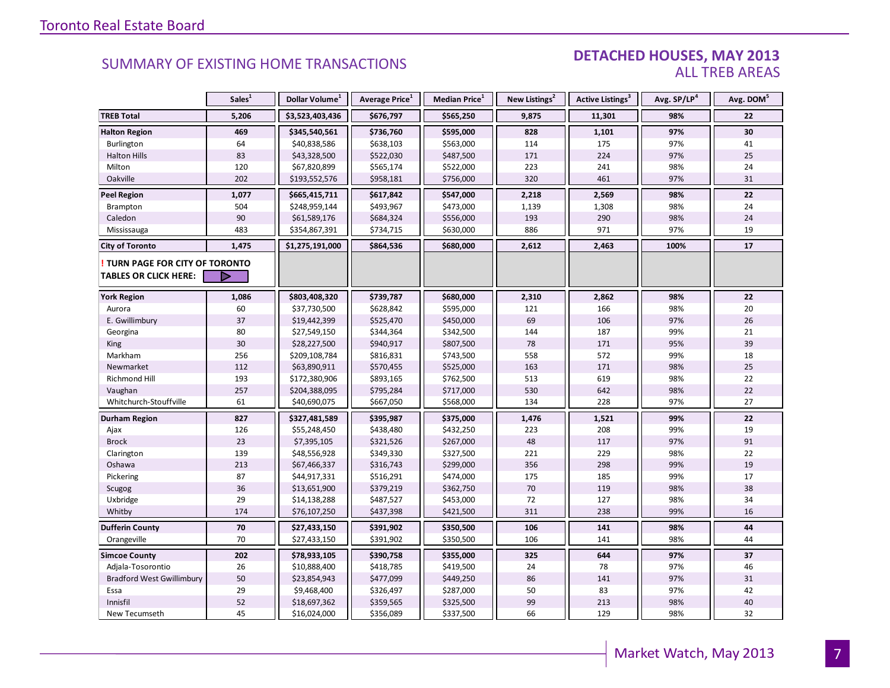#### DETACHED HOUSES, MAY 2013 ALL TREB AREAS

|                                  | Sales <sup>1</sup> | Dollar Volume <sup>1</sup> | Average Price <sup>1</sup> | Median Price <sup>1</sup> | New Listings <sup>2</sup> | <b>Active Listings<sup>3</sup></b> | Avg. SP/LP <sup>4</sup> | Avg. DOM <sup>5</sup> |
|----------------------------------|--------------------|----------------------------|----------------------------|---------------------------|---------------------------|------------------------------------|-------------------------|-----------------------|
| <b>TREB Total</b>                | 5,206              | \$3,523,403,436            | \$676,797                  | \$565,250                 | 9,875                     | 11,301                             | 98%                     | 22                    |
| <b>Halton Region</b>             | 469                | \$345,540,561              | \$736,760                  | \$595,000                 | 828                       | 1,101                              | 97%                     | 30                    |
| Burlington                       | 64                 | \$40,838,586               | \$638,103                  | \$563,000                 | 114                       | 175                                | 97%                     | 41                    |
| <b>Halton Hills</b>              | 83                 | \$43,328,500               | \$522,030                  | \$487,500                 | 171                       | 224                                | 97%                     | 25                    |
| Milton                           | 120                | \$67,820,899               | \$565,174                  | \$522,000                 | 223                       | 241                                | 98%                     | 24                    |
| Oakville                         | 202                | \$193,552,576              | \$958,181                  | \$756,000                 | 320                       | 461                                | 97%                     | 31                    |
| <b>Peel Region</b>               | 1,077              | \$665,415,711              | \$617,842                  | \$547,000                 | 2,218                     | 2,569                              | 98%                     | 22                    |
| Brampton                         | 504                | \$248,959,144              | \$493,967                  | \$473,000                 | 1,139                     | 1,308                              | 98%                     | 24                    |
| Caledon                          | 90                 | \$61,589,176               | \$684,324                  | \$556,000                 | 193                       | 290                                | 98%                     | 24                    |
| Mississauga                      | 483                | \$354,867,391              | \$734,715                  | \$630,000                 | 886                       | 971                                | 97%                     | 19                    |
| <b>City of Toronto</b>           | 1,475              | \$1,275,191,000            | \$864,536                  | \$680,000                 | 2,612                     | 2,463                              | 100%                    | 17                    |
| TURN PAGE FOR CITY OF TORONTO    |                    |                            |                            |                           |                           |                                    |                         |                       |
| <b>TABLES OR CLICK HERE:</b>     | D                  |                            |                            |                           |                           |                                    |                         |                       |
| <b>York Region</b>               | 1,086              | \$803,408,320              | \$739,787                  | \$680,000                 | 2,310                     | 2,862                              | 98%                     | 22                    |
| Aurora                           | 60                 | \$37,730,500               | \$628,842                  | \$595,000                 | 121                       | 166                                | 98%                     | 20                    |
| E. Gwillimbury                   | 37                 | \$19,442,399               | \$525,470                  | \$450,000                 | 69                        | 106                                | 97%                     | 26                    |
| Georgina                         | 80                 | \$27,549,150               | \$344,364                  | \$342,500                 | 144                       | 187                                | 99%                     | 21                    |
| King                             | 30                 | \$28,227,500               | \$940,917                  | \$807,500                 | 78                        | 171                                | 95%                     | 39                    |
| Markham                          | 256                | \$209,108,784              | \$816,831                  | \$743,500                 | 558                       | 572                                | 99%                     | 18                    |
| Newmarket                        | 112                | \$63,890,911               | \$570,455                  | \$525,000                 | 163                       | 171                                | 98%                     | 25                    |
| Richmond Hill                    | 193                | \$172,380,906              | \$893,165                  | \$762,500                 | 513                       | 619                                | 98%                     | 22                    |
| Vaughan                          | 257                | \$204,388,095              | \$795,284                  | \$717,000                 | 530                       | 642                                | 98%                     | 22                    |
| Whitchurch-Stouffville           | 61                 | \$40,690,075               | \$667,050                  | \$568,000                 | 134                       | 228                                | 97%                     | 27                    |
| <b>Durham Region</b>             | 827                | \$327,481,589              | \$395,987                  | \$375,000                 | 1,476                     | 1,521                              | 99%                     | 22                    |
| Ajax                             | 126                | \$55,248,450               | \$438,480                  | \$432,250                 | 223                       | 208                                | 99%                     | 19                    |
| <b>Brock</b>                     | 23                 | \$7,395,105                | \$321,526                  | \$267,000                 | 48                        | 117                                | 97%                     | 91                    |
| Clarington                       | 139                | \$48,556,928               | \$349,330                  | \$327,500                 | 221                       | 229                                | 98%                     | 22                    |
| Oshawa                           | 213                | \$67,466,337               | \$316,743                  | \$299,000                 | 356                       | 298                                | 99%                     | 19                    |
| Pickering                        | 87                 | \$44,917,331               | \$516,291                  | \$474,000                 | 175                       | 185                                | 99%                     | 17                    |
| Scugog                           | 36                 | \$13,651,900               | \$379,219                  | \$362,750                 | 70                        | 119                                | 98%                     | 38                    |
| Uxbridge                         | 29                 | \$14,138,288               | \$487,527                  | \$453,000                 | 72                        | 127                                | 98%                     | 34                    |
| Whitby                           | 174                | \$76,107,250               | \$437,398                  | \$421,500                 | 311                       | 238                                | 99%                     | 16                    |
| <b>Dufferin County</b>           | 70                 | \$27,433,150               | \$391,902                  | \$350,500                 | 106                       | 141                                | 98%                     | 44                    |
| Orangeville                      | 70                 | \$27,433,150               | \$391,902                  | \$350,500                 | 106                       | 141                                | 98%                     | 44                    |
| <b>Simcoe County</b>             | 202                | \$78,933,105               | \$390,758                  | \$355,000                 | 325                       | 644                                | 97%                     | 37                    |
| Adjala-Tosorontio                | 26                 | \$10,888,400               | \$418,785                  | \$419,500                 | 24                        | 78                                 | 97%                     | 46                    |
| <b>Bradford West Gwillimbury</b> | 50                 | \$23,854,943               | \$477,099                  | \$449,250                 | 86                        | 141                                | 97%                     | 31                    |
| Essa                             | 29                 | \$9,468,400                | \$326,497                  | \$287,000                 | 50                        | 83                                 | 97%                     | 42                    |
| Innisfil                         | 52                 | \$18,697,362               | \$359,565                  | \$325,500                 | 99                        | 213                                | 98%                     | 40                    |
| New Tecumseth                    | 45                 | \$16,024,000               | \$356,089                  | \$337,500                 | 66                        | 129                                | 98%                     | 32                    |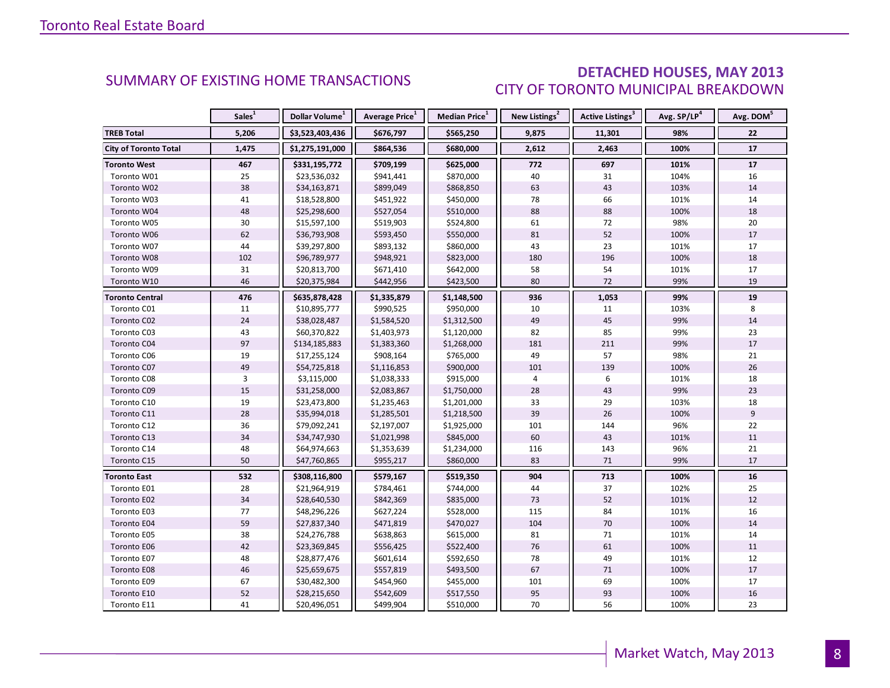### DETACHED HOUSES, MAY 2013 CITY OF TORONTO MUNICIPAL BREAKDOWN

<span id="page-7-0"></span>

|                              | Sales <sup>1</sup> | Dollar Volume <sup>1</sup> | Average Price <sup>1</sup> | Median Price <sup>1</sup> | New Listings <sup>2</sup> | Active Listings <sup>3</sup> | Avg. SP/LP <sup>4</sup> | Avg. DOM <sup>5</sup> |
|------------------------------|--------------------|----------------------------|----------------------------|---------------------------|---------------------------|------------------------------|-------------------------|-----------------------|
| <b>TREB Total</b>            | 5,206              | \$3,523,403,436            | \$676,797                  | \$565,250                 | 9,875                     | 11,301                       | 98%                     | 22                    |
| <b>City of Toronto Total</b> | 1,475              | \$1,275,191,000            | \$864,536                  | \$680,000                 | 2,612                     | 2,463                        | 100%                    | 17                    |
| <b>Toronto West</b>          | 467                | \$331,195,772              | \$709,199                  | \$625,000                 | 772                       | 697                          | 101%                    | 17                    |
| Toronto W01                  | 25                 | \$23,536,032               | \$941,441                  | \$870,000                 | 40                        | 31                           | 104%                    | 16                    |
| Toronto W02                  | 38                 | \$34,163,871               | \$899,049                  | \$868,850                 | 63                        | 43                           | 103%                    | 14                    |
| Toronto W03                  | 41                 | \$18,528,800               | \$451,922                  | \$450,000                 | 78                        | 66                           | 101%                    | 14                    |
| Toronto W04                  | 48                 | \$25,298,600               | \$527,054                  | \$510,000                 | 88                        | 88                           | 100%                    | 18                    |
| Toronto W05                  | 30                 | \$15,597,100               | \$519,903                  | \$524,800                 | 61                        | 72                           | 98%                     | 20                    |
| Toronto W06                  | 62                 | \$36,793,908               | \$593,450                  | \$550,000                 | 81                        | 52                           | 100%                    | 17                    |
| Toronto W07                  | 44                 | \$39,297,800               | \$893,132                  | \$860,000                 | 43                        | 23                           | 101%                    | 17                    |
| Toronto W08                  | 102                | \$96,789,977               | \$948,921                  | \$823,000                 | 180                       | 196                          | 100%                    | 18                    |
| Toronto W09                  | 31                 | \$20,813,700               | \$671,410                  | \$642,000                 | 58                        | 54                           | 101%                    | 17                    |
| Toronto W10                  | 46                 | \$20,375,984               | \$442,956                  | \$423,500                 | 80                        | 72                           | 99%                     | 19                    |
| <b>Toronto Central</b>       | 476                | \$635,878,428              | \$1,335,879                | \$1,148,500               | 936                       | 1,053                        | 99%                     | 19                    |
| Toronto C01                  | 11                 | \$10,895,777               | \$990,525                  | \$950,000                 | 10                        | 11                           | 103%                    | 8                     |
| Toronto C02                  | 24                 | \$38,028,487               | \$1,584,520                | \$1,312,500               | 49                        | 45                           | 99%                     | 14                    |
| Toronto C03                  | 43                 | \$60,370,822               | \$1,403,973                | \$1,120,000               | 82                        | 85                           | 99%                     | 23                    |
| Toronto C04                  | 97                 | \$134,185,883              | \$1,383,360                | \$1,268,000               | 181                       | 211                          | 99%                     | 17                    |
| Toronto C06                  | 19                 | \$17,255,124               | \$908,164                  | \$765,000                 | 49                        | 57                           | 98%                     | 21                    |
| Toronto C07                  | 49                 | \$54,725,818               | \$1,116,853                | \$900,000                 | 101                       | 139                          | 100%                    | 26                    |
| Toronto C08                  | 3                  | \$3,115,000                | \$1,038,333                | \$915,000                 | 4                         | 6                            | 101%                    | $18\,$                |
| Toronto C09                  | 15                 | \$31,258,000               | \$2,083,867                | \$1,750,000               | 28                        | 43                           | 99%                     | 23                    |
| Toronto C10                  | 19                 | \$23,473,800               | \$1,235,463                | \$1,201,000               | 33                        | 29                           | 103%                    | 18                    |
| Toronto C11                  | 28                 | \$35,994,018               | \$1,285,501                | \$1,218,500               | 39                        | 26                           | 100%                    | 9                     |
| Toronto C12                  | 36                 | \$79,092,241               | \$2,197,007                | \$1,925,000               | 101                       | 144                          | 96%                     | 22                    |
| Toronto C13                  | 34                 | \$34,747,930               | \$1,021,998                | \$845,000                 | 60                        | 43                           | 101%                    | 11                    |
| Toronto C14                  | 48                 | \$64,974,663               | \$1,353,639                | \$1,234,000               | 116                       | 143                          | 96%                     | 21                    |
| Toronto C15                  | 50                 | \$47,760,865               | \$955,217                  | \$860,000                 | 83                        | $71\,$                       | 99%                     | 17                    |
| <b>Toronto East</b>          | 532                | \$308,116,800              | \$579,167                  | \$519,350                 | 904                       | 713                          | 100%                    | 16                    |
| Toronto E01                  | 28                 | \$21,964,919               | \$784,461                  | \$744,000                 | 44                        | 37                           | 102%                    | 25                    |
| Toronto E02                  | 34                 | \$28,640,530               | \$842,369                  | \$835,000                 | 73                        | 52                           | 101%                    | $12\,$                |
| Toronto E03                  | 77                 | \$48,296,226               | \$627,224                  | \$528,000                 | 115                       | 84                           | 101%                    | 16                    |
| Toronto E04                  | 59                 | \$27,837,340               | \$471,819                  | \$470,027                 | 104                       | 70                           | 100%                    | 14                    |
| Toronto E05                  | 38                 | \$24,276,788               | \$638,863                  | \$615,000                 | 81                        | 71                           | 101%                    | 14                    |
| Toronto E06                  | 42                 | \$23,369,845               | \$556,425                  | \$522,400                 | 76                        | 61                           | 100%                    | 11                    |
| Toronto E07                  | 48                 | \$28,877,476               | \$601,614                  | \$592,650                 | 78                        | 49                           | 101%                    | 12                    |
| Toronto E08                  | 46                 | \$25,659,675               | \$557,819                  | \$493,500                 | 67                        | 71                           | 100%                    | 17                    |
| Toronto E09                  | 67                 | \$30,482,300               | \$454,960                  | \$455,000                 | 101                       | 69                           | 100%                    | 17                    |
| Toronto E10                  | 52                 | \$28,215,650               | \$542,609                  | \$517,550                 | 95                        | 93                           | 100%                    | 16                    |
| Toronto E11                  | 41                 | \$20,496,051               | \$499,904                  | \$510,000                 | 70                        | 56                           | 100%                    | 23                    |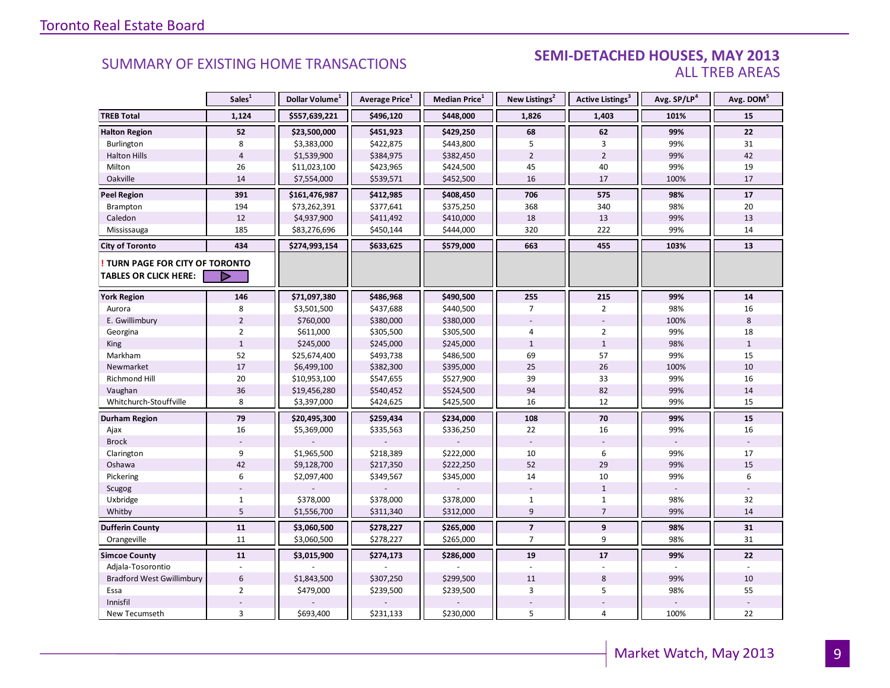#### SEMI-DETACHED HOUSES, MAY 2013 ALL TREB AREAS

|                                  | Sales <sup>1</sup> | Dollar Volume <sup>1</sup> | Average Price <sup>1</sup> | Median Price <sup>1</sup> | New Listings <sup>2</sup> | Active Listings <sup>3</sup> | Avg. SP/LP <sup>4</sup> | Avg. DOM <sup>5</sup> |
|----------------------------------|--------------------|----------------------------|----------------------------|---------------------------|---------------------------|------------------------------|-------------------------|-----------------------|
| <b>TREB Total</b>                | 1,124              | \$557,639,221              | \$496,120                  | \$448,000                 | 1,826                     | 1,403                        | 101%                    | 15                    |
| <b>Halton Region</b>             | 52                 | \$23,500,000               | \$451,923                  | \$429,250                 | 68                        | 62                           | 99%                     | $22\,$                |
| Burlington                       | 8                  | \$3,383,000                | \$422,875                  | \$443,800                 | 5                         | 3                            | 99%                     | 31                    |
| <b>Halton Hills</b>              | $\overline{4}$     | \$1,539,900                | \$384,975                  | \$382,450                 | $\overline{2}$            | $\overline{2}$               | 99%                     | 42                    |
| Milton                           | 26                 | \$11,023,100               | \$423,965                  | \$424,500                 | 45                        | 40                           | 99%                     | 19                    |
| Oakville                         | 14                 | \$7,554,000                | \$539,571                  | \$452,500                 | 16                        | 17                           | 100%                    | 17                    |
| <b>Peel Region</b>               | 391                | \$161,476,987              | \$412,985                  | \$408,450                 | 706                       | 575                          | 98%                     | 17                    |
| Brampton                         | 194                | \$73,262,391               | \$377,641                  | \$375,250                 | 368                       | 340                          | 98%                     | 20                    |
| Caledon                          | 12                 | \$4,937,900                | \$411,492                  | \$410,000                 | 18                        | 13                           | 99%                     | 13                    |
| Mississauga                      | 185                | \$83,276,696               | \$450,144                  | \$444,000                 | 320                       | 222                          | 99%                     | 14                    |
| <b>City of Toronto</b>           | 434                | \$274,993,154              | \$633,625                  | \$579,000                 | 663                       | 455                          | 103%                    | 13                    |
| TURN PAGE FOR CITY OF TORONTO    |                    |                            |                            |                           |                           |                              |                         |                       |
| <b>TABLES OR CLICK HERE:</b>     |                    |                            |                            |                           |                           |                              |                         |                       |
| <b>York Region</b>               | 146                | \$71,097,380               | \$486,968                  | \$490,500                 | 255                       | 215                          | 99%                     | 14                    |
| Aurora                           | 8                  | \$3,501,500                | \$437,688                  | \$440,500                 | $\overline{7}$            | $\overline{2}$               | 98%                     | 16                    |
| E. Gwillimbury                   | $\overline{2}$     | \$760,000                  | \$380,000                  | \$380,000                 |                           |                              | 100%                    | 8                     |
| Georgina                         | $\overline{2}$     | \$611,000                  | \$305,500                  | \$305,500                 | 4                         | $\overline{2}$               | 99%                     | 18                    |
| <b>King</b>                      | $\mathbf{1}$       | \$245,000                  | \$245,000                  | \$245,000                 | $\mathbf{1}$              | $\mathbf{1}$                 | 98%                     | $\mathbf{1}$          |
| Markham                          | 52                 | \$25,674,400               | \$493,738                  | \$486,500                 | 69                        | 57                           | 99%                     | 15                    |
| Newmarket                        | 17                 | \$6,499,100                | \$382,300                  | \$395,000                 | 25                        | 26                           | 100%                    | 10                    |
| <b>Richmond Hill</b>             | 20                 | \$10,953,100               | \$547,655                  | \$527,900                 | 39                        | 33                           | 99%                     | 16                    |
| Vaughan                          | 36                 | \$19,456,280               | \$540,452                  | \$524,500                 | 94                        | 82                           | 99%                     | 14                    |
| Whitchurch-Stouffville           | 8                  | \$3,397,000                | \$424,625                  | \$425,500                 | 16                        | 12                           | 99%                     | 15                    |
| <b>Durham Region</b>             | 79                 | \$20,495,300               | \$259,434                  | \$234,000                 | 108                       | 70                           | 99%                     | 15                    |
| Ajax                             | 16                 | \$5,369,000                | \$335,563                  | \$336,250                 | 22                        | 16                           | 99%                     | 16                    |
| <b>Brock</b>                     |                    |                            |                            |                           | $\overline{\phantom{a}}$  |                              |                         |                       |
| Clarington                       | 9                  | \$1,965,500                | \$218,389                  | \$222,000                 | 10                        | 6                            | 99%                     | 17                    |
| Oshawa                           | 42                 | \$9,128,700                | \$217,350                  | \$222,250                 | 52                        | 29                           | 99%                     | 15                    |
| Pickering                        | 6                  | \$2,097,400                | \$349,567                  | \$345,000                 | 14                        | 10                           | 99%                     | 6                     |
| Scugog                           |                    |                            |                            |                           |                           | $\mathbf{1}$                 |                         |                       |
| Uxbridge                         | $\mathbf{1}$       | \$378,000                  | \$378,000                  | \$378,000                 | $\mathbf{1}$              | $\mathbf{1}$                 | 98%                     | 32                    |
| Whitby                           | 5                  | \$1,556,700                | \$311,340                  | \$312,000                 | $\overline{9}$            | $\overline{7}$               | 99%                     | 14                    |
| <b>Dufferin County</b>           | 11                 | \$3,060,500                | \$278,227                  | \$265,000                 | $\overline{7}$            | 9                            | 98%                     | 31                    |
| Orangeville                      | 11                 | \$3,060,500                | \$278,227                  | \$265,000                 | 7                         | 9                            | 98%                     | 31                    |
| <b>Simcoe County</b>             | 11                 | \$3,015,900                | \$274,173                  | \$286,000                 | 19                        | 17                           | 99%                     | 22                    |
| Adjala-Tosorontio                | $\sim$             |                            |                            |                           |                           |                              |                         |                       |
| <b>Bradford West Gwillimbury</b> | $6\,$              | \$1,843,500                | \$307,250                  | \$299,500                 | 11                        | 8                            | 99%                     | 10                    |
| Essa                             | $\overline{2}$     | \$479,000                  | \$239,500                  | \$239,500                 | 3                         | 5                            | 98%                     | 55                    |
| Innisfil                         |                    |                            |                            |                           |                           |                              |                         |                       |
| New Tecumseth                    | $\overline{3}$     | \$693,400                  | \$231,133                  | \$230,000                 | 5                         | $\overline{4}$               | 100%                    | 22                    |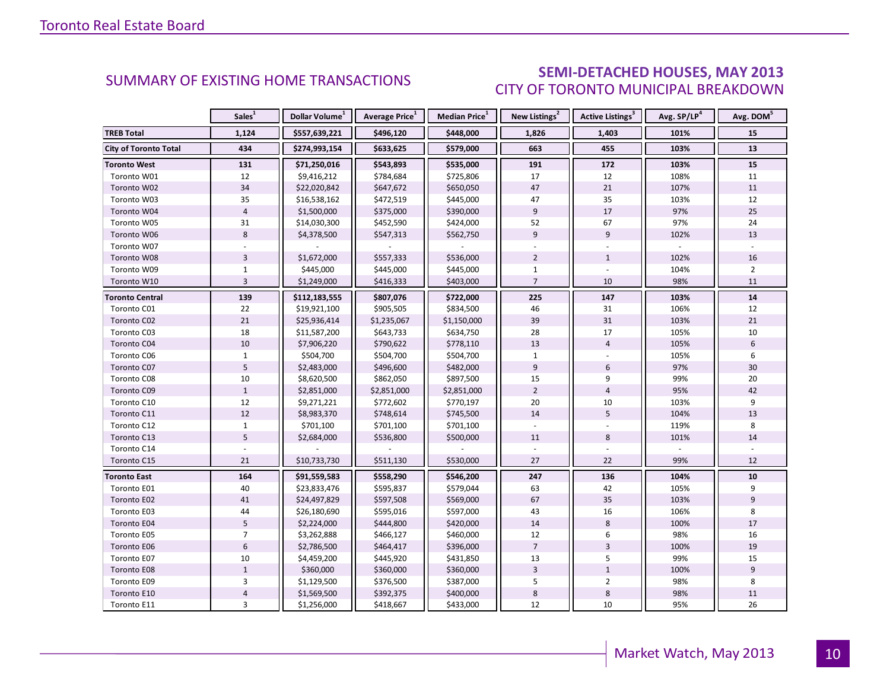### SEMI-DETACHED HOUSES, MAY 2013 CITY OF TORONTO MUNICIPAL BREAKDOWN

<span id="page-9-0"></span>

|                              | Sales <sup>1</sup> | Dollar Volume <sup>1</sup> | Average Price <sup>1</sup> | Median Price <sup>1</sup> | New Listings <sup>2</sup> | Active Listings <sup>3</sup> | Avg. SP/LP <sup>4</sup> | Avg. DOM <sup>5</sup> |
|------------------------------|--------------------|----------------------------|----------------------------|---------------------------|---------------------------|------------------------------|-------------------------|-----------------------|
| <b>TREB Total</b>            | 1,124              | \$557,639,221              | \$496,120                  | \$448,000                 | 1,826                     | 1,403                        | 101%                    | 15                    |
| <b>City of Toronto Total</b> | 434                | \$274,993,154              | \$633,625                  | \$579,000                 | 663                       | 455                          | 103%                    | 13                    |
| <b>Toronto West</b>          | 131                | \$71,250,016               | \$543,893                  | \$535,000                 | 191                       | 172                          | 103%                    | 15                    |
| Toronto W01                  | 12                 | \$9,416,212                | \$784,684                  | \$725,806                 | 17                        | 12                           | 108%                    | 11                    |
| Toronto W02                  | 34                 | \$22,020,842               | \$647,672                  | \$650,050                 | 47                        | 21                           | 107%                    | 11                    |
| Toronto W03                  | 35                 | \$16,538,162               | \$472,519                  | \$445,000                 | 47                        | 35                           | 103%                    | 12                    |
| Toronto W04                  | $\overline{4}$     | \$1,500,000                | \$375,000                  | \$390,000                 | $\overline{9}$            | 17                           | 97%                     | 25                    |
| Toronto W05                  | 31                 | \$14,030,300               | \$452,590                  | \$424,000                 | 52                        | 67                           | 97%                     | 24                    |
| Toronto W06                  | 8                  | \$4,378,500                | \$547,313                  | \$562,750                 | 9                         | 9                            | 102%                    | 13                    |
| Toronto W07                  |                    |                            |                            |                           |                           |                              |                         |                       |
| Toronto W08                  | $\overline{3}$     | \$1,672,000                | \$557,333                  | \$536,000                 | $\overline{2}$            | $\mathbf{1}$                 | 102%                    | 16                    |
| Toronto W09                  | $\mathbf{1}$       | \$445,000                  | \$445,000                  | \$445,000                 | $\mathbf{1}$              |                              | 104%                    | $\overline{2}$        |
| Toronto W10                  | $\overline{3}$     | \$1,249,000                | \$416,333                  | \$403,000                 | $\overline{7}$            | 10                           | 98%                     | 11                    |
| Toronto Central              | 139                | \$112,183,555              | \$807,076                  | \$722,000                 | 225                       | 147                          | 103%                    | 14                    |
| Toronto C01                  | 22                 | \$19,921,100               | \$905,505                  | \$834,500                 | 46                        | 31                           | 106%                    | 12                    |
| Toronto C02                  | 21                 | \$25,936,414               | \$1,235,067                | \$1,150,000               | 39                        | 31                           | 103%                    | 21                    |
| Toronto C03                  | 18                 | \$11,587,200               | \$643,733                  | \$634,750                 | 28                        | 17                           | 105%                    | 10                    |
| Toronto C04                  | 10                 | \$7,906,220                | \$790,622                  | \$778,110                 | 13                        | $\overline{4}$               | 105%                    | 6                     |
| Toronto C06                  | $\mathbf 1$        | \$504,700                  | \$504,700                  | \$504,700                 | $\mathbf{1}$              |                              | 105%                    | 6                     |
| Toronto C07                  | 5                  | \$2,483,000                | \$496,600                  | \$482,000                 | 9                         | 6                            | 97%                     | 30                    |
| Toronto C08                  | $10\,$             | \$8,620,500                | \$862,050                  | \$897,500                 | 15                        | 9                            | 99%                     | 20                    |
| Toronto C09                  | $\mathbf{1}$       | \$2,851,000                | \$2,851,000                | \$2,851,000               | $\overline{2}$            | $\overline{4}$               | 95%                     | 42                    |
| Toronto C10                  | 12                 | \$9,271,221                | \$772,602                  | \$770,197                 | 20                        | 10                           | 103%                    | 9                     |
| Toronto C11                  | 12                 | \$8,983,370                | \$748,614                  | \$745,500                 | 14                        | 5                            | 104%                    | 13                    |
| Toronto C12                  | $\mathbf{1}$       | \$701,100                  | \$701,100                  | \$701,100                 |                           |                              | 119%                    | 8                     |
| Toronto C13                  | 5                  | \$2,684,000                | \$536,800                  | \$500,000                 | 11                        | 8                            | 101%                    | 14                    |
| Toronto C14                  |                    |                            |                            |                           |                           |                              |                         |                       |
| Toronto C15                  | 21                 | \$10,733,730               | \$511,130                  | \$530,000                 | 27                        | 22                           | 99%                     | 12                    |
| <b>Toronto East</b>          | 164                | \$91,559,583               | \$558,290                  | \$546,200                 | 247                       | 136                          | 104%                    | 10                    |
| Toronto E01                  | 40                 | \$23,833,476               | \$595,837                  | \$579,044                 | 63                        | 42                           | 105%                    | 9                     |
| Toronto E02                  | 41                 | \$24,497,829               | \$597,508                  | \$569,000                 | 67                        | 35                           | 103%                    | 9                     |
| Toronto E03                  | 44                 | \$26,180,690               | \$595,016                  | \$597,000                 | 43                        | 16                           | 106%                    | 8                     |
| Toronto E04                  | 5                  | \$2,224,000                | \$444,800                  | \$420,000                 | 14                        | 8                            | 100%                    | 17                    |
| Toronto E05                  | $\overline{7}$     | \$3,262,888                | \$466,127                  | \$460,000                 | 12                        | 6                            | 98%                     | 16                    |
| Toronto E06                  | $6\,$              | \$2,786,500                | \$464,417                  | \$396,000                 | $\overline{7}$            | $\overline{3}$               | 100%                    | 19                    |
| Toronto E07                  | $10\,$             | \$4,459,200                | \$445,920                  | \$431,850                 | 13                        | 5                            | 99%                     | 15                    |
| Toronto E08                  | $\mathbf 1$        | \$360,000                  | \$360,000                  | \$360,000                 | $\overline{3}$            | $\mathbf{1}$                 | 100%                    | $\overline{9}$        |
| Toronto E09                  | 3                  | \$1,129,500                | \$376,500                  | \$387,000                 | 5                         | $\overline{2}$               | 98%                     | 8                     |
| Toronto E10                  | $\overline{4}$     | \$1,569,500                | \$392,375                  | \$400,000                 | $\,$ 8 $\,$               | 8                            | 98%                     | 11                    |
| Toronto E11                  | 3                  | \$1,256,000                | \$418,667                  | \$433,000                 | 12                        | 10                           | 95%                     | 26                    |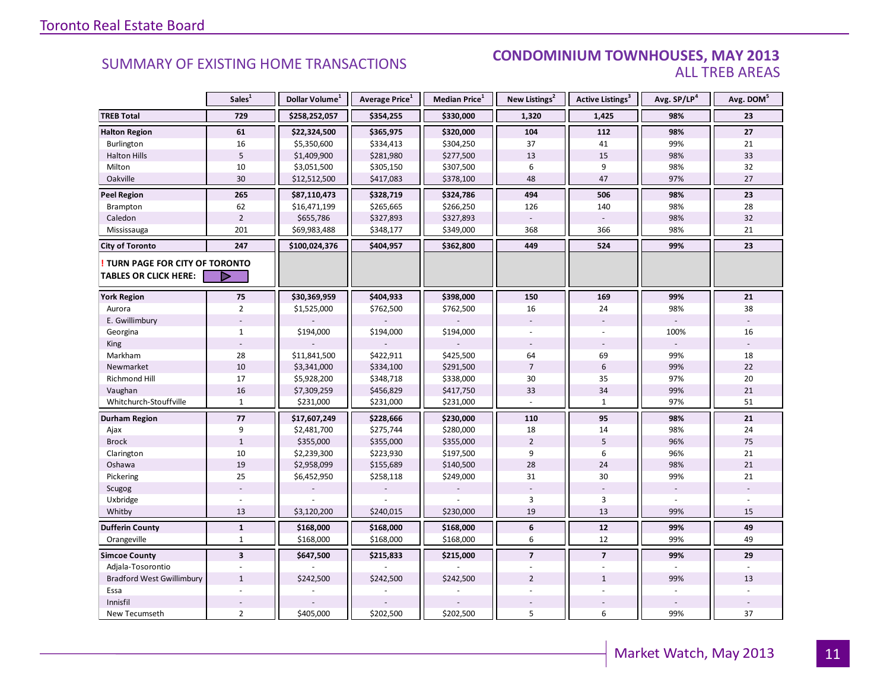#### **Industry Of EXISTING HOME TRANSACTIONS CONDOMINIUM TOWNHOUSES, MAY 2013** ALL TREB AREAS

|                                  | Sales <sup>1</sup>      | Dollar Volume <sup>1</sup> | Average Price <sup>1</sup> | Median Price <sup>1</sup> | New Listings <sup>2</sup> | <b>Active Listings<sup>3</sup></b> | Avg. SP/LP <sup>4</sup> | Avg. DOM <sup>5</sup> |
|----------------------------------|-------------------------|----------------------------|----------------------------|---------------------------|---------------------------|------------------------------------|-------------------------|-----------------------|
| <b>TREB Total</b>                | 729                     | \$258,252,057              | \$354,255                  | \$330,000                 | 1,320                     | 1,425                              | 98%                     | 23                    |
| <b>Halton Region</b>             | 61                      | \$22,324,500               | \$365,975                  | \$320,000                 | 104                       | 112                                | 98%                     | 27                    |
| Burlington                       | 16                      | \$5,350,600                | \$334,413                  | \$304,250                 | 37                        | 41                                 | 99%                     | 21                    |
| <b>Halton Hills</b>              | 5                       | \$1,409,900                | \$281,980                  | \$277,500                 | 13                        | 15                                 | 98%                     | 33                    |
| Milton                           | 10                      | \$3,051,500                | \$305,150                  | \$307,500                 | 6                         | 9                                  | 98%                     | 32                    |
| Oakville                         | 30                      | \$12,512,500               | \$417,083                  | \$378,100                 | 48                        | 47                                 | 97%                     | 27                    |
| <b>Peel Region</b>               | 265                     | \$87,110,473               | \$328,719                  | \$324,786                 | 494                       | 506                                | 98%                     | 23                    |
| Brampton                         | 62                      | \$16,471,199               | \$265,665                  | \$266,250                 | 126                       | 140                                | 98%                     | 28                    |
| Caledon                          | $\overline{2}$          | \$655,786                  | \$327,893                  | \$327,893                 |                           |                                    | 98%                     | 32                    |
| Mississauga                      | 201                     | \$69,983,488               | \$348,177                  | \$349,000                 | 368                       | 366                                | 98%                     | 21                    |
| <b>City of Toronto</b>           | 247                     | \$100,024,376              | \$404,957                  | \$362,800                 | 449                       | 524                                | 99%                     | 23                    |
| TURN PAGE FOR CITY OF TORONTO    |                         |                            |                            |                           |                           |                                    |                         |                       |
| <b>TABLES OR CLICK HERE:</b>     |                         |                            |                            |                           |                           |                                    |                         |                       |
| <b>York Region</b>               | 75                      | \$30,369,959               | \$404,933                  | \$398,000                 | 150                       | 169                                | 99%                     | 21                    |
| Aurora                           | $\overline{2}$          | \$1,525,000                | \$762,500                  | \$762,500                 | 16                        | 24                                 | 98%                     | 38                    |
| E. Gwillimbury                   |                         |                            |                            |                           |                           | $\overline{\phantom{a}}$           |                         |                       |
| Georgina                         | $\mathbf{1}$            | \$194,000                  | \$194,000                  | \$194,000                 |                           |                                    | 100%                    | 16                    |
| <b>King</b>                      |                         |                            |                            |                           |                           |                                    |                         |                       |
| Markham                          | 28                      | \$11,841,500               | \$422,911                  | \$425,500                 | 64                        | 69                                 | 99%                     | 18                    |
| Newmarket                        | $10\,$                  | \$3,341,000                | \$334,100                  | \$291,500                 | $\overline{7}$            | $6\,$                              | 99%                     | 22                    |
| Richmond Hill                    | 17                      | \$5,928,200                | \$348,718                  | \$338,000                 | 30                        | 35                                 | 97%                     | 20                    |
| Vaughan                          | 16                      | \$7,309,259                | \$456,829                  | \$417,750                 | 33                        | 34                                 | 99%                     | 21                    |
| Whitchurch-Stouffville           | $\mathbf{1}$            | \$231,000                  | \$231,000                  | \$231,000                 | $\overline{a}$            | $\mathbf{1}$                       | 97%                     | 51                    |
| <b>Durham Region</b>             | 77                      | \$17,607,249               | \$228,666                  | \$230,000                 | 110                       | 95                                 | 98%                     | 21                    |
| Ajax                             | 9                       | \$2,481,700                | \$275,744                  | \$280,000                 | 18                        | 14                                 | 98%                     | 24                    |
| <b>Brock</b>                     | $\mathbf 1$             | \$355,000                  | \$355,000                  | \$355,000                 | $\overline{2}$            | 5                                  | 96%                     | 75                    |
| Clarington                       | 10                      | \$2,239,300                | \$223,930                  | \$197,500                 | 9                         | 6                                  | 96%                     | 21                    |
| Oshawa                           | 19                      | \$2,958,099                | \$155,689                  | \$140,500                 | 28                        | 24                                 | 98%                     | 21                    |
| Pickering                        | 25                      | \$6,452,950                | \$258,118                  | \$249,000                 | 31                        | 30                                 | 99%                     | 21                    |
| Scugog                           |                         |                            |                            |                           |                           |                                    |                         |                       |
| Uxbridge                         |                         |                            |                            |                           | 3                         | $\overline{3}$                     |                         |                       |
| Whitby                           | 13                      | \$3,120,200                | \$240,015                  | \$230,000                 | 19                        | 13                                 | 99%                     | 15                    |
| <b>Dufferin County</b>           | $\mathbf{1}$            | \$168,000                  | \$168,000                  | \$168,000                 | 6                         | 12                                 | 99%                     | 49                    |
| Orangeville                      | $\mathbf{1}$            | \$168,000                  | \$168,000                  | \$168,000                 | 6                         | 12                                 | 99%                     | 49                    |
| <b>Simcoe County</b>             | $\overline{\mathbf{3}}$ | \$647,500                  | \$215,833                  | \$215,000                 | $\overline{7}$            | $\overline{7}$                     | 99%                     | 29                    |
| Adjala-Tosorontio                |                         |                            |                            |                           |                           | ÷,                                 |                         |                       |
| <b>Bradford West Gwillimbury</b> | $\mathbf{1}$            | \$242,500                  | \$242,500                  | \$242,500                 | $\overline{2}$            | $\mathbf{1}$                       | 99%                     | 13                    |
| Essa                             |                         |                            |                            |                           |                           |                                    |                         |                       |
| Innisfil                         |                         |                            |                            |                           |                           |                                    |                         |                       |
| New Tecumseth                    | $\overline{2}$          | \$405,000                  | \$202,500                  | \$202,500                 | 5                         | 6                                  | 99%                     | 37                    |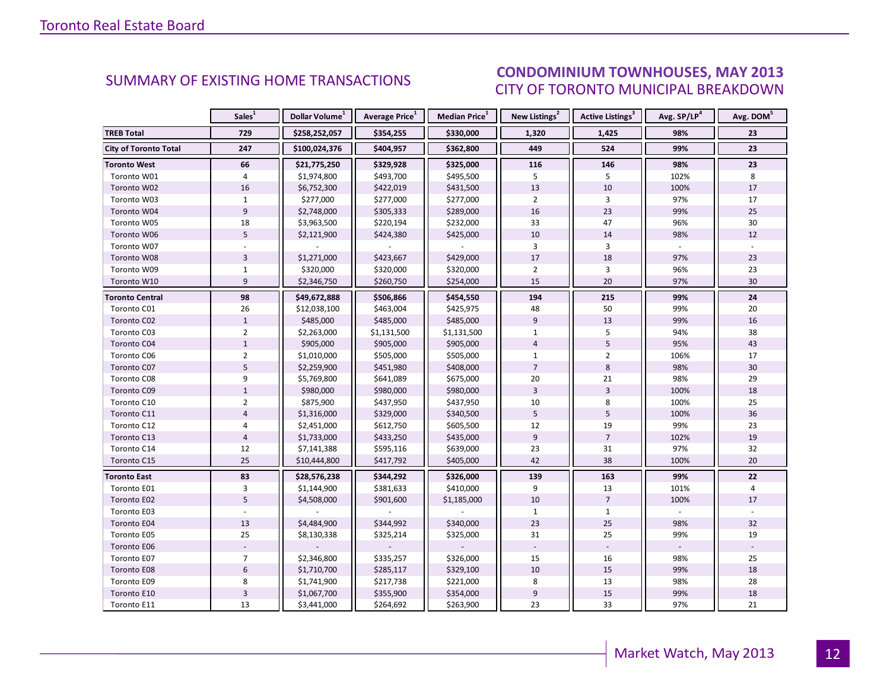#### ICEC MAV 2012 CITY OF TORONTO MUNICIPAL BREAKDOWN SUMMARY OF EXISTING HOME TRANSACTIONS<br>CITY OF TOPONTO MUNICIPAL PREAKDOMAL

<span id="page-11-0"></span>

|                              | Sales <sup>1</sup> | Dollar Volume <sup>1</sup> | Average Price <sup>1</sup> | Median Price <sup>1</sup> | New Listings <sup>2</sup> | Active Listings <sup>3</sup> | Avg. SP/LP <sup>4</sup> | Avg. DOM <sup>5</sup> |
|------------------------------|--------------------|----------------------------|----------------------------|---------------------------|---------------------------|------------------------------|-------------------------|-----------------------|
| <b>TREB Total</b>            | 729                | \$258,252,057              | \$354,255                  | \$330,000                 | 1,320                     | 1,425                        | 98%                     | 23                    |
| <b>City of Toronto Total</b> | 247                | \$100,024,376              | \$404,957                  | \$362,800                 | 449                       | 524                          | 99%                     | 23                    |
| <b>Toronto West</b>          | 66                 | \$21,775,250               | \$329,928                  | \$325,000                 | 116                       | 146                          | 98%                     | 23                    |
| Toronto W01                  | 4                  | \$1,974,800                | \$493,700                  | \$495,500                 | 5                         | 5                            | 102%                    | 8                     |
| Toronto W02                  | 16                 | \$6,752,300                | \$422,019                  | \$431,500                 | 13                        | 10                           | 100%                    | 17                    |
| Toronto W03                  | $\mathbf{1}$       | \$277,000                  | \$277,000                  | \$277,000                 | $\overline{2}$            | 3                            | 97%                     | 17                    |
| Toronto W04                  | 9                  | \$2,748,000                | \$305,333                  | \$289,000                 | 16                        | 23                           | 99%                     | 25                    |
| Toronto W05                  | 18                 | \$3,963,500                | \$220,194                  | \$232,000                 | 33                        | 47                           | 96%                     | 30                    |
| Toronto W06                  | 5                  | \$2,121,900                | \$424,380                  | \$425,000                 | 10                        | 14                           | 98%                     | 12                    |
| Toronto W07                  |                    |                            |                            |                           | 3                         | 3                            |                         |                       |
| Toronto W08                  | 3                  | \$1,271,000                | \$423,667                  | \$429,000                 | 17                        | 18                           | 97%                     | 23                    |
| Toronto W09                  | $\mathbf{1}$       | \$320,000                  | \$320,000                  | \$320,000                 | $\overline{2}$            | 3                            | 96%                     | 23                    |
| Toronto W10                  | 9                  | \$2,346,750                | \$260,750                  | \$254,000                 | 15                        | 20                           | 97%                     | 30                    |
| Toronto Central              | 98                 | \$49,672,888               | \$506,866                  | \$454,550                 | 194                       | 215                          | 99%                     | 24                    |
| Toronto C01                  | 26                 | \$12,038,100               | \$463,004                  | \$425,975                 | 48                        | 50                           | 99%                     | 20                    |
| Toronto C02                  | $\mathbf{1}$       | \$485,000                  | \$485,000                  | \$485,000                 | 9                         | 13                           | 99%                     | 16                    |
| Toronto C03                  | $\overline{2}$     | \$2,263,000                | \$1,131,500                | \$1,131,500               | $\mathbf{1}$              | 5                            | 94%                     | 38                    |
| Toronto C04                  | $\mathbf{1}$       | \$905,000                  | \$905,000                  | \$905,000                 | $\overline{4}$            | 5                            | 95%                     | 43                    |
| Toronto C06                  | $\overline{2}$     | \$1,010,000                | \$505,000                  | \$505,000                 | $\mathbf{1}$              | $\overline{2}$               | 106%                    | 17                    |
| Toronto C07                  | 5                  | \$2,259,900                | \$451,980                  | \$408,000                 | $\overline{7}$            | 8                            | 98%                     | 30                    |
| Toronto C08                  | 9                  | \$5,769,800                | \$641,089                  | \$675,000                 | 20                        | 21                           | 98%                     | 29                    |
| Toronto C09                  | $\mathbf{1}$       | \$980,000                  | \$980,000                  | \$980,000                 | 3                         | $\overline{3}$               | 100%                    | 18                    |
| Toronto C10                  | $\overline{2}$     | \$875,900                  | \$437,950                  | \$437,950                 | 10                        | 8                            | 100%                    | 25                    |
| Toronto C11                  | $\overline{a}$     | \$1,316,000                | \$329,000                  | \$340,500                 | 5                         | 5                            | 100%                    | 36                    |
| Toronto C12                  | 4                  | \$2,451,000                | \$612,750                  | \$605,500                 | 12                        | 19                           | 99%                     | 23                    |
| Toronto C13                  | $\overline{4}$     | \$1,733,000                | \$433,250                  | \$435,000                 | $\overline{9}$            | $\overline{7}$               | 102%                    | 19                    |
| Toronto C14                  | 12                 | \$7,141,388                | \$595,116                  | \$639,000                 | 23                        | 31                           | 97%                     | 32                    |
| Toronto C15                  | 25                 | \$10,444,800               | \$417,792                  | \$405,000                 | 42                        | 38                           | 100%                    | 20                    |
| <b>Toronto East</b>          | 83                 | \$28,576,238               | \$344,292                  | \$326,000                 | 139                       | 163                          | 99%                     | 22                    |
| Toronto E01                  | 3                  | \$1,144,900                | \$381,633                  | \$410,000                 | 9                         | 13                           | 101%                    | 4                     |
| Toronto E02                  | 5                  | \$4,508,000                | \$901,600                  | \$1,185,000               | 10                        | $\overline{7}$               | 100%                    | 17                    |
| Toronto E03                  |                    |                            |                            |                           | $\mathbf{1}$              | $\mathbf{1}$                 |                         |                       |
| Toronto E04                  | 13                 | \$4,484,900                | \$344,992                  | \$340,000                 | 23                        | 25                           | 98%                     | 32                    |
| Toronto E05                  | 25                 | \$8,130,338                | \$325,214                  | \$325,000                 | 31                        | 25                           | 99%                     | 19                    |
| Toronto E06                  |                    |                            |                            |                           |                           |                              |                         |                       |
| Toronto E07                  | $\overline{7}$     | \$2,346,800                | \$335,257                  | \$326,000                 | 15                        | 16                           | 98%                     | 25                    |
| Toronto E08                  | $6\phantom{1}$     | \$1,710,700                | \$285,117                  | \$329,100                 | 10                        | 15                           | 99%                     | 18                    |
| Toronto E09                  | 8                  | \$1,741,900                | \$217,738                  | \$221,000                 | 8                         | 13                           | 98%                     | 28                    |
| Toronto E10                  | $\overline{3}$     | \$1,067,700                | \$355,900                  | \$354,000                 | $\overline{9}$            | 15                           | 99%                     | 18                    |
| Toronto E11                  | 13                 | \$3,441,000                | \$264,692                  | \$263,900                 | 23                        | 33                           | 97%                     | 21                    |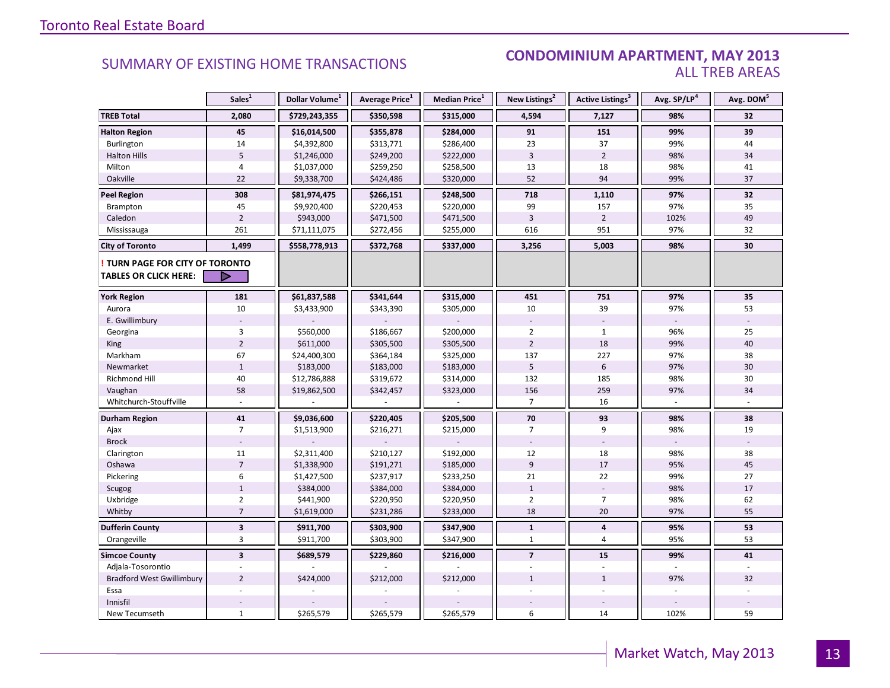#### **INDUSTRIAL CONDOMINIUM APARTMENT, MAY 2013**<br>ALL TREB AREAS ALL TREB AREAS

|                                      | Sales <sup>1</sup>      | Dollar Volume <sup>1</sup> | Average Price <sup>1</sup> | Median Price <sup>1</sup> | New Listings <sup>2</sup> | Active Listings <sup>3</sup> | Avg. SP/LP <sup>4</sup>  | Avg. DOM <sup>5</sup> |
|--------------------------------------|-------------------------|----------------------------|----------------------------|---------------------------|---------------------------|------------------------------|--------------------------|-----------------------|
| <b>TREB Total</b>                    | 2,080                   | \$729,243,355              | \$350,598                  | \$315,000                 | 4,594                     | 7,127                        | 98%                      | 32                    |
| <b>Halton Region</b>                 | 45                      | \$16,014,500               | \$355,878                  | \$284,000                 | 91                        | 151                          | 99%                      | 39                    |
| Burlington                           | 14                      | \$4,392,800                | \$313,771                  | \$286,400                 | 23                        | 37                           | 99%                      | 44                    |
| <b>Halton Hills</b>                  | 5                       | \$1,246,000                | \$249,200                  | \$222,000                 | $\overline{3}$            | $\overline{2}$               | 98%                      | 34                    |
| Milton                               | $\overline{4}$          | \$1,037,000                | \$259,250                  | \$258,500                 | 13                        | 18                           | 98%                      | 41                    |
| Oakville                             | 22                      | \$9,338,700                | \$424,486                  | \$320,000                 | 52                        | 94                           | 99%                      | 37                    |
| <b>Peel Region</b>                   | 308                     | \$81,974,475               | \$266,151                  | \$248,500                 | 718                       | 1,110                        | 97%                      | 32                    |
| Brampton                             | 45                      | \$9,920,400                | \$220,453                  | \$220,000                 | 99                        | 157                          | 97%                      | 35                    |
| Caledon                              | $\overline{2}$          | \$943,000                  | \$471,500                  | \$471,500                 | $\overline{3}$            | $\overline{2}$               | 102%                     | 49                    |
| Mississauga                          | 261                     | \$71,111,075               | \$272,456                  | \$255,000                 | 616                       | 951                          | 97%                      | 32                    |
| <b>City of Toronto</b>               | 1,499                   | \$558,778,913              | \$372,768                  | \$337,000                 | 3,256                     | 5,003                        | 98%                      | 30                    |
| <b>TURN PAGE FOR CITY OF TORONTO</b> |                         |                            |                            |                           |                           |                              |                          |                       |
| TABLES OR CLICK HERE:                |                         |                            |                            |                           |                           |                              |                          |                       |
| <b>York Region</b>                   | 181                     | \$61,837,588               | \$341,644                  | \$315,000                 | 451                       | 751                          | 97%                      | 35                    |
| Aurora                               | 10                      | \$3,433,900                | \$343,390                  | \$305,000                 | 10                        | 39                           | 97%                      | 53                    |
| E. Gwillimbury                       |                         |                            |                            |                           | $\overline{\phantom{a}}$  | $\sim$                       | $\overline{\phantom{a}}$ |                       |
| Georgina                             | 3                       | \$560,000                  | \$186,667                  | \$200,000                 | $\overline{2}$            | $\mathbf{1}$                 | 96%                      | 25                    |
| King                                 | $\overline{2}$          | \$611,000                  | \$305,500                  | \$305,500                 | $\overline{2}$            | 18                           | 99%                      | 40                    |
| Markham                              | 67                      | \$24,400,300               | \$364,184                  | \$325,000                 | 137                       | 227                          | 97%                      | 38                    |
| Newmarket                            | $\mathbf{1}$            | \$183,000                  | \$183,000                  | \$183,000                 | 5                         | 6                            | 97%                      | 30                    |
| <b>Richmond Hill</b>                 | 40                      | \$12,786,888               | \$319,672                  | \$314,000                 | 132                       | 185                          | 98%                      | 30                    |
| Vaughan                              | 58                      | \$19,862,500               | \$342,457                  | \$323,000                 | 156                       | 259                          | 97%                      | 34                    |
| Whitchurch-Stouffville               |                         |                            |                            |                           | $\overline{7}$            | 16                           | $\sim$                   |                       |
| Durham Region                        | 41                      | \$9,036,600                | \$220,405                  | \$205,500                 | 70                        | 93                           | 98%                      | 38                    |
| Ajax                                 | $\overline{7}$          | \$1,513,900                | \$216,271                  | \$215,000                 | 7                         | 9                            | 98%                      | 19                    |
| <b>Brock</b>                         |                         |                            |                            |                           |                           | $\overline{\phantom{a}}$     |                          |                       |
| Clarington                           | 11                      | \$2,311,400                | \$210,127                  | \$192,000                 | 12                        | 18                           | 98%                      | 38                    |
| Oshawa                               | $\overline{7}$          | \$1,338,900                | \$191,271                  | \$185,000                 | 9                         | 17                           | 95%                      | 45                    |
| Pickering                            | 6                       | \$1,427,500                | \$237,917                  | \$233,250                 | 21                        | 22                           | 99%                      | 27                    |
| Scugog                               | $\mathbf{1}$            | \$384,000                  | \$384,000                  | \$384,000                 | $\mathbf{1}$              |                              | 98%                      | 17                    |
| Uxbridge                             | $\overline{2}$          | \$441,900                  | \$220,950                  | \$220,950                 | $\overline{2}$            | $\overline{7}$               | 98%                      | 62                    |
| Whitby                               | $\overline{7}$          | \$1,619,000                | \$231,286                  | \$233,000                 | 18                        | 20                           | 97%                      | 55                    |
| <b>Dufferin County</b>               | $\overline{\mathbf{3}}$ | \$911,700                  | \$303,900                  | \$347,900                 | $\mathbf{1}$              | 4                            | 95%                      | 53                    |
| Orangeville                          | 3                       | \$911,700                  | \$303,900                  | \$347,900                 | $\mathbf{1}$              | $\overline{4}$               | 95%                      | 53                    |
| <b>Simcoe County</b>                 | $\overline{\mathbf{3}}$ | \$689,579                  | \$229,860                  | \$216,000                 | $\overline{7}$            | 15                           | 99%                      | 41                    |
| Adjala-Tosorontio                    |                         |                            |                            |                           |                           | $\overline{a}$               |                          |                       |
| <b>Bradford West Gwillimbury</b>     | $\overline{2}$          | \$424,000                  | \$212,000                  | \$212,000                 | $\mathbf{1}$              | $\mathbf{1}$                 | 97%                      | 32                    |
| Essa                                 |                         |                            |                            |                           |                           |                              |                          |                       |
| Innisfil                             |                         |                            |                            |                           |                           |                              |                          |                       |
| New Tecumseth                        | $\mathbf{1}$            | \$265,579                  | \$265,579                  | \$265,579                 | 6                         | 14                           | 102%                     | 59                    |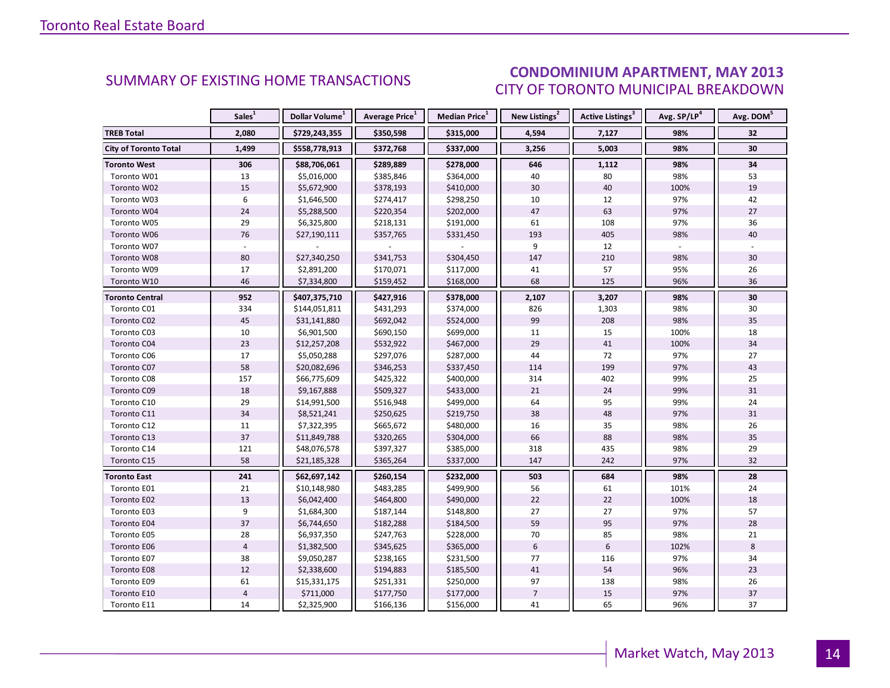### CONDOMINIUM APARTMENT, MAY 2013 CITY OF TORONTO MUNICIPAL BREAKDOWN

<span id="page-13-0"></span>

|                              | Sales <sup>1</sup> | Dollar Volume <sup>1</sup> | Average Price <sup>1</sup> | Median Price <sup>1</sup> | New Listings <sup>2</sup> | Active Listings <sup>3</sup> | Avg. SP/LP <sup>4</sup> | Avg. DOM <sup>5</sup> |
|------------------------------|--------------------|----------------------------|----------------------------|---------------------------|---------------------------|------------------------------|-------------------------|-----------------------|
| <b>TREB Total</b>            | 2,080              | \$729,243,355              | \$350,598                  | \$315,000                 | 4,594                     | 7,127                        | 98%                     | 32                    |
| <b>City of Toronto Total</b> | 1,499              | \$558,778,913              | \$372,768                  | \$337,000                 | 3,256                     | 5,003                        | 98%                     | 30                    |
| <b>Toronto West</b>          | 306                | \$88,706,061               | \$289,889                  | \$278,000                 | 646                       | 1,112                        | 98%                     | 34                    |
| Toronto W01                  | 13                 | \$5,016,000                | \$385,846                  | \$364,000                 | 40                        | 80                           | 98%                     | 53                    |
| Toronto W02                  | 15                 | \$5,672,900                | \$378,193                  | \$410,000                 | 30                        | 40                           | 100%                    | 19                    |
| Toronto W03                  | 6                  | \$1,646,500                | \$274,417                  | \$298,250                 | 10                        | 12                           | 97%                     | 42                    |
| Toronto W04                  | 24                 | \$5,288,500                | \$220,354                  | \$202,000                 | 47                        | 63                           | 97%                     | 27                    |
| Toronto W05                  | 29                 | \$6,325,800                | \$218,131                  | \$191,000                 | 61                        | 108                          | 97%                     | 36                    |
| Toronto W06                  | 76                 | \$27,190,111               | \$357,765                  | \$331,450                 | 193                       | 405                          | 98%                     | 40                    |
| Toronto W07                  |                    |                            |                            |                           | 9                         | 12                           |                         |                       |
| Toronto W08                  | 80                 | \$27,340,250               | \$341,753                  | \$304,450                 | 147                       | 210                          | 98%                     | 30                    |
| Toronto W09                  | 17                 | \$2,891,200                | \$170,071                  | \$117,000                 | 41                        | 57                           | 95%                     | 26                    |
| Toronto W10                  | 46                 | \$7,334,800                | \$159,452                  | \$168,000                 | 68                        | 125                          | 96%                     | 36                    |
| <b>Toronto Central</b>       | 952                | \$407,375,710              | \$427,916                  | \$378,000                 | 2,107                     | 3,207                        | 98%                     | 30                    |
| Toronto C01                  | 334                | \$144,051,811              | \$431,293                  | \$374,000                 | 826                       | 1,303                        | 98%                     | 30                    |
| Toronto C02                  | 45                 | \$31,141,880               | \$692,042                  | \$524,000                 | 99                        | 208                          | 98%                     | 35                    |
| Toronto C03                  | $10\,$             | \$6,901,500                | \$690,150                  | \$699,000                 | $11\,$                    | 15                           | 100%                    | 18                    |
| Toronto C04                  | 23                 | \$12,257,208               | \$532,922                  | \$467,000                 | 29                        | 41                           | 100%                    | 34                    |
| Toronto C06                  | 17                 | \$5,050,288                | \$297,076                  | \$287,000                 | 44                        | 72                           | 97%                     | 27                    |
| Toronto C07                  | 58                 | \$20,082,696               | \$346,253                  | \$337,450                 | 114                       | 199                          | 97%                     | 43                    |
| Toronto C08                  | 157                | \$66,775,609               | \$425,322                  | \$400,000                 | 314                       | 402                          | 99%                     | 25                    |
| Toronto C09                  | 18                 | \$9,167,888                | \$509,327                  | \$433,000                 | 21                        | 24                           | 99%                     | 31                    |
| Toronto C10                  | 29                 | \$14,991,500               | \$516,948                  | \$499,000                 | 64                        | 95                           | 99%                     | 24                    |
| Toronto C11                  | 34                 | \$8,521,241                | \$250,625                  | \$219,750                 | 38                        | 48                           | 97%                     | 31                    |
| Toronto C12                  | $11\,$             | \$7,322,395                | \$665,672                  | \$480,000                 | 16                        | 35                           | 98%                     | 26                    |
| Toronto C13                  | 37                 | \$11,849,788               | \$320,265                  | \$304,000                 | 66                        | 88                           | 98%                     | 35                    |
| Toronto C14                  | 121                | \$48,076,578               | \$397,327                  | \$385,000                 | 318                       | 435                          | 98%                     | 29                    |
| Toronto C15                  | 58                 | \$21,185,328               | \$365,264                  | \$337,000                 | 147                       | 242                          | 97%                     | 32                    |
| <b>Toronto East</b>          | 241                | \$62,697,142               | \$260,154                  | \$232,000                 | 503                       | 684                          | 98%                     | 28                    |
| Toronto E01                  | 21                 | \$10,148,980               | \$483,285                  | \$499,900                 | 56                        | 61                           | 101%                    | 24                    |
| Toronto E02                  | 13                 | \$6,042,400                | \$464,800                  | \$490,000                 | 22                        | 22                           | 100%                    | 18                    |
| Toronto E03                  | 9                  | \$1,684,300                | \$187,144                  | \$148,800                 | 27                        | 27                           | 97%                     | 57                    |
| Toronto E04                  | 37                 | \$6,744,650                | \$182,288                  | \$184,500                 | 59                        | 95                           | 97%                     | 28                    |
| Toronto E05                  | 28                 | \$6,937,350                | \$247,763                  | \$228,000                 | 70                        | 85                           | 98%                     | 21                    |
| Toronto E06                  | $\overline{4}$     | \$1,382,500                | \$345,625                  | \$365,000                 | $6\phantom{1}$            | $\boldsymbol{6}$             | 102%                    | 8                     |
| Toronto E07                  | 38                 | \$9,050,287                | \$238,165                  | \$231,500                 | 77                        | 116                          | 97%                     | 34                    |
| Toronto E08                  | $12\,$             | \$2,338,600                | \$194,883                  | \$185,500                 | 41                        | 54                           | 96%                     | 23                    |
| Toronto E09                  | 61                 | \$15,331,175               | \$251,331                  | \$250,000                 | 97                        | 138                          | 98%                     | 26                    |
| Toronto E10                  | $\overline{4}$     | \$711,000                  | \$177,750                  | \$177,000                 | $\overline{7}$            | 15                           | 97%                     | 37                    |
| Toronto E11                  | 14                 | \$2,325,900                | \$166,136                  | \$156,000                 | 41                        | 65                           | 96%                     | 37                    |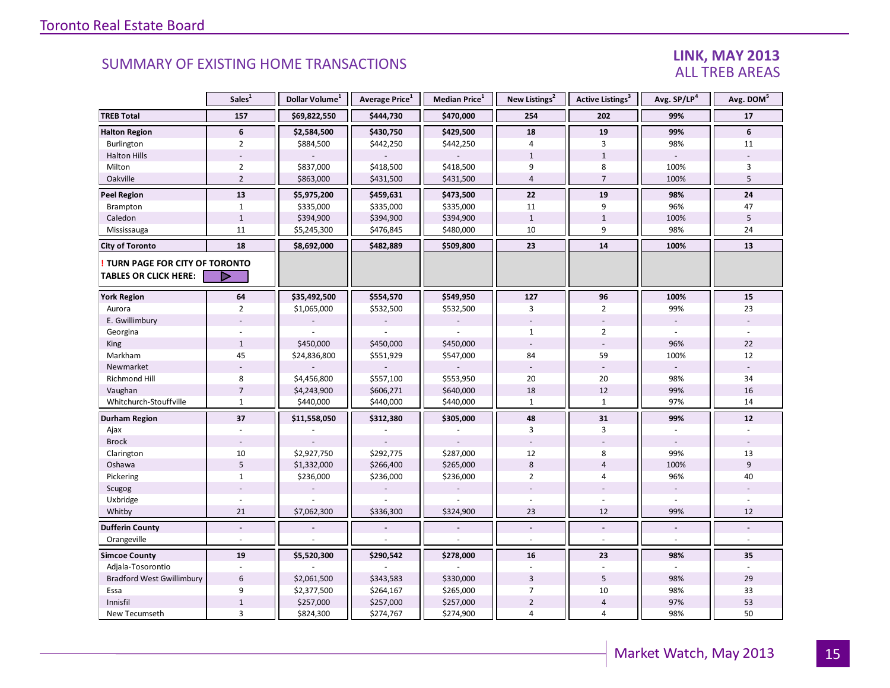#### LINK, MAY 2013 ALL TREB AREAS

|                                                               | Sales <sup>1</sup>       | Dollar Volume <sup>1</sup> | Average Price <sup>1</sup> | <b>Median Price</b> <sup>1</sup> | New Listings <sup>2</sup> | Active Listings <sup>3</sup> | Avg. SP/LP <sup>4</sup>  | Avg. DOM <sup>5</sup> |
|---------------------------------------------------------------|--------------------------|----------------------------|----------------------------|----------------------------------|---------------------------|------------------------------|--------------------------|-----------------------|
| <b>TREB Total</b>                                             | 157                      | \$69,822,550               | \$444,730                  | \$470,000                        | 254                       | 202                          | 99%                      | 17                    |
| <b>Halton Region</b>                                          | 6                        | \$2,584,500                | \$430,750                  | \$429,500                        | 18                        | 19                           | 99%                      | 6                     |
| Burlington                                                    | $\overline{2}$           | \$884,500                  | \$442,250                  | \$442,250                        | $\overline{4}$            | 3                            | 98%                      | 11                    |
| <b>Halton Hills</b>                                           |                          |                            |                            |                                  | $\mathbf{1}$              | $1\,$                        |                          |                       |
| Milton                                                        | $\overline{2}$           | \$837,000                  | \$418,500                  | \$418,500                        | 9                         | 8                            | 100%                     | 3                     |
| Oakville                                                      | $\overline{2}$           | \$863,000                  | \$431,500                  | \$431,500                        | $\overline{4}$            | $\overline{7}$               | 100%                     | 5                     |
| <b>Peel Region</b>                                            | $\overline{13}$          | \$5,975,200                | \$459,631                  | \$473,500                        | 22                        | 19                           | 98%                      | ${\bf 24}$            |
| Brampton                                                      | $\mathbf{1}$             | \$335,000                  | \$335,000                  | \$335,000                        | 11                        | 9                            | 96%                      | 47                    |
| Caledon                                                       | $\mathbf 1$              | \$394,900                  | \$394,900                  | \$394,900                        | $\mathbf{1}$              | $1\,$                        | 100%                     | 5                     |
| Mississauga                                                   | 11                       | \$5,245,300                | \$476,845                  | \$480,000                        | 10                        | 9                            | 98%                      | 24                    |
| <b>City of Toronto</b>                                        | 18                       | \$8,692,000                | \$482,889                  | \$509,800                        | 23                        | 14                           | 100%                     | 13                    |
| TURN PAGE FOR CITY OF TORONTO<br><b>TABLES OR CLICK HERE:</b> | Þ                        |                            |                            |                                  |                           |                              |                          |                       |
| <b>York Region</b>                                            | 64                       | \$35,492,500               | \$554,570                  | \$549,950                        | 127                       | 96                           | 100%                     | 15                    |
| Aurora                                                        | $\overline{2}$           | \$1,065,000                | \$532,500                  | \$532,500                        | 3                         | $\overline{2}$               | 99%                      | 23                    |
| E. Gwillimbury                                                |                          |                            |                            |                                  |                           |                              | $\overline{\phantom{a}}$ |                       |
| Georgina                                                      |                          |                            |                            |                                  | $\mathbf{1}$              | $\overline{2}$               |                          |                       |
| King                                                          | $\mathbf{1}$             | \$450,000                  | \$450,000                  | \$450,000                        |                           |                              | 96%                      | 22                    |
| Markham                                                       | 45                       | \$24,836,800               | \$551,929                  | \$547,000                        | 84                        | 59                           | 100%                     | 12                    |
| Newmarket                                                     |                          |                            |                            |                                  |                           |                              |                          |                       |
| <b>Richmond Hill</b>                                          | 8                        | \$4,456,800                | \$557,100                  | \$553,950                        | 20                        | 20                           | 98%                      | 34                    |
| Vaughan                                                       | $\overline{7}$           | \$4,243,900                | \$606,271                  | \$640,000                        | 18                        | 12                           | 99%                      | 16                    |
| Whitchurch-Stouffville                                        | $\mathbf{1}$             | \$440,000                  | \$440,000                  | \$440,000                        | $\mathbf{1}$              | $\mathbf{1}$                 | 97%                      | 14                    |
| <b>Durham Region</b>                                          | 37                       | \$11,558,050               | \$312,380                  | \$305,000                        | 48                        | 31                           | 99%                      | 12                    |
| Ajax                                                          |                          |                            |                            |                                  | 3                         | 3                            |                          |                       |
| <b>Brock</b>                                                  |                          |                            |                            |                                  |                           |                              |                          |                       |
| Clarington                                                    | 10                       | \$2,927,750                | \$292,775                  | \$287,000                        | 12                        | 8                            | 99%                      | 13                    |
| Oshawa                                                        | 5                        | \$1,332,000                | \$266,400                  | \$265,000                        | $8\phantom{1}$            | $\overline{4}$               | 100%                     | $\overline{9}$        |
| Pickering                                                     | $\mathbf{1}$             | \$236,000                  | \$236,000                  | \$236,000                        | $\overline{2}$            | $\overline{4}$               | 96%                      | 40                    |
| Scugog                                                        |                          |                            |                            |                                  |                           |                              |                          |                       |
| Uxbridge                                                      |                          |                            |                            |                                  |                           |                              |                          |                       |
| Whitby                                                        | 21                       | \$7,062,300                | \$336,300                  | \$324,900                        | 23                        | 12                           | 99%                      | 12                    |
| <b>Dufferin County</b>                                        |                          |                            |                            |                                  | $\overline{a}$            | $\blacksquare$               | $\blacksquare$           | $\blacksquare$        |
| Orangeville                                                   | $\overline{\phantom{a}}$ |                            |                            |                                  | $\overline{\phantom{a}}$  | $\sim$                       | $\blacksquare$           | $\blacksquare$        |
| <b>Simcoe County</b>                                          | 19                       | \$5,520,300                | \$290,542                  | \$278,000                        | 16                        | 23                           | 98%                      | 35                    |
| Adjala-Tosorontio                                             | $\sim$                   |                            |                            |                                  |                           |                              |                          |                       |
| <b>Bradford West Gwillimbury</b>                              | $6\,$                    | \$2,061,500                | \$343,583                  | \$330,000                        | 3                         | 5                            | 98%                      | 29                    |
| Essa                                                          | 9                        | \$2,377,500                | \$264,167                  | \$265,000                        | 7                         | 10                           | 98%                      | 33                    |
| Innisfil                                                      | $\mathbf{1}$             | \$257,000                  | \$257,000                  | \$257,000                        | $\overline{2}$            | $\sqrt{4}$                   | 97%                      | 53                    |
| New Tecumseth                                                 | $\overline{3}$           | \$824,300                  | \$274,767                  | \$274,900                        | $\overline{4}$            | $\overline{4}$               | 98%                      | 50                    |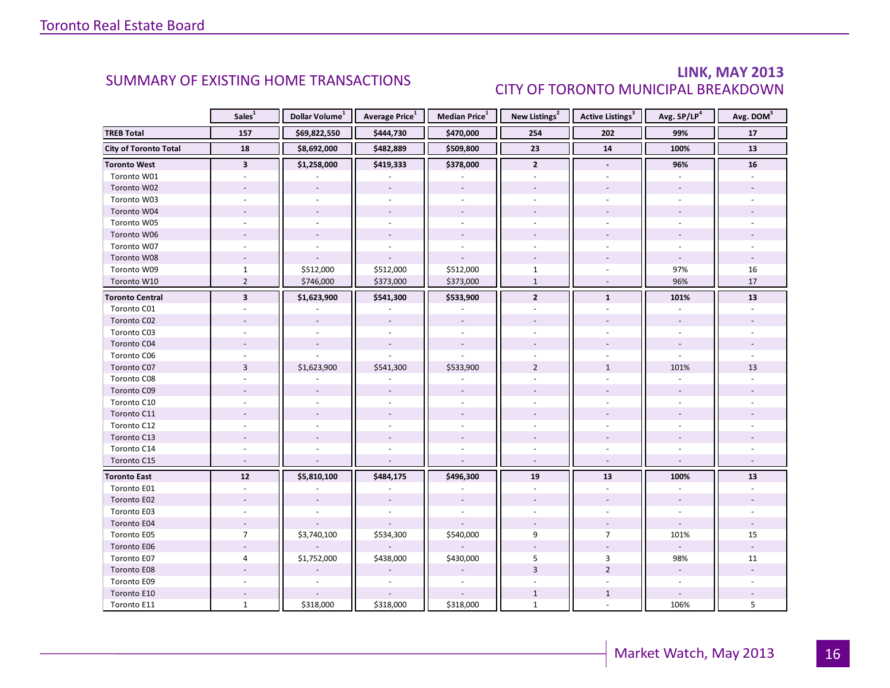### LINK, MAY 2013 CITY OF TORONTO MUNICIPAL BREAKDOWN

<span id="page-15-0"></span>

|                              | Sales <sup>1</sup>      | Dollar Volume <sup>1</sup> | Average Price <sup>1</sup> | Median Price <sup>1</sup> | New Listings <sup>2</sup> | Active Listings <sup>3</sup> | Avg. SP/LP <sup>4</sup>  | Avg. DOM <sup>5</sup> |
|------------------------------|-------------------------|----------------------------|----------------------------|---------------------------|---------------------------|------------------------------|--------------------------|-----------------------|
| <b>TREB Total</b>            | 157                     | \$69,822,550               | \$444,730                  | \$470,000                 | 254                       | 202                          | 99%                      | 17                    |
| <b>City of Toronto Total</b> | 18                      | \$8,692,000                | \$482,889                  | \$509,800                 | 23                        | 14                           | 100%                     | 13                    |
| <b>Toronto West</b>          | $\overline{\mathbf{3}}$ | \$1,258,000                | \$419,333                  | \$378,000                 | $\overline{2}$            |                              | 96%                      | 16                    |
| Toronto W01                  |                         |                            |                            |                           |                           |                              |                          |                       |
| Toronto W02                  |                         |                            |                            |                           |                           |                              |                          |                       |
| Toronto W03                  | ÷.                      |                            |                            |                           |                           |                              |                          |                       |
| Toronto W04                  |                         |                            |                            |                           |                           |                              |                          |                       |
| Toronto W05                  |                         |                            |                            |                           |                           |                              |                          |                       |
| Toronto W06                  |                         |                            |                            |                           |                           |                              |                          |                       |
| Toronto W07                  |                         |                            |                            | $\sim$                    |                           |                              |                          |                       |
| Toronto W08                  |                         |                            |                            |                           |                           |                              |                          |                       |
| Toronto W09                  | $\mathbf{1}$            | \$512,000                  | \$512,000                  | \$512,000                 | $\mathbf{1}$              |                              | 97%                      | 16                    |
| Toronto W10                  | $\overline{2}$          | \$746,000                  | \$373,000                  | \$373,000                 | $\mathbf{1}$              |                              | 96%                      | 17                    |
| <b>Toronto Central</b>       | $\overline{\mathbf{3}}$ | \$1,623,900                | \$541,300                  | \$533,900                 | $\overline{2}$            | $\mathbf{1}$                 | 101%                     | 13                    |
| Toronto C01                  |                         |                            |                            |                           |                           |                              |                          |                       |
| Toronto C02                  |                         |                            | $\overline{\phantom{a}}$   |                           |                           |                              | $\overline{\phantom{a}}$ |                       |
| Toronto C03                  |                         |                            | $\overline{\phantom{a}}$   |                           |                           |                              |                          |                       |
| Toronto C04                  |                         |                            |                            |                           |                           |                              |                          |                       |
| Toronto C06                  |                         |                            |                            |                           |                           |                              |                          |                       |
| Toronto C07                  | $\overline{3}$          | \$1,623,900                | \$541,300                  | \$533,900                 | $\overline{2}$            | $\mathbf{1}$                 | 101%                     | 13                    |
| Toronto C08                  |                         |                            |                            |                           |                           |                              |                          |                       |
| Toronto C09                  |                         |                            |                            |                           |                           |                              |                          |                       |
| Toronto C10                  |                         |                            |                            |                           |                           |                              |                          |                       |
| Toronto C11                  |                         |                            |                            |                           |                           |                              |                          |                       |
| Toronto C12                  |                         |                            |                            |                           |                           |                              |                          |                       |
| Toronto C13                  |                         |                            |                            |                           |                           |                              |                          |                       |
| Toronto C14                  |                         |                            |                            |                           |                           |                              |                          |                       |
| Toronto C15                  |                         |                            |                            |                           |                           |                              |                          |                       |
| <b>Toronto East</b>          | 12                      | \$5,810,100                | \$484,175                  | \$496,300                 | 19                        | 13                           | 100%                     | 13                    |
| Toronto E01                  |                         |                            |                            |                           |                           |                              |                          |                       |
| Toronto E02                  |                         |                            |                            |                           |                           |                              |                          |                       |
| Toronto E03                  |                         |                            |                            |                           |                           |                              |                          |                       |
| Toronto E04                  | $\sim$                  |                            |                            |                           |                           |                              | $\omega$                 |                       |
| Toronto E05                  | $\overline{7}$          | \$3,740,100                | \$534,300                  | \$540,000                 | 9                         | $\overline{7}$               | 101%                     | 15                    |
| Toronto E06                  |                         |                            |                            |                           |                           |                              |                          |                       |
| Toronto E07                  | 4                       | \$1,752,000                | \$438,000                  | \$430,000                 | 5                         | 3                            | 98%                      | 11                    |
| Toronto E08                  |                         |                            |                            |                           | $\overline{3}$            | $\overline{2}$               | $\blacksquare$           |                       |
| Toronto E09                  |                         |                            |                            |                           |                           |                              | ÷.                       |                       |
| Toronto E10                  |                         |                            |                            |                           | $\mathbf{1}$              | $\mathbf{1}$                 |                          |                       |
| Toronto E11                  | $\mathbf{1}$            | \$318,000                  | \$318,000                  | \$318,000                 | $\mathbf{1}$              |                              | 106%                     | 5                     |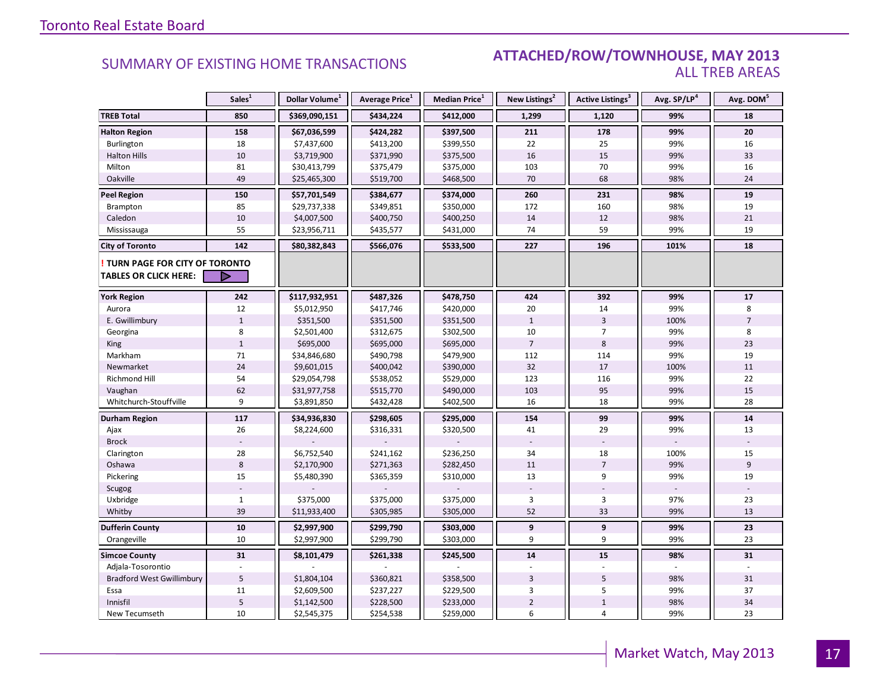#### SUMMARY OF EXISTING HOME TRANSACTIONS **ATTACHED/ROW/TOWNHOUSE, MAY 2013** ALL TREB AREAS

|                                                               | Sales <sup>1</sup> | Dollar Volume <sup>1</sup> | Average Price <sup>1</sup> | Median Price <sup>1</sup> | New Listings <sup>2</sup> | Active Listings <sup>3</sup> | Avg. SP/LP <sup>4</sup> | Avg. DOM <sup>5</sup> |
|---------------------------------------------------------------|--------------------|----------------------------|----------------------------|---------------------------|---------------------------|------------------------------|-------------------------|-----------------------|
| <b>TREB Total</b>                                             | 850                | \$369,090,151              | \$434,224                  | \$412,000                 | 1,299                     | 1,120                        | 99%                     | 18                    |
| <b>Halton Region</b>                                          | 158                | \$67,036,599               | \$424,282                  | \$397,500                 | 211                       | 178                          | 99%                     | 20                    |
| Burlington                                                    | 18                 | \$7,437,600                | \$413,200                  | \$399,550                 | 22                        | 25                           | 99%                     | 16                    |
| <b>Halton Hills</b>                                           | 10                 | \$3,719,900                | \$371,990                  | \$375,500                 | 16                        | 15                           | 99%                     | 33                    |
| Milton                                                        | 81                 | \$30,413,799               | \$375,479                  | \$375,000                 | 103                       | 70                           | 99%                     | 16                    |
| Oakville                                                      | 49                 | \$25,465,300               | \$519,700                  | \$468,500                 | 70                        | 68                           | 98%                     | 24                    |
| <b>Peel Region</b>                                            | 150                | \$57,701,549               | \$384,677                  | \$374,000                 | 260                       | 231                          | 98%                     | 19                    |
| Brampton                                                      | 85                 | \$29,737,338               | \$349,851                  | \$350,000                 | 172                       | 160                          | 98%                     | 19                    |
| Caledon                                                       | 10                 | \$4,007,500                | \$400,750                  | \$400,250                 | 14                        | 12                           | 98%                     | 21                    |
| Mississauga                                                   | 55                 | \$23,956,711               | \$435,577                  | \$431,000                 | 74                        | 59                           | 99%                     | 19                    |
| <b>City of Toronto</b>                                        | 142                | \$80,382,843               | \$566,076                  | \$533,500                 | 227                       | 196                          | 101%                    | 18                    |
| TURN PAGE FOR CITY OF TORONTO<br><b>TABLES OR CLICK HERE:</b> | D                  |                            |                            |                           |                           |                              |                         |                       |
| <b>York Region</b>                                            | 242                | \$117,932,951              | \$487,326                  | \$478,750                 | 424                       | 392                          | 99%                     | 17                    |
| Aurora                                                        | 12                 | \$5,012,950                | \$417,746                  | \$420,000                 | 20                        | 14                           | 99%                     | 8                     |
| E. Gwillimbury                                                | $\mathbf{1}$       | \$351,500                  | \$351,500                  | \$351,500                 | $\mathbf{1}$              | $\overline{3}$               | 100%                    | $\overline{7}$        |
| Georgina                                                      | 8                  | \$2,501,400                | \$312,675                  | \$302,500                 | 10                        | $\overline{7}$               | 99%                     | 8                     |
| King                                                          | $1\,$              | \$695,000                  | \$695,000                  | \$695,000                 | $\overline{7}$            | 8                            | 99%                     | 23                    |
| Markham                                                       | 71                 | \$34,846,680               | \$490,798                  | \$479,900                 | 112                       | 114                          | 99%                     | 19                    |
| Newmarket                                                     | 24                 | \$9,601,015                | \$400,042                  | \$390,000                 | 32                        | 17                           | 100%                    | 11                    |
| <b>Richmond Hill</b>                                          | 54                 | \$29,054,798               | \$538,052                  | \$529,000                 | 123                       | 116                          | 99%                     | 22                    |
| Vaughan                                                       | 62                 | \$31,977,758               | \$515,770                  | \$490,000                 | 103                       | 95                           | 99%                     | 15                    |
| Whitchurch-Stouffville                                        | 9                  | \$3,891,850                | \$432,428                  | \$402,500                 | 16                        | 18                           | 99%                     | 28                    |
| Durham Region                                                 | 117                | \$34,936,830               | \$298,605                  | \$295,000                 | 154                       | 99                           | 99%                     | 14                    |
| Ajax                                                          | 26                 | \$8,224,600                | \$316,331                  | \$320,500                 | 41                        | 29                           | 99%                     | 13                    |
| <b>Brock</b>                                                  |                    |                            |                            |                           |                           |                              |                         |                       |
| Clarington                                                    | 28                 | \$6,752,540                | \$241,162                  | \$236,250                 | 34                        | 18                           | 100%                    | 15                    |
| Oshawa                                                        | $8\phantom{1}$     | \$2,170,900                | \$271,363                  | \$282,450                 | 11                        | $\overline{7}$               | 99%                     | 9                     |
| Pickering                                                     | 15                 | \$5,480,390                | \$365,359                  | \$310,000                 | 13                        | 9                            | 99%                     | 19                    |
| Scugog                                                        |                    |                            |                            |                           |                           |                              |                         |                       |
| Uxbridge                                                      | $\mathbf{1}$       | \$375,000                  | \$375,000                  | \$375,000                 | 3                         | 3                            | 97%                     | 23                    |
| Whitby                                                        | 39                 | \$11,933,400               | \$305,985                  | \$305,000                 | 52                        | 33                           | 99%                     | 13                    |
| <b>Dufferin County</b>                                        | ${\bf 10}$         | \$2,997,900                | \$299,790                  | \$303,000                 | 9                         | 9                            | 99%                     | 23                    |
| Orangeville                                                   | 10                 | \$2,997,900                | \$299,790                  | \$303,000                 | 9                         | 9                            | 99%                     | 23                    |
| <b>Simcoe County</b>                                          | 31                 | \$8,101,479                | \$261,338                  | \$245,500                 | 14                        | 15                           | 98%                     | 31                    |
| Adjala-Tosorontio                                             |                    |                            |                            |                           |                           |                              |                         |                       |
| <b>Bradford West Gwillimbury</b>                              | 5                  | \$1,804,104                | \$360,821                  | \$358,500                 | 3                         | 5                            | 98%                     | 31                    |
| Essa                                                          | 11                 | \$2,609,500                | \$237,227                  | \$229,500                 | 3                         | 5                            | 99%                     | 37                    |
| Innisfil                                                      | $\overline{5}$     | \$1,142,500                | \$228,500                  | \$233,000                 | $\overline{2}$            | $\mathbf{1}$                 | 98%                     | 34                    |
| New Tecumseth                                                 | 10                 | \$2,545,375                | \$254,538                  | \$259,000                 | 6                         | 4                            | 99%                     | 23                    |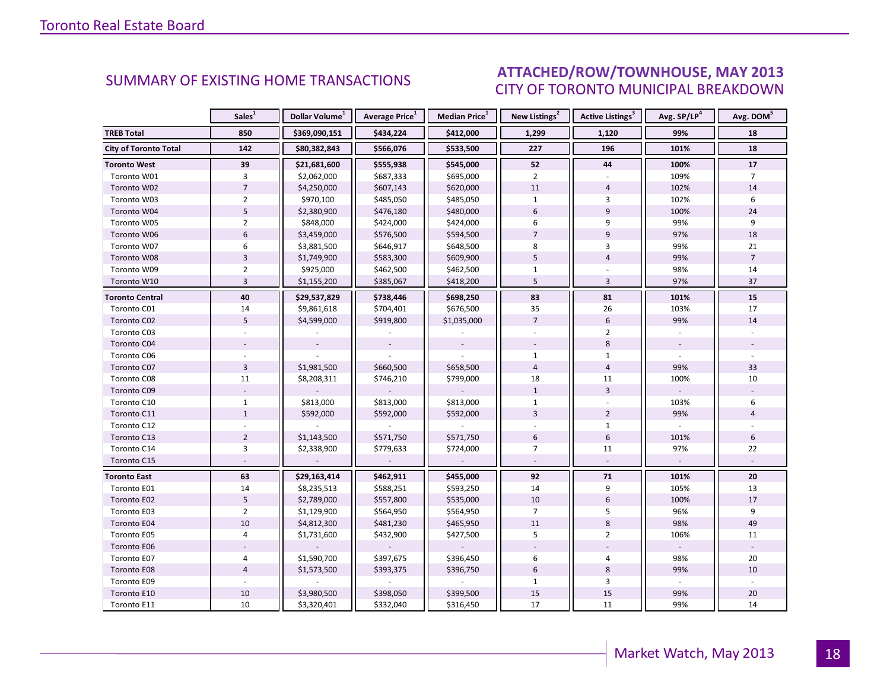#### INGU NANG 2012 CITY OF TORONTO MUNICIPAL BREAKDOWN SUMMARY OF EXISTING HOME TRANSACTIONS **ATTACHED/ROW/TOWNHOUSE, MAY 2013**

<span id="page-17-0"></span>

|                              | Sales <sup>1</sup> | Dollar Volume <sup>1</sup> | Average Price <sup>1</sup> | Median Price <sup>1</sup> | New Listings <sup>2</sup> | Active Listings <sup>3</sup> | Avg. SP/LP <sup>4</sup> | Avg. DOM <sup>5</sup> |
|------------------------------|--------------------|----------------------------|----------------------------|---------------------------|---------------------------|------------------------------|-------------------------|-----------------------|
| <b>TREB Total</b>            | 850                | \$369,090,151              | \$434,224                  | \$412,000                 | 1,299                     | 1,120                        | 99%                     | 18                    |
| <b>City of Toronto Total</b> | 142                | \$80,382,843               | \$566,076                  | \$533,500                 | 227                       | 196                          | 101%                    | 18                    |
| <b>Toronto West</b>          | 39                 | \$21,681,600               | \$555,938                  | \$545,000                 | 52                        | 44                           | 100%                    | 17                    |
| Toronto W01                  | 3                  | \$2,062,000                | \$687,333                  | \$695,000                 | $\overline{2}$            |                              | 109%                    | $\overline{7}$        |
| Toronto W02                  | $\overline{7}$     | \$4,250,000                | \$607,143                  | \$620,000                 | 11                        | $\overline{4}$               | 102%                    | 14                    |
| Toronto W03                  | $\overline{2}$     | \$970,100                  | \$485,050                  | \$485,050                 | $\mathbf{1}$              | 3                            | 102%                    | 6                     |
| Toronto W04                  | 5                  | \$2,380,900                | \$476,180                  | \$480,000                 | 6                         | 9                            | 100%                    | 24                    |
| Toronto W05                  | $\overline{2}$     | \$848,000                  | \$424,000                  | \$424,000                 | 6                         | 9                            | 99%                     | 9                     |
| Toronto W06                  | $6\overline{6}$    | \$3,459,000                | \$576,500                  | \$594,500                 | $\overline{7}$            | 9                            | 97%                     | 18                    |
| Toronto W07                  | 6                  | \$3,881,500                | \$646,917                  | \$648,500                 | 8                         | 3                            | 99%                     | 21                    |
| Toronto W08                  | $\mathsf 3$        | \$1,749,900                | \$583,300                  | \$609,900                 | 5                         | $\overline{4}$               | 99%                     | $\overline{7}$        |
| Toronto W09                  | $\overline{2}$     | \$925,000                  | \$462,500                  | \$462,500                 | $\mathbf{1}$              |                              | 98%                     | 14                    |
| Toronto W10                  | $\overline{3}$     | \$1,155,200                | \$385,067                  | \$418,200                 | 5                         | 3                            | 97%                     | 37                    |
| Toronto Central              | 40                 | \$29,537,829               | \$738,446                  | \$698,250                 | 83                        | 81                           | 101%                    | 15                    |
| Toronto C01                  | 14                 | \$9,861,618                | \$704,401                  | \$676,500                 | 35                        | 26                           | 103%                    | 17                    |
| Toronto C02                  | 5                  | \$4,599,000                | \$919,800                  | \$1,035,000               | $\overline{7}$            | 6                            | 99%                     | 14                    |
| Toronto C03                  |                    |                            |                            |                           |                           | $\overline{2}$               |                         |                       |
| Toronto C04                  |                    |                            |                            |                           |                           | 8                            |                         |                       |
| Toronto C06                  |                    |                            |                            |                           | $\mathbf{1}$              | $\mathbf{1}$                 |                         |                       |
| Toronto C07                  | $\overline{3}$     | \$1,981,500                | \$660,500                  | \$658,500                 | $\overline{4}$            | $\overline{4}$               | 99%                     | 33                    |
| Toronto C08                  | 11                 | \$8,208,311                | \$746,210                  | \$799,000                 | 18                        | 11                           | 100%                    | 10                    |
| Toronto C09                  |                    |                            |                            |                           | $\mathbf{1}$              | $\overline{3}$               |                         |                       |
| Toronto C10                  | $\mathbf{1}$       | \$813,000                  | \$813,000                  | \$813,000                 | $\mathbf{1}$              |                              | 103%                    | 6                     |
| Toronto C11                  | $\mathbf{1}$       | \$592,000                  | \$592,000                  | \$592,000                 | $\overline{3}$            | $\overline{2}$               | 99%                     | $\overline{4}$        |
| Toronto C12                  |                    |                            |                            |                           |                           | $\mathbf{1}$                 |                         |                       |
| Toronto C13                  | $\overline{2}$     | \$1,143,500                | \$571,750                  | \$571,750                 | 6                         | 6                            | 101%                    | 6                     |
| Toronto C14                  | $\overline{3}$     | \$2,338,900                | \$779,633                  | \$724,000                 | $\overline{7}$            | 11                           | 97%                     | 22                    |
| Toronto C15                  |                    |                            |                            |                           |                           |                              |                         |                       |
| <b>Toronto East</b>          | 63                 | \$29,163,414               | \$462,911                  | \$455,000                 | 92                        | 71                           | 101%                    | 20                    |
| Toronto E01                  | 14                 | \$8,235,513                | \$588,251                  | \$593,250                 | 14                        | 9                            | 105%                    | 13                    |
| Toronto E02                  | $5\phantom{.0}$    | \$2,789,000                | \$557,800                  | \$535,000                 | 10                        | $\boldsymbol{6}$             | 100%                    | 17                    |
| Toronto E03                  | $\overline{2}$     | \$1,129,900                | \$564,950                  | \$564,950                 | $\overline{7}$            | 5                            | 96%                     | 9                     |
| Toronto E04                  | 10                 | \$4,812,300                | \$481,230                  | \$465,950                 | 11                        | 8                            | 98%                     | 49                    |
| Toronto E05                  | $\overline{4}$     | \$1,731,600                | \$432,900                  | \$427,500                 | 5                         | $\overline{2}$               | 106%                    | 11                    |
| Toronto E06                  |                    |                            |                            |                           |                           |                              |                         |                       |
| Toronto E07                  | 4                  | \$1,590,700                | \$397,675                  | \$396,450                 | 6                         | $\overline{4}$               | 98%                     | 20                    |
| Toronto E08                  | $\overline{4}$     | \$1,573,500                | \$393,375                  | \$396,750                 | 6                         | 8                            | 99%                     | 10                    |
| Toronto E09                  |                    |                            |                            |                           | $\mathbf{1}$              | 3                            |                         |                       |
| Toronto E10                  | 10                 | \$3,980,500                | \$398,050                  | \$399,500                 | 15                        | 15                           | 99%                     | 20                    |
| Toronto E11                  | 10                 | \$3,320,401                | \$332,040                  | \$316,450                 | 17                        | 11                           | 99%                     | 14                    |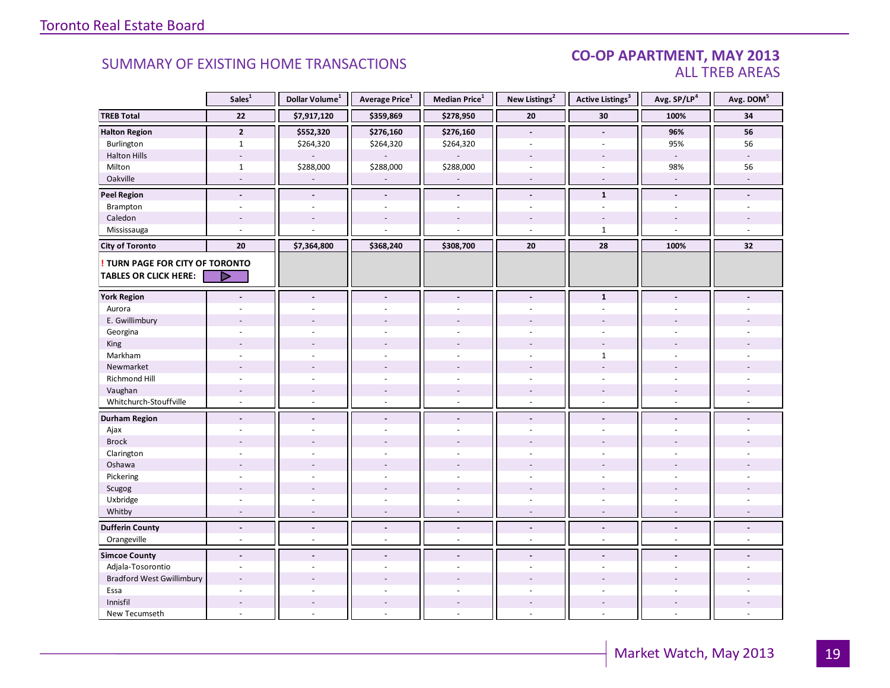#### CO-OP APARTMENT, MAY 2013 ALL TREB AREAS

|                                  | Sales <sup>1</sup>       | Dollar Volume <sup>1</sup> | Average Price <sup>1</sup>         | Median Price <sup>1</sup> | New Listings <sup>2</sup>      | <b>Active Listings<sup>3</sup></b>                   | Avg. SP/LP <sup>4</sup>  | Avg. DOM <sup>5</sup>    |
|----------------------------------|--------------------------|----------------------------|------------------------------------|---------------------------|--------------------------------|------------------------------------------------------|--------------------------|--------------------------|
| <b>TREB Total</b>                | 22                       | \$7,917,120                | \$359,869                          | \$278,950                 | 20                             | 30                                                   | 100%                     | 34                       |
| <b>Halton Region</b>             | $\overline{2}$           | \$552,320                  | \$276,160                          | \$276,160                 | $\overline{\phantom{a}}$       | $\overline{a}$                                       | 96%                      | 56                       |
| Burlington                       | $\mathbf{1}$             | \$264,320                  | \$264,320                          | \$264,320                 | $\overline{a}$                 |                                                      | 95%                      | 56                       |
| <b>Halton Hills</b>              | $\overline{a}$           |                            |                                    |                           | $\overline{a}$                 | $\overline{a}$                                       | $\mathcal{L}$            | ÷                        |
| Milton                           | $\mathbf 1$              | \$288,000                  | \$288,000                          | \$288,000                 | $\overline{\phantom{a}}$       | $\sim$                                               | 98%                      | 56                       |
| Oakville                         | $\sim$                   |                            |                                    | $\overline{\phantom{a}}$  | $\sim$                         | $\sim$                                               | $\overline{\phantom{a}}$ |                          |
| <b>Peel Region</b>               | $\blacksquare$           |                            | $\overline{\phantom{a}}$           | $\blacksquare$            | $\overline{a}$                 | $\mathbf{1}$                                         | $\tilde{\phantom{a}}$    |                          |
| Brampton                         | $\overline{a}$           | $\overline{a}$             | $\overline{a}$                     | $\sim$                    | $\overline{\phantom{a}}$       | $\overline{a}$                                       |                          |                          |
| Caledon                          |                          |                            |                                    |                           |                                |                                                      |                          |                          |
| Mississauga                      |                          |                            |                                    |                           | $\overline{a}$                 | $\mathbf{1}$                                         | $\mathbf{r}$             |                          |
| <b>City of Toronto</b>           | 20                       | \$7,364,800                | \$368,240                          | \$308,700                 | 20                             | 28                                                   | 100%                     | 32                       |
| TURN PAGE FOR CITY OF TORONTO    |                          |                            |                                    |                           |                                |                                                      |                          |                          |
| <b>TABLES OR CLICK HERE:</b>     |                          |                            |                                    |                           |                                |                                                      |                          |                          |
| <b>York Region</b>               | $\blacksquare$           | $\blacksquare$             | $\blacksquare$                     | $\overline{\phantom{a}}$  | $\blacksquare$                 | $\mathbf{1}$                                         | $\blacksquare$           |                          |
| Aurora                           |                          |                            |                                    | ÷,                        | $\sim$                         | $\overline{\phantom{a}}$                             |                          |                          |
| E. Gwillimbury                   |                          |                            |                                    |                           |                                |                                                      |                          |                          |
| Georgina                         |                          |                            |                                    |                           |                                |                                                      |                          |                          |
| King                             |                          |                            |                                    |                           |                                |                                                      |                          |                          |
| Markham                          | ÷                        |                            | $\overline{a}$                     | $\overline{a}$            | ÷                              | $\mathbf{1}$                                         | $\overline{a}$           |                          |
| Newmarket                        |                          |                            |                                    |                           |                                |                                                      |                          |                          |
| <b>Richmond Hill</b>             | $\overline{a}$           |                            |                                    |                           |                                |                                                      |                          |                          |
| Vaughan                          | $\overline{\phantom{a}}$ | $\sim$                     | $\overline{\phantom{a}}$           | $\overline{\phantom{a}}$  | $\overline{\phantom{a}}$       | $\overline{\phantom{a}}$                             |                          |                          |
| Whitchurch-Stouffville           | $\sim$                   | $\sim$                     | ä,                                 | $\sim$                    | $\sim$                         | $\overline{\phantom{a}}$                             | $\sim$                   |                          |
|                                  |                          |                            |                                    |                           |                                |                                                      |                          |                          |
| <b>Durham Region</b>             | $\overline{a}$           | $\blacksquare$             | $\overline{\phantom{a}}$           | $\blacksquare$            | $\overline{\phantom{a}}$       | $\blacksquare$                                       | $\blacksquare$           |                          |
| Ajax                             |                          |                            |                                    | ä,                        | ÷.                             |                                                      |                          |                          |
| <b>Brock</b>                     |                          |                            |                                    |                           |                                |                                                      |                          |                          |
| Clarington                       | ÷                        |                            | ÷.                                 | ÷.                        | ÷                              | ÷.                                                   |                          |                          |
| Oshawa                           |                          |                            |                                    |                           |                                |                                                      |                          |                          |
| Pickering                        | ÷.                       |                            |                                    | ÷.                        |                                | $\overline{a}$                                       |                          |                          |
| Scugog                           |                          |                            | $\blacksquare$                     | $\blacksquare$            |                                |                                                      |                          |                          |
| Uxbridge                         | $\sim$<br>$\sim$         | $\sim$<br>$\sim$           | $\overline{\phantom{a}}$<br>$\sim$ | ä,<br>$\sim$              | ä,<br>$\overline{\phantom{a}}$ | $\overline{\phantom{a}}$<br>$\overline{\phantom{a}}$ | $\sim$<br>$\sim$         | $\sim$                   |
| Whitby                           |                          |                            |                                    |                           |                                |                                                      |                          |                          |
| <b>Dufferin County</b>           | $\overline{\phantom{a}}$ | $\overline{\phantom{a}}$   | $\overline{\phantom{a}}$           | $\overline{\phantom{a}}$  | $\overline{\phantom{a}}$       | $\overline{\phantom{a}}$                             | $\overline{\phantom{a}}$ | $\overline{\phantom{a}}$ |
| Orangeville                      | $\omega$                 | $\sim$                     | $\omega$                           | $\sim$                    | $\sim$                         | $\omega$                                             | $\omega$                 | $\omega$                 |
| <b>Simcoe County</b>             | $\blacksquare$           |                            | $\blacksquare$                     | $\blacksquare$            | $\overline{a}$                 | $\overline{a}$                                       |                          |                          |
| Adjala-Tosorontio                | $\overline{\phantom{a}}$ | $\sim$                     | ÷,                                 | $\bar{a}$                 | $\overline{\phantom{a}}$       | ÷,                                                   | $\sim$                   |                          |
| <b>Bradford West Gwillimbury</b> |                          |                            |                                    |                           |                                |                                                      |                          |                          |
| Essa                             |                          |                            |                                    |                           |                                |                                                      |                          |                          |
| Innisfil                         | ÷,                       | $\overline{\phantom{a}}$   | $\overline{\phantom{a}}$           | $\overline{\phantom{a}}$  |                                | $\sim$                                               |                          |                          |
| New Tecumseth                    | ÷.                       | $\overline{a}$             | L.                                 | $\overline{a}$            | $\overline{a}$                 | $\sim$                                               | $\sim$                   |                          |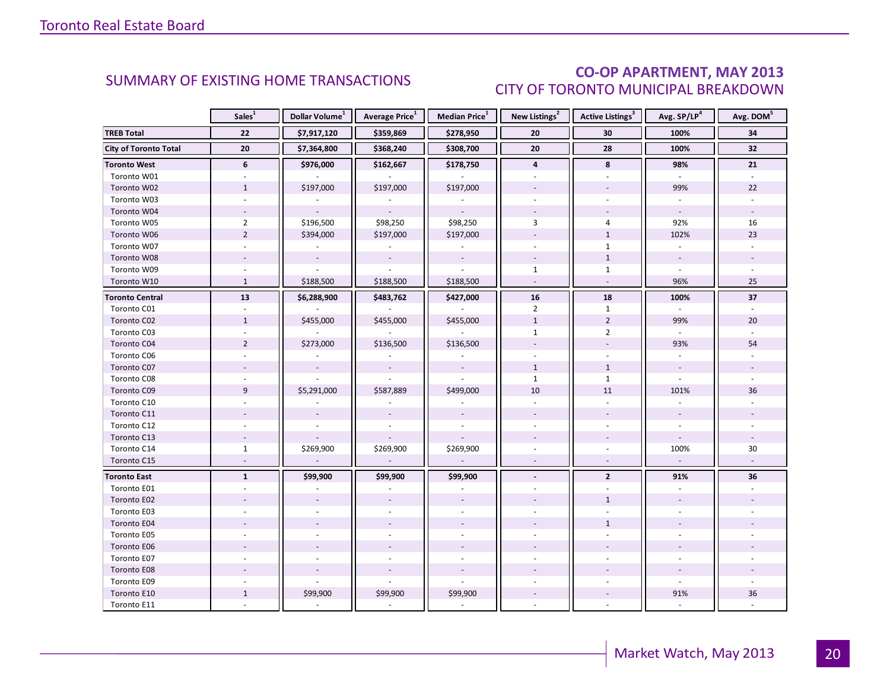### CO-OP APARTMENT, MAY 2013 CITY OF TORONTO MUNICIPAL BREAKDOWN

<span id="page-19-0"></span>

|                              | Sales <sup>1</sup> | Dollar Volume <sup>1</sup> | Average Price <sup>1</sup> | Median Price <sup>1</sup> | New Listings <sup>2</sup> | Active Listings <sup>3</sup> | Avg. SP/LP <sup>4</sup>  | Avg. DOM <sup>5</sup>    |
|------------------------------|--------------------|----------------------------|----------------------------|---------------------------|---------------------------|------------------------------|--------------------------|--------------------------|
| <b>TREB Total</b>            | 22                 | \$7,917,120                | \$359,869                  | \$278,950                 | 20                        | 30                           | 100%                     | 34                       |
| <b>City of Toronto Total</b> | 20                 | \$7,364,800                | \$368,240                  | \$308,700                 | 20                        | 28                           | 100%                     | 32                       |
| <b>Toronto West</b>          | 6                  | \$976,000                  | \$162,667                  | \$178,750                 | $\overline{\mathbf{4}}$   | 8                            | 98%                      | 21                       |
| Toronto W01                  |                    |                            |                            |                           |                           |                              |                          |                          |
| Toronto W02                  | $\mathbf{1}$       | \$197,000                  | \$197,000                  | \$197,000                 |                           |                              | 99%                      | 22                       |
| Toronto W03                  | ÷.                 |                            |                            |                           | ÷.                        |                              | $\overline{\phantom{a}}$ | $\sim$                   |
| Toronto W04                  | $\overline{a}$     | $\sim$                     | $\sim$                     | $\sim$                    |                           |                              | $\sim$                   | $\sim$                   |
| Toronto W05                  | $\overline{2}$     | \$196,500                  | \$98,250                   | \$98,250                  | 3                         | $\overline{4}$               | 92%                      | 16                       |
| Toronto W06                  | $\overline{2}$     | \$394,000                  | \$197,000                  | \$197,000                 | $\overline{a}$            | $\mathbf{1}$                 | 102%                     | 23                       |
| Toronto W07                  | ÷.                 |                            |                            |                           | $\sim$                    | $\mathbf{1}$                 | ÷,                       |                          |
| Toronto W08                  |                    |                            |                            |                           |                           | $\mathbf{1}$                 | $\overline{\phantom{a}}$ |                          |
| Toronto W09                  |                    |                            |                            |                           | $\mathbf{1}$              | $\mathbf{1}$                 |                          |                          |
| Toronto W10                  | $\mathbf{1}$       | \$188,500                  | \$188,500                  | \$188,500                 | $\mathcal{L}$             | $\sim$                       | 96%                      | 25                       |
| <b>Toronto Central</b>       | 13                 | \$6,288,900                | \$483,762                  | \$427,000                 | ${\bf 16}$                | 18                           | 100%                     | 37                       |
| Toronto C01                  |                    |                            |                            |                           | $\overline{2}$            | $\mathbf{1}$                 |                          |                          |
| Toronto C02                  | $\mathbf{1}$       | \$455,000                  | \$455,000                  | \$455,000                 | $\mathbf{1}$              | $\overline{2}$               | 99%                      | 20                       |
| Toronto C03                  |                    |                            |                            |                           | $\mathbf{1}$              | $\overline{2}$               |                          |                          |
| Toronto C04                  | $\overline{2}$     | \$273,000                  | \$136,500                  | \$136,500                 |                           |                              | 93%                      | 54                       |
| Toronto C06                  |                    |                            |                            |                           |                           |                              |                          |                          |
| Toronto C07                  |                    | $\omega$                   | $\sim$                     | $\overline{\phantom{a}}$  | $\mathbf{1}$              | $\mathbf{1}$                 | $\omega$                 |                          |
| Toronto C08                  |                    |                            |                            |                           | $\mathbf{1}$              | $\mathbf{1}$                 |                          |                          |
| Toronto C09                  | 9                  | \$5,291,000                | \$587,889                  | \$499,000                 | 10                        | 11                           | 101%                     | 36                       |
| Toronto C10                  |                    |                            |                            |                           |                           |                              |                          |                          |
| Toronto C11                  |                    |                            |                            |                           |                           |                              |                          |                          |
| Toronto C12                  |                    |                            |                            |                           |                           |                              |                          |                          |
| Toronto C13                  |                    |                            |                            |                           |                           |                              |                          |                          |
| Toronto C14                  | $\mathbf{1}$       | \$269,900                  | \$269,900                  | \$269,900                 |                           |                              | 100%                     | 30                       |
| Toronto C15                  | $\equiv$           | $\overline{\phantom{a}}$   | $\overline{\phantom{a}}$   | $\sim$                    |                           |                              | $\overline{\phantom{a}}$ | $\overline{\phantom{a}}$ |
| <b>Toronto East</b>          | $\mathbf{1}$       | \$99,900                   | \$99,900                   | \$99,900                  | $\sim$                    | $\overline{2}$               | 91%                      | 36                       |
| Toronto E01                  |                    |                            |                            |                           |                           |                              |                          |                          |
| Toronto E02                  |                    |                            |                            |                           |                           | $\mathbf{1}$                 |                          |                          |
| Toronto E03                  |                    |                            |                            |                           |                           |                              |                          |                          |
| Toronto E04                  |                    | $\sim$                     |                            |                           |                           | $\mathbf{1}$                 |                          |                          |
| Toronto E05                  | ÷                  |                            |                            |                           |                           |                              |                          |                          |
| Toronto E06                  |                    |                            |                            |                           |                           |                              |                          |                          |
| Toronto E07                  |                    |                            |                            |                           |                           |                              |                          |                          |
| Toronto E08                  |                    |                            |                            |                           |                           |                              |                          |                          |
| Toronto E09                  | ÷.                 |                            |                            |                           |                           |                              | ÷.                       |                          |
| Toronto E10                  | $\mathbf{1}$       | \$99,900                   | \$99,900                   | \$99,900                  |                           |                              | 91%                      | 36                       |
| Toronto E11                  |                    |                            |                            |                           |                           |                              |                          |                          |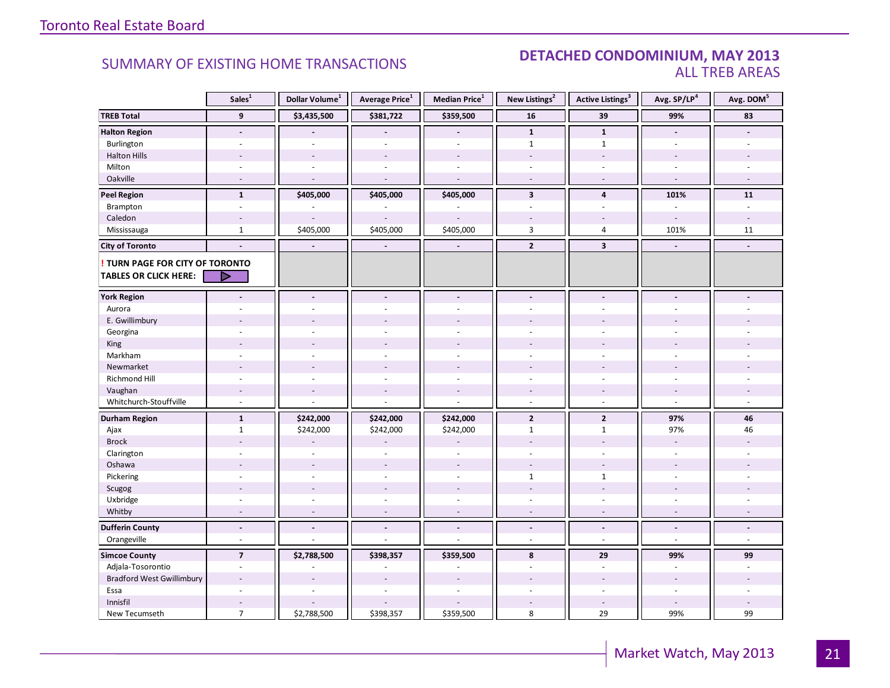#### SUMMARY OF EXISTING HOME TRANSACTIONS **DETACHED CONDOMINIUM, MAY 2013** ALL TREB AREAS

|                                  | Sales <sup>1</sup>       | Dollar Volume <sup>1</sup> | Average Price <sup>1</sup> | Median Price <sup>1</sup> | New Listings <sup>2</sup> | Active Listings <sup>3</sup> | Avg. SP/LP <sup>4</sup>  | Avg. DOM <sup>5</sup>    |
|----------------------------------|--------------------------|----------------------------|----------------------------|---------------------------|---------------------------|------------------------------|--------------------------|--------------------------|
| <b>TREB Total</b>                | $\overline{9}$           | \$3,435,500                | \$381,722                  | \$359,500                 | ${\bf 16}$                | 39                           | 99%                      | 83                       |
| <b>Halton Region</b>             | $\blacksquare$           |                            |                            |                           | $\mathbf{1}$              | $\mathbf{1}$                 | $\overline{a}$           |                          |
| Burlington                       | ÷                        |                            | L.                         |                           | $\mathbf{1}$              | $\mathbf{1}$                 | $\overline{a}$           |                          |
| <b>Halton Hills</b>              |                          |                            |                            |                           | L,                        | $\overline{\phantom{a}}$     |                          |                          |
| Milton                           | $\overline{\phantom{a}}$ |                            |                            | $\sim$                    |                           |                              | ÷.                       |                          |
| Oakville                         | $\sim$                   | $\overline{\phantom{a}}$   | ÷,                         | $\sim$                    | $\sim$                    | $\sim$                       | $\sim$                   | $\sim$                   |
| <b>Peel Region</b>               | $\mathbf{1}$             | \$405,000                  | \$405,000                  | \$405,000                 | $\overline{\mathbf{3}}$   | $\overline{\mathbf{4}}$      | 101%                     | 11                       |
| Brampton                         | ÷,                       |                            |                            |                           | ä,                        |                              | $\overline{\phantom{a}}$ | $\mathbf{r}$             |
| Caledon                          | $\overline{a}$           | $\sim$                     |                            |                           |                           |                              | $\sim$                   |                          |
| Mississauga                      | $\mathbf{1}$             | \$405,000                  | \$405,000                  | \$405,000                 | $\overline{3}$            | 4                            | 101%                     | 11                       |
| <b>City of Toronto</b>           |                          | $\overline{\phantom{a}}$   | $\blacksquare$             | $\sim$                    | $\overline{2}$            | $\overline{\mathbf{3}}$      | $\overline{\phantom{a}}$ |                          |
| TURN PAGE FOR CITY OF TORONTO    |                          |                            |                            |                           |                           |                              |                          |                          |
| <b>TABLES OR CLICK HERE:</b>     | ▷                        |                            |                            |                           |                           |                              |                          |                          |
| <b>York Region</b>               |                          |                            | $\overline{a}$             | $\blacksquare$            | $\blacksquare$            | $\overline{a}$               |                          |                          |
| Aurora                           |                          |                            |                            |                           |                           |                              |                          |                          |
| E. Gwillimbury                   |                          |                            |                            |                           |                           |                              |                          |                          |
| Georgina                         |                          |                            |                            |                           |                           |                              |                          |                          |
| King                             |                          |                            |                            |                           |                           |                              |                          |                          |
| Markham                          | $\bar{a}$                |                            | L.                         | $\overline{a}$            | L.                        |                              |                          |                          |
| Newmarket                        |                          |                            |                            |                           |                           |                              |                          |                          |
| <b>Richmond Hill</b>             |                          |                            |                            |                           |                           |                              |                          |                          |
| Vaughan                          | $\overline{\phantom{a}}$ |                            | $\overline{a}$             |                           | $\overline{\phantom{a}}$  |                              |                          |                          |
| Whitchurch-Stouffville           | $\sim$                   |                            | L.                         | $\sim$                    | $\sim$                    | $\sim$                       | ÷.                       | $\sim$                   |
| <b>Durham Region</b>             | $\mathbf{1}$             | \$242,000                  | \$242,000                  | \$242,000                 | $\overline{2}$            | $\mathbf{2}$                 | 97%                      | 46                       |
| Ajax                             | $\mathbf{1}$             | \$242,000                  | \$242,000                  | \$242,000                 | $\mathbf{1}$              | $\mathbf{1}$                 | 97%                      | 46                       |
| <b>Brock</b>                     |                          |                            |                            |                           |                           |                              |                          |                          |
| Clarington                       | ÷.                       | $\sim$                     | ä,                         |                           | ä,                        |                              | $\sim$                   |                          |
| Oshawa                           |                          |                            |                            |                           |                           |                              |                          |                          |
| Pickering                        |                          |                            |                            |                           | $\mathbf{1}$              | $\mathbf{1}$                 |                          |                          |
| Scugog                           |                          | $\sim$                     | ÷,                         |                           | L,                        | $\overline{a}$               |                          |                          |
| Uxbridge                         | $\sim$                   |                            | $\overline{\phantom{a}}$   | $\omega$                  | ÷                         | $\sim$                       | $\sim$                   |                          |
| Whitby                           | $\sim$                   | $\overline{a}$             | ÷.                         | $\sim$                    | $\sim$                    | $\sim$                       | $\overline{a}$           | $\sim$                   |
| <b>Dufferin County</b>           | $\blacksquare$           | $\overline{\phantom{a}}$   | $\overline{\phantom{a}}$   | $\overline{\phantom{a}}$  | $\overline{\phantom{a}}$  | $\overline{\phantom{a}}$     | $\blacksquare$           | $\overline{\phantom{a}}$ |
| Orangeville                      | $\sim$                   | $\bar{a}$                  | L.                         | $\omega$                  | $\overline{\phantom{a}}$  | $\sim$                       | $\bar{\phantom{a}}$      | $\sim$                   |
| <b>Simcoe County</b>             | $\overline{7}$           | \$2,788,500                | \$398,357                  | \$359,500                 | 8                         | 29                           | 99%                      | 99                       |
| Adjala-Tosorontio                | $\overline{\phantom{a}}$ |                            |                            |                           | $\sim$                    | $\sim$                       | $\sim$                   | ä,                       |
| <b>Bradford West Gwillimbury</b> |                          |                            |                            |                           |                           |                              |                          |                          |
| Essa                             |                          |                            |                            |                           |                           |                              |                          |                          |
| Innisfil                         |                          |                            |                            |                           |                           |                              |                          |                          |
| New Tecumseth                    | $\overline{7}$           | \$2,788,500                | \$398,357                  | \$359,500                 | 8                         | 29                           | 99%                      | 99                       |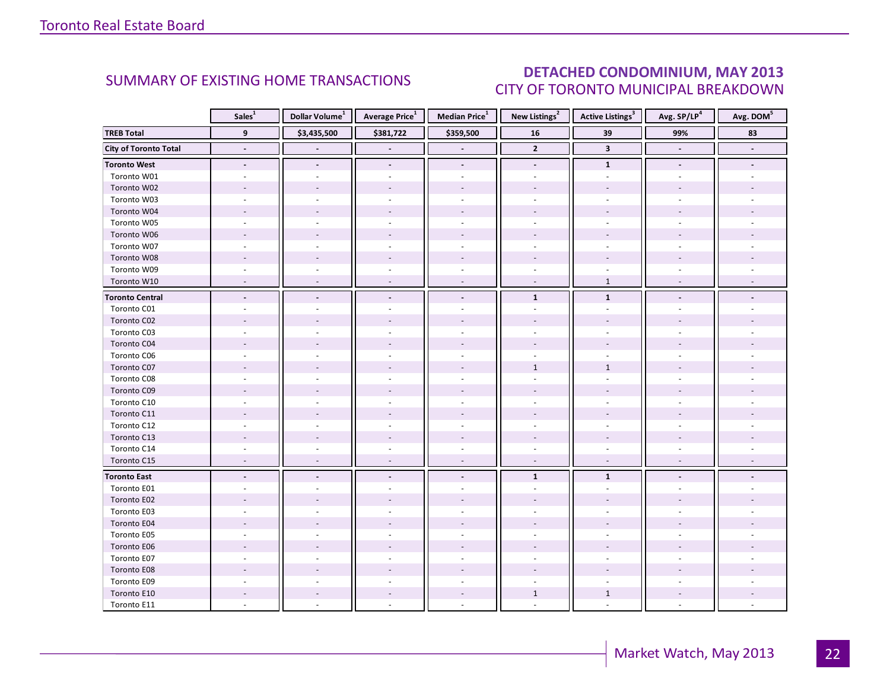### DETACHED CONDOMINIUM, MAY 2013 CITY OF TORONTO MUNICIPAL BREAKDOWN

<span id="page-21-0"></span>

|                              | Sales <sup>1</sup>       | Dollar Volume <sup>1</sup> | Average Price <sup>1</sup> | Median Price <sup>1</sup> | New Listings <sup>2</sup> | <b>Active Listings</b> <sup>3</sup> | Avg. SP/LP <sup>4</sup> | Avg. DOM <sup>5</sup> |
|------------------------------|--------------------------|----------------------------|----------------------------|---------------------------|---------------------------|-------------------------------------|-------------------------|-----------------------|
| <b>TREB Total</b>            | 9                        | \$3,435,500                | \$381,722                  | \$359,500                 | ${\bf 16}$                | 39                                  | 99%                     | 83                    |
| <b>City of Toronto Total</b> |                          |                            |                            |                           | $\overline{2}$            | $\overline{\mathbf{3}}$             |                         |                       |
| <b>Toronto West</b>          | $\overline{a}$           |                            | $\blacksquare$             | $\overline{a}$            | $\blacksquare$            | $\mathbf{1}$                        | $\blacksquare$          |                       |
| Toronto W01                  |                          |                            |                            |                           |                           | $\overline{\phantom{a}}$            |                         |                       |
| Toronto W02                  |                          |                            |                            |                           |                           |                                     |                         |                       |
| Toronto W03                  |                          |                            |                            | $\sim$                    |                           | $\overline{\phantom{a}}$            |                         |                       |
| Toronto W04                  |                          |                            |                            |                           |                           |                                     |                         |                       |
| Toronto W05                  |                          |                            |                            |                           |                           |                                     |                         |                       |
| Toronto W06                  |                          |                            |                            |                           |                           |                                     |                         |                       |
| Toronto W07                  |                          |                            |                            | $\sim$                    |                           | ÷                                   |                         |                       |
| Toronto W08                  |                          |                            |                            |                           |                           |                                     |                         |                       |
| Toronto W09                  |                          |                            |                            | ä,                        |                           |                                     |                         |                       |
| Toronto W10                  |                          | $\overline{a}$             | $\overline{a}$             | $\overline{\phantom{a}}$  | $\overline{\phantom{a}}$  | $\mathbf{1}$                        |                         |                       |
| <b>Toronto Central</b>       |                          |                            |                            | $\blacksquare$            | $\mathbf{1}$              | $\mathbf{1}$                        |                         |                       |
| Toronto C01                  |                          |                            |                            |                           |                           |                                     |                         |                       |
| Toronto C02                  |                          |                            |                            |                           |                           |                                     |                         |                       |
| Toronto C03                  |                          |                            |                            | ÷.                        |                           |                                     |                         |                       |
| Toronto C04                  |                          |                            |                            |                           |                           |                                     |                         |                       |
| Toronto C06                  |                          |                            |                            |                           |                           |                                     |                         |                       |
| Toronto C07                  |                          |                            |                            |                           | $\mathbf{1}$              | $\mathbf{1}$                        |                         |                       |
| Toronto C08                  |                          |                            |                            |                           |                           |                                     |                         |                       |
| Toronto C09                  |                          |                            |                            |                           |                           |                                     |                         |                       |
| Toronto C10                  |                          |                            |                            |                           |                           |                                     |                         |                       |
| Toronto C11                  |                          |                            |                            |                           |                           |                                     |                         |                       |
| Toronto C12                  |                          |                            |                            |                           |                           |                                     |                         |                       |
| Toronto C13                  |                          |                            |                            |                           |                           |                                     |                         |                       |
| Toronto C14                  |                          |                            |                            |                           |                           |                                     |                         |                       |
| Toronto C15                  | $\sim$                   | $\overline{a}$             | $\sim$                     | $\overline{\phantom{a}}$  | $\overline{\phantom{a}}$  | $\overline{\phantom{a}}$            |                         |                       |
| <b>Toronto East</b>          | $\overline{\phantom{a}}$ | $\blacksquare$             |                            | $\blacksquare$            | $\mathbf{1}$              | $\mathbf{1}$                        |                         |                       |
| Toronto E01                  |                          |                            |                            |                           |                           |                                     |                         |                       |
| Toronto E02                  |                          |                            |                            |                           |                           |                                     |                         |                       |
| Toronto E03                  |                          |                            |                            |                           |                           |                                     |                         |                       |
| Toronto E04                  |                          |                            |                            |                           |                           |                                     |                         |                       |
| Toronto E05                  |                          |                            |                            |                           |                           |                                     |                         |                       |
| Toronto E06                  |                          |                            |                            |                           |                           |                                     |                         |                       |
| Toronto E07                  |                          |                            |                            |                           |                           |                                     |                         |                       |
| Toronto E08                  |                          |                            |                            |                           |                           |                                     |                         |                       |
| Toronto E09                  |                          |                            |                            |                           |                           |                                     |                         |                       |
| Toronto E10                  |                          |                            |                            | $\sim$                    | $\mathbf{1}$              | $\mathbf{1}$                        |                         |                       |
| Toronto E11                  |                          |                            |                            |                           |                           |                                     |                         |                       |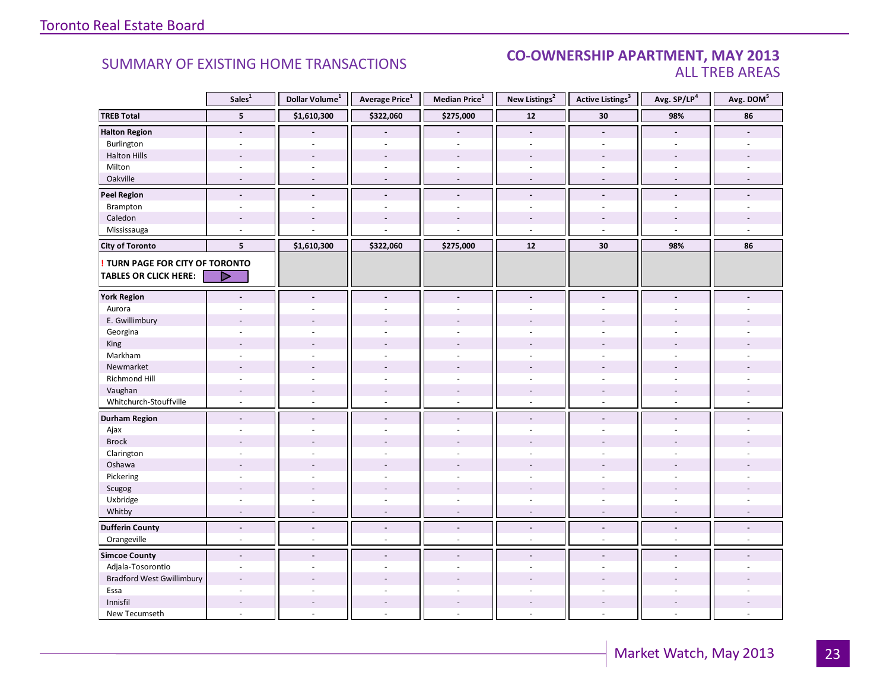#### **Industrial Leasing SUMMARY OF EXISTING HOME TRANSACTIONS CO-OWNERSHIP APARTMENT, MAY 2013** ALL TREB AREAS

|                                  | Sales <sup>1</sup>       | Dollar Volume <sup>1</sup> | Average Price <sup>1</sup> | Median Price <sup>1</sup> | New Listings <sup>2</sup> | <b>Active Listings<sup>3</sup></b> | Avg. SP/LP <sup>4</sup>  | Avg. DOM <sup>5</sup>           |
|----------------------------------|--------------------------|----------------------------|----------------------------|---------------------------|---------------------------|------------------------------------|--------------------------|---------------------------------|
| <b>TREB Total</b>                | ${\bf 5}$                | \$1,610,300                | \$322,060                  | \$275,000                 | $12$                      | 30                                 | 98%                      | 86                              |
| <b>Halton Region</b>             | $\overline{a}$           |                            |                            | $\overline{a}$            | $\Box$                    | $\blacksquare$                     | $\blacksquare$           |                                 |
| Burlington                       | $\overline{a}$           | $\overline{a}$             | ÷.                         | $\overline{a}$            | $\sim$                    | ÷.                                 | $\sim$                   |                                 |
| <b>Halton Hills</b>              | $\overline{a}$           | $\overline{a}$             | ÷,                         | $\overline{a}$            | $\overline{a}$            | ÷,                                 |                          |                                 |
| Milton                           | $\sim$                   |                            | ä,                         | $\bar{a}$                 | $\overline{\phantom{a}}$  | ÷,                                 |                          |                                 |
| Oakville                         | $\overline{a}$           | $\sim$                     | $\overline{\phantom{a}}$   | $\overline{\phantom{a}}$  | $\overline{\phantom{a}}$  | $\sim$                             | $\sim$                   | $\overline{a}$                  |
| <b>Peel Region</b>               | $\blacksquare$           | $\blacksquare$             | $\blacksquare$             | $\overline{\phantom{a}}$  | $\blacksquare$            | $\blacksquare$                     | $\blacksquare$           |                                 |
| Brampton                         | $\sim$                   | $\sim$                     | ä,                         | ä,                        | ä,                        | ÷,                                 |                          |                                 |
| Caledon                          | $\overline{a}$           |                            |                            |                           |                           |                                    |                          |                                 |
| Mississauga                      | ÷,                       |                            |                            |                           | $\overline{\phantom{a}}$  | ÷,                                 |                          |                                 |
| <b>City of Toronto</b>           | 5                        | \$1,610,300                | \$322,060                  | \$275,000                 | 12                        | 30                                 | 98%                      | 86                              |
| TURN PAGE FOR CITY OF TORONTO    |                          |                            |                            |                           |                           |                                    |                          |                                 |
| <b>TABLES OR CLICK HERE:</b>     | D                        |                            |                            |                           |                           |                                    |                          |                                 |
| <b>York Region</b>               | $\blacksquare$           | $\blacksquare$             | $\blacksquare$             | $\blacksquare$            | $\blacksquare$            | $\overline{a}$                     | $\blacksquare$           |                                 |
| Aurora                           |                          |                            |                            |                           |                           |                                    |                          |                                 |
| E. Gwillimbury                   |                          |                            |                            |                           |                           |                                    |                          |                                 |
| Georgina                         |                          |                            |                            |                           |                           |                                    |                          |                                 |
| King                             | $\overline{a}$           |                            |                            |                           |                           |                                    |                          |                                 |
| Markham                          | $\sim$                   | $\sim$                     | ä,                         | ä,                        | $\overline{\phantom{a}}$  | $\sim$                             | $\sim$                   |                                 |
| Newmarket                        |                          |                            |                            |                           |                           |                                    |                          |                                 |
| Richmond Hill                    |                          |                            |                            |                           |                           |                                    |                          |                                 |
| Vaughan                          | $\overline{\phantom{a}}$ |                            | $\overline{\phantom{a}}$   | $\overline{\phantom{a}}$  | $\overline{a}$            |                                    |                          |                                 |
| Whitchurch-Stouffville           | $\sim$                   | ÷.                         | $\overline{a}$             | $\omega$                  | $\omega$                  | $\sim$                             | $\sim$                   |                                 |
| <b>Durham Region</b>             | $\overline{\phantom{a}}$ | $\overline{\phantom{a}}$   | $\frac{1}{2}$              | $\overline{\phantom{a}}$  | $\overline{\phantom{a}}$  | $\overline{a}$                     |                          |                                 |
| Ajax                             | $\overline{a}$           |                            | ä,                         | $\omega$                  | ÷                         |                                    |                          |                                 |
| <b>Brock</b>                     |                          |                            |                            |                           |                           |                                    |                          |                                 |
| Clarington                       | ÷.                       |                            | ÷,                         | ÷.                        | ÷                         | ä,                                 |                          |                                 |
| Oshawa                           | $\overline{a}$           |                            |                            |                           |                           |                                    |                          |                                 |
| Pickering                        | $\overline{a}$           |                            | $\overline{a}$             |                           | $\overline{a}$            | ÷.                                 |                          |                                 |
| Scugog                           | $\overline{a}$           |                            | ÷,                         | $\overline{\phantom{a}}$  |                           |                                    |                          |                                 |
| Uxbridge                         | $\sim$                   | $\sim$                     | $\overline{\phantom{a}}$   | $\omega$                  | $\overline{\phantom{a}}$  | $\sim$                             | $\sim$                   |                                 |
| Whitby                           | $\sim$                   | $\sim$                     | $\sim$                     | $\sim$                    | $\overline{\phantom{a}}$  | $\sim$                             | $\sim$                   | $\overline{a}$                  |
| <b>Dufferin County</b>           | $\blacksquare$           | $\overline{\phantom{a}}$   | $\centerdot$               | $\overline{\phantom{a}}$  | $\overline{\phantom{a}}$  | $\overline{\phantom{a}}$           | $\overline{\phantom{a}}$ | $\centering \label{eq:reduced}$ |
| Orangeville                      | $\sim$                   | $\bar{a}$                  | ä,                         | $\overline{\phantom{a}}$  | $\sim$                    | $\overline{\phantom{a}}$           | $\overline{\phantom{a}}$ | $\omega$                        |
| <b>Simcoe County</b>             | $\blacksquare$           | $\blacksquare$             | $\overline{\phantom{a}}$   | $\blacksquare$            | $\overline{a}$            | $\overline{a}$                     |                          |                                 |
| Adjala-Tosorontio                | $\sim$                   | $\sim$                     | ä,                         | $\overline{\phantom{a}}$  | ä,                        | ÷,                                 | $\sim$                   |                                 |
| <b>Bradford West Gwillimbury</b> | $\sim$                   |                            |                            |                           |                           |                                    |                          |                                 |
| Essa                             |                          |                            |                            |                           |                           |                                    |                          |                                 |
| Innisfil                         | $\overline{\phantom{a}}$ | $\overline{\phantom{a}}$   | $\overline{\phantom{a}}$   | $\overline{\phantom{a}}$  | $\overline{\phantom{a}}$  | ÷,                                 |                          |                                 |
| New Tecumseth                    | ÷,                       | ÷.                         | L.                         | $\overline{a}$            | ä,                        | $\sim$                             | ÷.                       |                                 |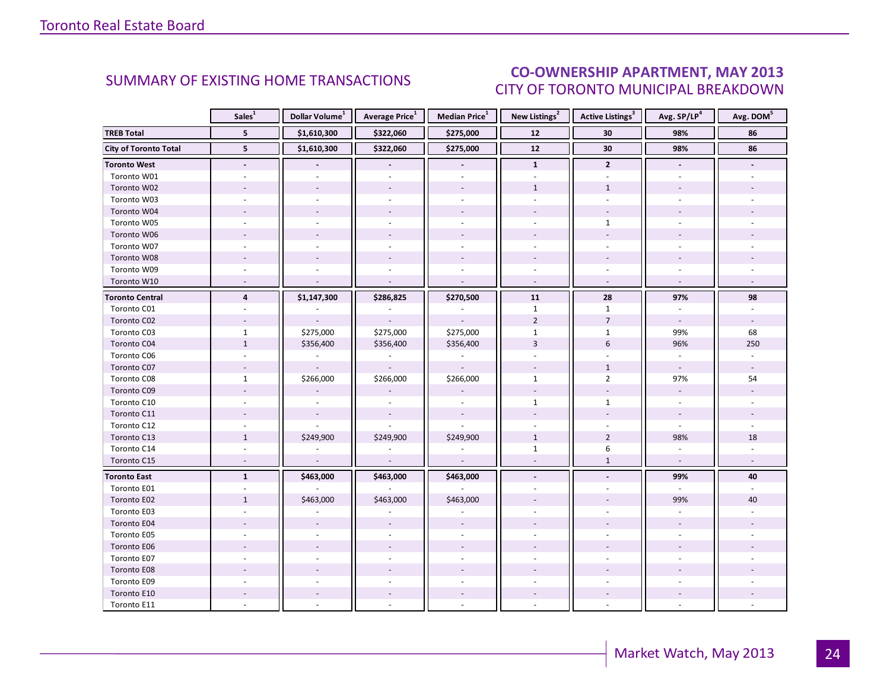#### INT MAV 2012 CITY OF TORONTO MUNICIPAL BREAKDOWN SUMMARY OF EXISTING HOME TRANSACTIONS **CO-OWNERSHIP APARTMENT, MAY 2013**

<span id="page-23-0"></span>

|                              | Sales <sup>1</sup>       | Dollar Volume <sup>1</sup> | Average Price <sup>1</sup> | Median Price <sup>1</sup> | New Listings <sup>2</sup> | Active Listings <sup>3</sup> | Avg. SP/LP <sup>4</sup>  | Avg. DOM <sup>5</sup>    |
|------------------------------|--------------------------|----------------------------|----------------------------|---------------------------|---------------------------|------------------------------|--------------------------|--------------------------|
| <b>TREB Total</b>            | 5 <sup>5</sup>           | \$1,610,300                | \$322,060                  | \$275,000                 | 12                        | 30                           | 98%                      | 86                       |
| <b>City of Toronto Total</b> | 5                        | \$1,610,300                | \$322,060                  | \$275,000                 | 12                        | 30                           | 98%                      | 86                       |
| <b>Toronto West</b>          |                          |                            |                            |                           | $\mathbf{1}$              | $\mathbf{2}$                 |                          |                          |
| Toronto W01                  |                          |                            |                            |                           |                           |                              |                          |                          |
| Toronto W02                  | $\sim$                   |                            | $\overline{a}$             | $\sim$                    | $\mathbf{1}$              | $\mathbf{1}$                 |                          |                          |
| Toronto W03                  | ÷.                       |                            |                            | $\sim$                    | ÷.                        | $\omega$                     |                          |                          |
| Toronto W04                  |                          |                            |                            |                           |                           |                              |                          |                          |
| Toronto W05                  |                          |                            |                            |                           |                           | $\mathbf{1}$                 |                          |                          |
| Toronto W06                  |                          |                            |                            |                           |                           |                              |                          |                          |
| Toronto W07                  | $\sim$                   |                            |                            | ÷.                        | ÷.                        | ÷                            |                          |                          |
| Toronto W08                  |                          |                            |                            |                           |                           |                              |                          |                          |
| Toronto W09                  |                          |                            |                            |                           |                           |                              |                          |                          |
| Toronto W10                  | $\overline{\phantom{a}}$ |                            |                            | $\sim$                    | $\sim$                    | $\omega$                     | $\overline{\phantom{a}}$ |                          |
| <b>Toronto Central</b>       | $\overline{4}$           | \$1,147,300                | \$286,825                  | \$270,500                 | 11                        | 28                           | 97%                      | 98                       |
| Toronto C01                  |                          |                            |                            |                           | $\mathbf{1}$              | $\mathbf{1}$                 |                          |                          |
| Toronto C02                  |                          |                            |                            |                           | $\overline{2}$            | $\overline{7}$               | $\overline{\phantom{a}}$ | $\sim$                   |
| Toronto C03                  | $\mathbf{1}$             | \$275,000                  | \$275,000                  | \$275,000                 | $\mathbf{1}$              | $\mathbf{1}$                 | 99%                      | 68                       |
| Toronto C04                  | $\mathbf{1}$             | \$356,400                  | \$356,400                  | \$356,400                 | $\overline{3}$            | $6\,$                        | 96%                      | 250                      |
| Toronto C06                  |                          |                            |                            |                           |                           |                              |                          |                          |
| Toronto C07                  |                          |                            |                            |                           |                           | $\mathbf{1}$                 | $\omega$                 |                          |
| Toronto C08                  | $\mathbf{1}$             | \$266,000                  | \$266,000                  | \$266,000                 | $\mathbf{1}$              | $\overline{2}$               | 97%                      | 54                       |
| Toronto C09                  |                          |                            |                            |                           |                           |                              |                          |                          |
| Toronto C10                  |                          |                            |                            |                           | $\mathbf{1}$              | $\mathbf{1}$                 |                          |                          |
| Toronto C11                  |                          | $\sim$                     | $\overline{\phantom{a}}$   | $\sim$                    |                           |                              | $\overline{\phantom{a}}$ |                          |
| Toronto C12                  |                          |                            |                            |                           |                           |                              |                          |                          |
| Toronto C13                  | $\mathbf{1}$             | \$249,900                  | \$249,900                  | \$249,900                 | $\mathbf{1}$              | $\overline{2}$               | 98%                      | 18                       |
| Toronto C14                  |                          |                            |                            |                           | $\mathbf{1}$              | 6                            |                          |                          |
| Toronto C15                  | $\sim$                   | $\bar{a}$                  | $\overline{\phantom{a}}$   | $\overline{\phantom{a}}$  | $\sim$                    | $\mathbf{1}$                 | $\omega$                 | $\overline{\phantom{a}}$ |
| <b>Toronto East</b>          | $\mathbf{1}$             | \$463,000                  | \$463,000                  | \$463,000                 | $\blacksquare$            |                              | 99%                      | 40                       |
| Toronto E01                  |                          |                            |                            |                           |                           |                              | $\overline{a}$           |                          |
| Toronto E02                  | $\mathbf{1}$             | \$463,000                  | \$463,000                  | \$463,000                 |                           |                              | 99%                      | 40                       |
| Toronto E03                  |                          |                            |                            |                           |                           |                              |                          |                          |
| Toronto E04                  |                          |                            |                            |                           |                           |                              |                          |                          |
| Toronto E05                  |                          |                            |                            |                           |                           |                              |                          |                          |
| Toronto E06                  |                          |                            |                            |                           |                           |                              |                          |                          |
| Toronto E07                  |                          |                            |                            | $\sim$                    |                           |                              |                          |                          |
| Toronto E08                  |                          |                            |                            |                           |                           |                              |                          |                          |
| Toronto E09                  |                          |                            |                            |                           |                           |                              |                          |                          |
| Toronto E10                  |                          |                            | $\overline{\phantom{a}}$   | $\overline{\phantom{a}}$  |                           |                              |                          |                          |
| Toronto E11                  |                          |                            |                            |                           |                           |                              |                          |                          |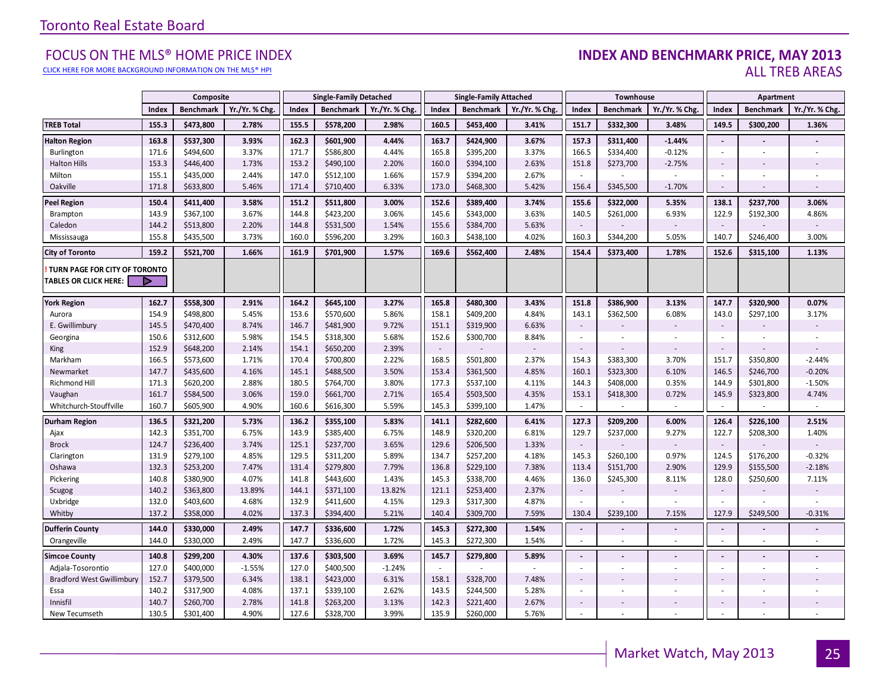[CLICK HERE FOR MORE BACKGROUND INFORMATION ON THE MLS® HPI](http://www.torontorealestateboard.com/market_news/home_price_index/index.htm)

#### FOCUS ON THE MLS® HOME PRICE INDEX **INDEX AND BENCHMARK PRICE, MAY 2013**<br>Elick here for more background information on the mls® hpi ALL TREB AREAS

|                                                               |                | Composite              |                |                | <b>Single-Family Detached</b> |                |                | <b>Single-Family Attached</b> |                |                          | Townhouse        |               |                 | Apartment                |                |
|---------------------------------------------------------------|----------------|------------------------|----------------|----------------|-------------------------------|----------------|----------------|-------------------------------|----------------|--------------------------|------------------|---------------|-----------------|--------------------------|----------------|
|                                                               | Index          | <b>Benchmark</b>       | Yr./Yr. % Chg  | Index          | <b>Benchmark</b>              | Yr./Yr. % Chg. | Index          | <b>Benchmark</b>              | Yr./Yr. % Chg  | Index                    | <b>Benchmark</b> | Yr./Yr. % Chg | Index           | <b>Benchmark</b>         | Yr./Yr. % Chg. |
| <b>TREB Total</b>                                             | 155.3          | \$473,800              | 2.78%          | 155.5          | \$578,200                     | 2.98%          | 160.5          | \$453,400                     | 3.41%          | 151.7                    | \$332,300        | 3.48%         | 149.5           | \$300,200                | 1.36%          |
| <b>Halton Region</b>                                          | 163.8          | \$537,300              | 3.93%          | 162.3          | \$601,900                     | 4.44%          | 163.7          | \$424,900                     | 3.67%          | 157.3                    | \$311,400        | $-1.44%$      | $\sim$          |                          |                |
| Burlington                                                    | 171.6          | \$494,600              | 3.37%          | 171.7          | \$586,800                     | 4.44%          | 165.8          | \$395,200                     | 3.37%          | 166.5                    | \$334,400        | $-0.12%$      | $\sim$          | $\sim$                   |                |
| <b>Halton Hills</b>                                           | 153.3          | \$446,400              | 1.73%          | 153.2          | \$490,100                     | 2.20%          | 160.0          | \$394,100                     | 2.63%          | 151.8                    | \$273,700        | $-2.75%$      | $\sim$          |                          |                |
| Milton                                                        | 155.1          | \$435,000              | 2.44%          | 147.0          | \$512,100                     | 1.66%          | 157.9          | \$394,200                     | 2.67%          | ×.                       |                  |               |                 | $\sim$                   |                |
| Oakville                                                      | 171.8          | \$633,800              | 5.46%          | 171.4          | \$710,400                     | 6.33%          | 173.0          | \$468,300                     | 5.42%          | 156.4                    | \$345,500        | $-1.70%$      | $\sim$          |                          |                |
| <b>Peel Region</b>                                            | 150.4          | \$411,400              | 3.58%          | 151.2          | \$511,800                     | 3.00%          | 152.6          | \$389,400                     | 3.74%          | 155.6                    | \$322,000        | 5.35%         | 138.1           | \$237,700                | 3.06%          |
| Brampton                                                      | 143.9          | \$367,100              | 3.67%          | 144.8          | \$423,200                     | 3.06%          | 145.6          | \$343,000                     | 3.63%          | 140.5                    | \$261,000        | 6.93%         | 122.9           | \$192,300                | 4.86%          |
| Caledon                                                       | 144.2          | \$513,800              | 2.20%          | 144.8          | \$531,500                     | 1.54%          | 155.6          | \$384,700                     | 5.63%          | $\sim$                   |                  |               |                 |                          |                |
| Mississauga                                                   | 155.8          | \$435,500              | 3.73%          | 160.0          | \$596,200                     | 3.29%          | 160.3          | \$438,100                     | 4.02%          | 160.3                    | \$344,200        | 5.05%         | 140.7           | \$246,400                | 3.00%          |
| <b>City of Toronto</b>                                        | 159.2          | \$521,700              | 1.66%          | 161.9          | \$701,900                     | 1.57%          | 169.6          | \$562,400                     | 2.48%          | 154.4                    | \$373,400        | 1.78%         | 152.6           | \$315,100                | 1.13%          |
| TURN PAGE FOR CITY OF TORONTO<br><b>TABLES OR CLICK HERE:</b> | Þ              |                        |                |                |                               |                |                |                               |                |                          |                  |               |                 |                          |                |
| <b>York Region</b>                                            | 162.7          | \$558,300              | 2.91%          | 164.2          | \$645,100                     | 3.27%          | 165.8          | \$480,300                     | 3.43%          | 151.8                    | \$386,900        | 3.13%         | 147.7           | \$320,900                | 0.07%          |
| Aurora                                                        | 154.9          | \$498,800              | 5.45%          | 153.6          | \$570,600                     | 5.86%          | 158.1          | \$409,200                     | 4.84%          | 143.1                    | \$362,500        | 6.08%         | 143.0           | \$297,100                | 3.17%          |
| E. Gwillimbury                                                | 145.5          | \$470,400              | 8.74%          | 146.7          | \$481,900                     | 9.72%          | 151.1          | \$319,900                     | 6.63%          | $\sim$                   |                  |               | $\sim$          |                          |                |
| Georgina                                                      | 150.6          | \$312,600              | 5.98%          | 154.5          | \$318,300                     | 5.68%          | 152.6          | \$300,700                     | 8.84%          | $\sim$                   |                  |               | $\sim$          | $\blacksquare$           |                |
| King                                                          | 152.9          | \$648,200              | 2.14%          | 154.1          | \$650,200                     | 2.39%          | $\sim$         |                               |                | $\sim$                   |                  |               | $\sim$          |                          |                |
| Markham                                                       | 166.5          | \$573,600              | 1.71%          | 170.4          | \$700,800                     | 2.22%          | 168.5          | \$501,800                     | 2.37%          | 154.3                    | \$383,300        | 3.70%         | 151.7           | \$350,800                | $-2.44%$       |
| Newmarket                                                     | 147.7          | \$435,600              | 4.16%          | 145.1          | \$488,500                     | 3.50%          | 153.4          | \$361,500                     | 4.85%          | 160.1                    | \$323,300        | 6.10%         | 146.5           | \$246,700                | $-0.20%$       |
| Richmond Hill                                                 | 171.3          | \$620,200              | 2.88%          | 180.5          | \$764,700                     | 3.80%          | 177.3          | \$537,100                     | 4.11%          | 144.3                    | \$408,000        | 0.35%         | 144.9           | \$301,800                | $-1.50%$       |
| Vaughan                                                       | 161.7          | \$584,500              | 3.06%          | 159.0          | \$661,700                     | 2.71%          | 165.4          | \$503,500                     | 4.35%          | 153.1                    | \$418,300        | 0.72%         | 145.9           | \$323,800                | 4.74%          |
| Whitchurch-Stouffville                                        | 160.7          | \$605,900              | 4.90%          | 160.6          | \$616,300                     | 5.59%          | 145.3          | \$399,100                     | 1.47%          | $\sim$                   |                  | $\sim$        | $\sim$          | ×.                       | $\sim$         |
| <b>Durham Region</b>                                          | 136.5          | \$321,200              | 5.73%          | 136.2          | \$355,100                     | 5.83%          | 141.1          | \$282,600                     | 6.41%          | 127.3                    | \$209,200        | 6.00%         | 126.4           | \$226,100                | 2.51%          |
| Ajax                                                          | 142.3          | \$351,700              | 6.75%          | 143.9          | \$385,400                     | 6.75%          | 148.9          | \$320,200                     | 6.81%          | 129.7                    | \$237,000        | 9.27%         | 122.7           | \$208,300                | 1.40%          |
| <b>Brock</b>                                                  | 124.7          | \$236,400              | 3.74%          | 125.1          | \$237,700                     | 3.65%          | 129.6          | \$206,500                     | 1.33%          | $\sim$                   |                  |               | $\sim$          |                          |                |
| Clarington                                                    | 131.9          | \$279,100              | 4.85%          | 129.5          | \$311,200                     | 5.89%          | 134.7          | \$257,200                     | 4.18%          | 145.3                    | \$260,100        | 0.97%         | 124.5           | \$176,200                | $-0.32%$       |
| Oshawa                                                        | 132.3          | \$253,200              | 7.47%<br>4.07% | 131.4          | \$279,800                     | 7.79%<br>1.43% | 136.8          | \$229,100                     | 7.38%<br>4.46% | 113.4                    | \$151,700        | 2.90%         | 129.9           | \$155,500                | $-2.18%$       |
| Pickering<br>Scugog                                           | 140.8<br>140.2 | \$380,900<br>\$363,800 | 13.89%         | 141.8<br>144.1 | \$443,600<br>\$371,100        | 13.82%         | 145.3<br>121.1 | \$338,700<br>\$253,400        | 2.37%          | 136.0<br>$\sim$          | \$245,300        | 8.11%         | 128.0<br>$\sim$ | \$250,600                | 7.11%          |
| Uxbridge                                                      | 132.0          | \$403,600              | 4.68%          | 132.9          | \$411,600                     | 4.15%          | 129.3          | \$317,300                     | 4.87%          |                          |                  |               |                 |                          |                |
| Whitby                                                        | 137.2          | \$358,000              | 4.02%          | 137.3          | \$394,400                     | 5.21%          | 140.4          | \$309,700                     | 7.59%          | 130.4                    | \$239,100        | 7.15%         | 127.9           | \$249,500                | $-0.31%$       |
| <b>Dufferin County</b>                                        | 144.0          | \$330,000              | 2.49%          | 147.7          | \$336,600                     | 1.72%          | 145.3          | \$272,300                     | 1.54%          | $\blacksquare$           |                  |               | $\blacksquare$  | $\overline{\phantom{a}}$ |                |
| Orangeville                                                   | 144.0          | \$330,000              | 2.49%          | 147.7          | \$336,600                     | 1.72%          | 145.3          | \$272,300                     | 1.54%          | $\sim$                   | $\sim$           | $\sim$        | $\sim$          | ×.                       | $\sim$         |
| <b>Simcoe County</b>                                          | 140.8          | \$299,200              | 4.30%          | 137.6          | \$303,500                     | 3.69%          | 145.7          | \$279,800                     | 5.89%          | $\blacksquare$           |                  |               | $\sim$          | $\overline{\phantom{a}}$ |                |
| Adjala-Tosorontio                                             | 127.0          | \$400,000              | $-1.55%$       | 127.0          | \$400,500                     | $-1.24%$       | $\sim$         |                               |                | $\sim$                   |                  | ÷.            |                 | $\blacksquare$           |                |
| <b>Bradford West Gwillimbury</b>                              | 152.7          | \$379,500              | 6.34%          | 138.1          | \$423,000                     | 6.31%          | 158.1          | \$328,700                     | 7.48%          | ٠                        |                  |               | $\sim$          | $\overline{a}$           |                |
| Essa                                                          | 140.2          | \$317,900              | 4.08%          | 137.1          | \$339,100                     | 2.62%          | 143.5          | \$244,500                     | 5.28%          | ÷.                       |                  |               | $\sim$          |                          |                |
| Innisfil                                                      | 140.7          | \$260,700              | 2.78%          | 141.8          | \$263,200                     | 3.13%          | 142.3          | \$221,400                     | 2.67%          | $\overline{\phantom{a}}$ |                  | ٠             | $\sim$          |                          |                |
| New Tecumseth                                                 | 130.5          | \$301,400              | 4.90%          | 127.6          | \$328,700                     | 3.99%          | 135.9          | \$260,000                     | 5.76%          |                          |                  |               |                 |                          |                |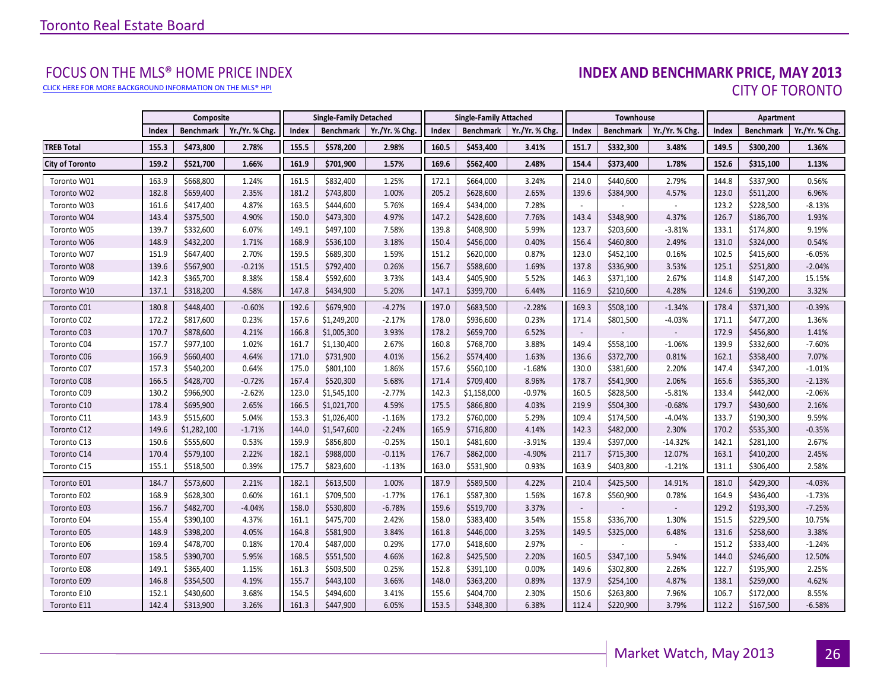[CLICK HERE FOR MORE BACKGROUND INFORMATION ON THE MLS® HPI](http://www.torontorealestateboard.com/market_news/home_price_index/index.htm)

# FOCUS ON THE MLS® HOME PRICE INDEX<br>**INDEX AND BENCHMARK PRICE, MAY 2013** CITY OF TORONTO

|                        |       | Composite        |                |       | <b>Single-Family Detached</b> |                |       | <b>Single-Family Attached</b> |                |        | <b>Townhouse</b> |               |       | Apartment        |                |
|------------------------|-------|------------------|----------------|-------|-------------------------------|----------------|-------|-------------------------------|----------------|--------|------------------|---------------|-------|------------------|----------------|
|                        | Index | <b>Benchmark</b> | Yr./Yr. % Chg. | Index | Benchmark                     | Yr./Yr. % Chg. | Index | <b>Benchmark</b>              | Yr./Yr. % Chg. | Index  | <b>Benchmark</b> | Yr./Yr. % Chg | Index | <b>Benchmark</b> | Yr./Yr. % Chg. |
| <b>TREB Total</b>      | 155.3 | \$473,800        | 2.78%          | 155.5 | \$578,200                     | 2.98%          | 160.5 | \$453,400                     | 3.41%          | 151.7  | \$332,300        | 3.48%         | 149.5 | \$300,200        | 1.36%          |
| <b>City of Toronto</b> | 159.2 | \$521,700        | 1.66%          | 161.9 | \$701,900                     | 1.57%          | 169.6 | \$562,400                     | 2.48%          | 154.4  | \$373,400        | 1.78%         | 152.6 | \$315,100        | 1.13%          |
| Toronto W01            | 163.9 | \$668,800        | 1.24%          | 161.5 | \$832,400                     | 1.25%          | 172.1 | \$664,000                     | 3.24%          | 214.0  | \$440,600        | 2.79%         | 144.8 | \$337,900        | 0.56%          |
| Toronto W02            | 182.8 | \$659,400        | 2.35%          | 181.2 | \$743,800                     | 1.00%          | 205.2 | \$628,600                     | 2.65%          | 139.6  | \$384,900        | 4.57%         | 123.0 | \$511,200        | 6.96%          |
| Toronto W03            | 161.6 | \$417,400        | 4.87%          | 163.5 | \$444,600                     | 5.76%          | 169.4 | \$434,000                     | 7.28%          |        |                  |               | 123.2 | \$228,500        | $-8.13%$       |
| Toronto W04            | 143.4 | \$375,500        | 4.90%          | 150.0 | \$473,300                     | 4.97%          | 147.2 | \$428,600                     | 7.76%          | 143.4  | \$348,900        | 4.37%         | 126.7 | \$186,700        | 1.93%          |
| Toronto W05            | 139.7 | \$332,600        | 6.07%          | 149.1 | \$497,100                     | 7.58%          | 139.8 | \$408,900                     | 5.99%          | 123.7  | \$203,600        | $-3.81%$      | 133.1 | \$174,800        | 9.19%          |
| Toronto W06            | 148.9 | \$432,200        | 1.71%          | 168.9 | \$536,100                     | 3.18%          | 150.4 | \$456,000                     | 0.40%          | 156.4  | \$460,800        | 2.49%         | 131.0 | \$324,000        | 0.54%          |
| Toronto W07            | 151.9 | \$647,400        | 2.70%          | 159.5 | \$689,300                     | 1.59%          | 151.2 | \$620,000                     | 0.87%          | 123.0  | \$452,100        | 0.16%         | 102.5 | \$415,600        | $-6.05%$       |
| Toronto W08            | 139.6 | \$567,900        | $-0.21%$       | 151.5 | \$792,400                     | 0.26%          | 156.7 | \$588,600                     | 1.69%          | 137.8  | \$336,900        | 3.53%         | 125.1 | \$251,800        | $-2.04%$       |
| Toronto W09            | 142.3 | \$365,700        | 8.38%          | 158.4 | \$592,600                     | 3.73%          | 143.4 | \$405,900                     | 5.52%          | 146.3  | \$371,100        | 2.67%         | 114.8 | \$147,200        | 15.15%         |
| Toronto W10            | 137.1 | \$318,200        | 4.58%          | 147.8 | \$434,900                     | 5.20%          | 147.1 | \$399,700                     | 6.44%          | 116.9  | \$210,600        | 4.28%         | 124.6 | \$190,200        | 3.32%          |
| Toronto C01            | 180.8 | \$448,400        | $-0.60%$       | 192.6 | \$679,900                     | $-4.27%$       | 197.0 | \$683,500                     | $-2.28%$       | 169.3  | \$508,100        | $-1.34%$      | 178.4 | \$371,300        | $-0.39%$       |
| Toronto C02            | 172.2 | \$817,600        | 0.23%          | 157.6 | \$1,249,200                   | $-2.17%$       | 178.0 | \$936,600                     | 0.23%          | 171.4  | \$801,500        | $-4.03%$      | 171.1 | \$477,200        | 1.36%          |
| Toronto C03            | 170.7 | \$878,600        | 4.21%          | 166.8 | \$1,005,300                   | 3.93%          | 178.2 | \$659,700                     | 6.52%          | $\sim$ |                  |               | 172.9 | \$456,800        | 1.41%          |
| Toronto C04            | 157.7 | \$977,100        | 1.02%          | 161.7 | \$1,130,400                   | 2.67%          | 160.8 | \$768,700                     | 3.88%          | 149.4  | \$558,100        | $-1.06%$      | 139.9 | \$332,600        | $-7.60%$       |
| Toronto C06            | 166.9 | \$660,400        | 4.64%          | 171.0 | \$731,900                     | 4.01%          | 156.2 | \$574,400                     | 1.63%          | 136.6  | \$372,700        | 0.81%         | 162.1 | \$358,400        | 7.07%          |
| Toronto C07            | 157.3 | \$540,200        | 0.64%          | 175.0 | \$801,100                     | 1.86%          | 157.6 | \$560,100                     | $-1.68%$       | 130.0  | \$381,600        | 2.20%         | 147.4 | \$347,200        | $-1.01%$       |
| Toronto C08            | 166.5 | \$428,700        | $-0.72%$       | 167.4 | \$520,300                     | 5.68%          | 171.4 | \$709,400                     | 8.96%          | 178.7  | \$541,900        | 2.06%         | 165.6 | \$365,300        | $-2.13%$       |
| Toronto C09            | 130.2 | \$966,900        | $-2.62%$       | 123.0 | \$1,545,100                   | $-2.77%$       | 142.3 | \$1,158,000                   | $-0.97%$       | 160.5  | \$828,500        | $-5.81%$      | 133.4 | \$442,000        | $-2.06%$       |
| Toronto C10            | 178.4 | \$695,900        | 2.65%          | 166.5 | \$1,021,700                   | 4.59%          | 175.5 | \$866,800                     | 4.03%          | 219.9  | \$504,300        | $-0.68%$      | 179.7 | \$430,600        | 2.16%          |
| Toronto C11            | 143.9 | \$515,600        | 5.04%          | 153.3 | \$1,026,400                   | $-1.16%$       | 173.2 | \$760,000                     | 5.29%          | 109.4  | \$174,500        | $-4.04%$      | 133.7 | \$190,300        | 9.59%          |
| Toronto C12            | 149.6 | \$1,282,100      | $-1.71%$       | 144.0 | \$1,547,600                   | $-2.24%$       | 165.9 | \$716,800                     | 4.14%          | 142.3  | \$482,000        | 2.30%         | 170.2 | \$535,300        | $-0.35%$       |
| Toronto C13            | 150.6 | \$555,600        | 0.53%          | 159.9 | \$856,800                     | $-0.25%$       | 150.1 | \$481,600                     | $-3.91%$       | 139.4  | \$397,000        | $-14.32%$     | 142.1 | \$281,100        | 2.67%          |
| Toronto C14            | 170.4 | \$579,100        | 2.22%          | 182.1 | \$988,000                     | $-0.11%$       | 176.7 | \$862,000                     | $-4.90%$       | 211.7  | \$715,300        | 12.07%        | 163.1 | \$410,200        | 2.45%          |
| Toronto C15            | 155.1 | \$518,500        | 0.39%          | 175.7 | \$823,600                     | $-1.13%$       | 163.0 | \$531,900                     | 0.93%          | 163.9  | \$403,800        | $-1.21%$      | 131.1 | \$306,400        | 2.58%          |
| Toronto E01            | 184.7 | \$573,600        | 2.21%          | 182.1 | \$613,500                     | 1.00%          | 187.9 | \$589,500                     | 4.22%          | 210.4  | \$425,500        | 14.91%        | 181.0 | \$429,300        | $-4.03%$       |
| Toronto E02            | 168.9 | \$628,300        | 0.60%          | 161.1 | \$709,500                     | $-1.77%$       | 176.1 | \$587,300                     | 1.56%          | 167.8  | \$560,900        | 0.78%         | 164.9 | \$436,400        | $-1.73%$       |
| Toronto E03            | 156.7 | \$482,700        | $-4.04%$       | 158.0 | \$530,800                     | $-6.78%$       | 159.6 | \$519,700                     | 3.37%          | $\sim$ |                  |               | 129.2 | \$193,300        | $-7.25%$       |
| Toronto E04            | 155.4 | \$390,100        | 4.37%          | 161.1 | \$475,700                     | 2.42%          | 158.0 | \$383,400                     | 3.54%          | 155.8  | \$336,700        | 1.30%         | 151.5 | \$229,500        | 10.75%         |
| Toronto E05            | 148.9 | \$398,200        | 4.05%          | 164.8 | \$581,900                     | 3.84%          | 161.8 | \$446,000                     | 3.25%          | 149.5  | \$325,000        | 6.48%         | 131.6 | \$258,600        | 3.38%          |
| Toronto E06            | 169.4 | \$478,700        | 0.18%          | 170.4 | \$487,000                     | 0.29%          | 177.0 | \$418,600                     | 2.97%          | $\sim$ |                  |               | 151.2 | \$333,400        | $-1.24%$       |
| Toronto E07            | 158.5 | \$390,700        | 5.95%          | 168.5 | \$551,500                     | 4.66%          | 162.8 | \$425,500                     | 2.20%          | 160.5  | \$347,100        | 5.94%         | 144.0 | \$246,600        | 12.50%         |
| Toronto E08            | 149.1 | \$365,400        | 1.15%          | 161.3 | \$503,500                     | 0.25%          | 152.8 | \$391,100                     | 0.00%          | 149.6  | \$302,800        | 2.26%         | 122.7 | \$195,900        | 2.25%          |
| Toronto E09            | 146.8 | \$354,500        | 4.19%          | 155.7 | \$443,100                     | 3.66%          | 148.0 | \$363,200                     | 0.89%          | 137.9  | \$254,100        | 4.87%         | 138.1 | \$259,000        | 4.62%          |
| Toronto E10            | 152.1 | \$430,600        | 3.68%          | 154.5 | \$494,600                     | 3.41%          | 155.6 | \$404,700                     | 2.30%          | 150.6  | \$263,800        | 7.96%         | 106.7 | \$172,000        | 8.55%          |
| Toronto E11            | 142.4 | \$313,900        | 3.26%          | 161.3 | \$447,900                     | 6.05%          | 153.5 | \$348,300                     | 6.38%          | 112.4  | \$220,900        | 3.79%         | 112.2 | \$167,500        | $-6.58%$       |